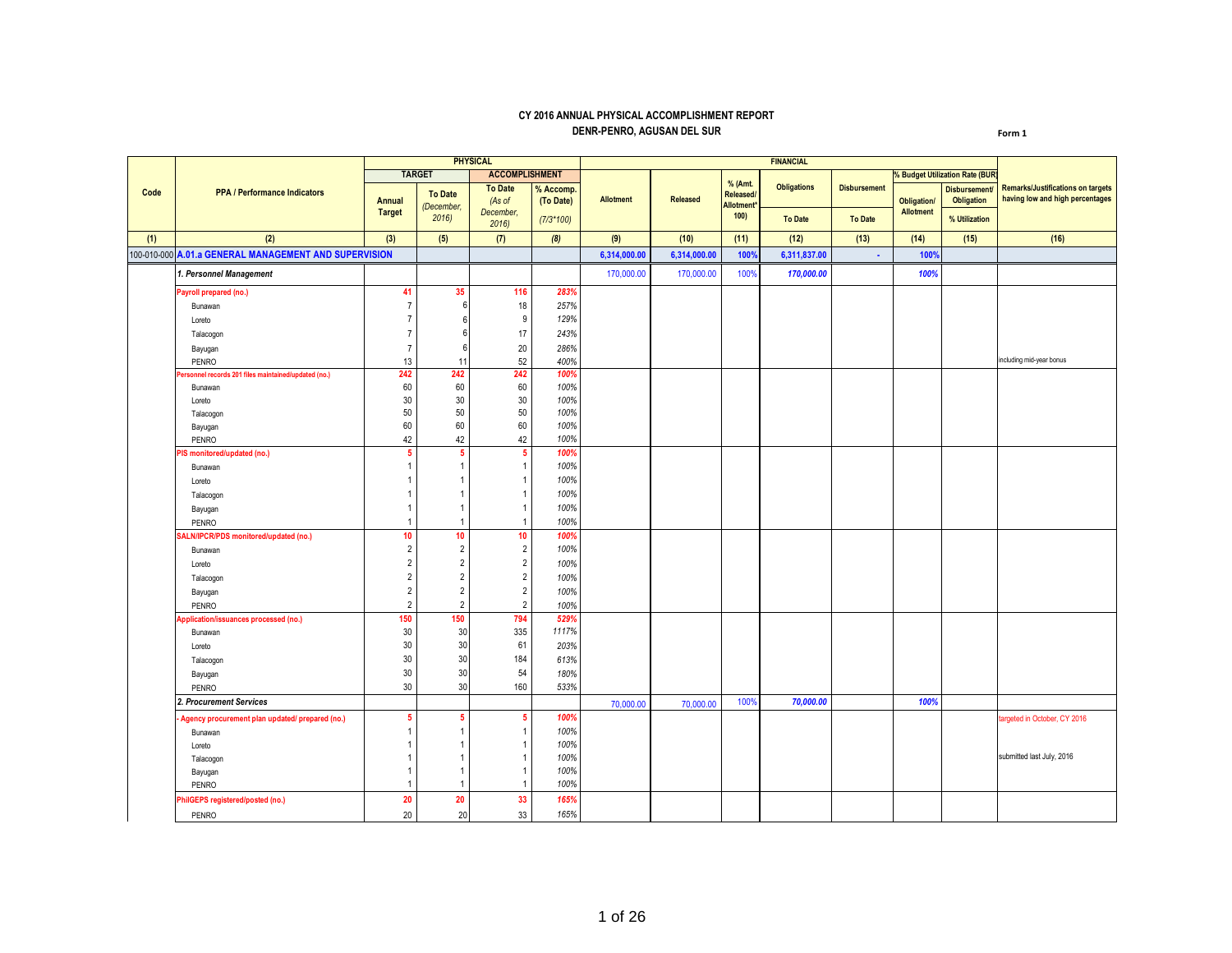## **CY 2016 ANNUAL PHYSICAL ACCOMPLISHMENT REPORT DENR-PENRO, AGUSAN DEL SUR**

**Form 1**

|      |                                                       |                                |                              | <b>PHYSICAL</b>                       |                        |                  |              |                                            | <b>FINANCIAL</b>   |                     |                                        |                                          |                                                                             |
|------|-------------------------------------------------------|--------------------------------|------------------------------|---------------------------------------|------------------------|------------------|--------------|--------------------------------------------|--------------------|---------------------|----------------------------------------|------------------------------------------|-----------------------------------------------------------------------------|
|      |                                                       |                                | <b>TARGET</b>                | <b>ACCOMPLISHMENT</b>                 |                        |                  |              |                                            |                    |                     |                                        | <b>6 Budget Utilization Rate (BUR</b>    |                                                                             |
| Code | <b>PPA / Performance Indicators</b>                   | <b>Annual</b><br><b>Target</b> | <b>To Date</b><br>(December, | <b>To Date</b><br>(As of<br>December, | % Accomp.<br>(To Date) | <b>Allotment</b> | Released     | % (Amt.<br>Released/<br><b>Allotment</b> * | <b>Obligations</b> | <b>Disbursement</b> | <b>Obligation/</b><br><b>Allotment</b> | <b>Disbursement</b><br><b>Obligation</b> | <b>Remarks/Justifications on targets</b><br>having low and high percentages |
|      |                                                       |                                | 2016                         | 2016                                  | $(7/3*100)$            |                  |              | 100)                                       | <b>To Date</b>     | <b>To Date</b>      |                                        | % Utilization                            |                                                                             |
| (1)  | (2)                                                   | (3)                            | (5)                          | (7)                                   | (8)                    | (9)              | (10)         | (11)                                       | (12)               | (13)                | (14)                                   | (15)                                     | (16)                                                                        |
|      | 100-010-000 A.01.a GENERAL MANAGEMENT AND SUPERVISION |                                |                              |                                       |                        | 6,314,000.00     | 6,314,000.00 | 100%                                       | 6,311,837.00       | $\mathbf{r}$        | 100%                                   |                                          |                                                                             |
|      | 1. Personnel Management                               |                                |                              |                                       |                        | 170,000.00       | 170,000.00   | 100%                                       | 170,000.00         |                     | 100%                                   |                                          |                                                                             |
|      | Payroll prepared (no.)                                | 41                             | 35                           | 116                                   | 283%                   |                  |              |                                            |                    |                     |                                        |                                          |                                                                             |
|      | Bunawan                                               | $\overline{7}$                 | 6                            | 18                                    | 257%                   |                  |              |                                            |                    |                     |                                        |                                          |                                                                             |
|      | Loreto                                                | $\overline{7}$                 |                              | 9                                     | 129%                   |                  |              |                                            |                    |                     |                                        |                                          |                                                                             |
|      | Talacogon                                             | $\overline{7}$                 |                              | 17                                    | 243%                   |                  |              |                                            |                    |                     |                                        |                                          |                                                                             |
|      | Bayugan                                               | $\overline{7}$                 | 6                            | $20\,$                                | 286%                   |                  |              |                                            |                    |                     |                                        |                                          |                                                                             |
|      | PENRO                                                 | 13                             | 11                           | 52                                    | 400%                   |                  |              |                                            |                    |                     |                                        |                                          | including mid-year bonus                                                    |
|      | ersonnel records 201 files maintained/updated (no.)   | 242                            | 242                          | 242                                   | 100%                   |                  |              |                                            |                    |                     |                                        |                                          |                                                                             |
|      | Bunawan                                               | 60                             | 60                           | 60                                    | 100%                   |                  |              |                                            |                    |                     |                                        |                                          |                                                                             |
|      | Loreto                                                | 30                             | 30                           | 30                                    | 100%                   |                  |              |                                            |                    |                     |                                        |                                          |                                                                             |
|      | Talacogon                                             | 50                             | 50                           | 50                                    | 100%                   |                  |              |                                            |                    |                     |                                        |                                          |                                                                             |
|      | Bayugan                                               | 60                             | 60                           | 60                                    | 100%                   |                  |              |                                            |                    |                     |                                        |                                          |                                                                             |
|      | PENRO                                                 | 42                             | 42                           | 42                                    | 100%                   |                  |              |                                            |                    |                     |                                        |                                          |                                                                             |
|      | PIS monitored/updated (no.)                           | 5                              | 5                            | -5                                    | 100%                   |                  |              |                                            |                    |                     |                                        |                                          |                                                                             |
|      | Bunawan                                               | 1                              | $\mathbf{1}$                 | $\overline{1}$                        | 100%                   |                  |              |                                            |                    |                     |                                        |                                          |                                                                             |
|      | Loreto                                                |                                |                              | -1                                    | 100%                   |                  |              |                                            |                    |                     |                                        |                                          |                                                                             |
|      | Talacogon                                             |                                |                              | $\overline{1}$                        | 100%                   |                  |              |                                            |                    |                     |                                        |                                          |                                                                             |
|      | Bayugan                                               | 1                              | 1                            | $\overline{1}$                        | 100%                   |                  |              |                                            |                    |                     |                                        |                                          |                                                                             |
|      | PENRO                                                 | 1                              |                              | $\overline{1}$                        | 100%                   |                  |              |                                            |                    |                     |                                        |                                          |                                                                             |
|      | ALN/IPCR/PDS monitored/updated (no.)                  | 10                             | 10                           | 10                                    | 100%                   |                  |              |                                            |                    |                     |                                        |                                          |                                                                             |
|      | Bunawan                                               | $\overline{2}$                 | $\overline{2}$               | $\overline{2}$                        | 100%                   |                  |              |                                            |                    |                     |                                        |                                          |                                                                             |
|      |                                                       | $\overline{2}$                 | $\overline{2}$               | $\overline{2}$                        | 100%                   |                  |              |                                            |                    |                     |                                        |                                          |                                                                             |
|      | Loreto                                                | $\overline{2}$                 | $\overline{2}$               | $\overline{2}$                        |                        |                  |              |                                            |                    |                     |                                        |                                          |                                                                             |
|      | Talacogon                                             |                                |                              |                                       | 100%                   |                  |              |                                            |                    |                     |                                        |                                          |                                                                             |
|      | Bayugan                                               | $\overline{2}$                 | $\overline{2}$               | $\sqrt{2}$                            | 100%                   |                  |              |                                            |                    |                     |                                        |                                          |                                                                             |
|      | PENRO                                                 | $\overline{2}$                 | $\overline{2}$               | $\overline{2}$                        | 100%                   |                  |              |                                            |                    |                     |                                        |                                          |                                                                             |
|      | Application/issuances processed (no.)                 | 150                            | 150                          | 794                                   | 529%                   |                  |              |                                            |                    |                     |                                        |                                          |                                                                             |
|      | Bunawan                                               | 30                             | 30                           | 335                                   | 1117%                  |                  |              |                                            |                    |                     |                                        |                                          |                                                                             |
|      | Loreto                                                | 30                             | 30                           | 61                                    | 203%                   |                  |              |                                            |                    |                     |                                        |                                          |                                                                             |
|      | Talacogon                                             | 30                             | 30                           | 184                                   | 613%                   |                  |              |                                            |                    |                     |                                        |                                          |                                                                             |
|      | Bayugan                                               | 30                             | 30                           | 54                                    | 180%                   |                  |              |                                            |                    |                     |                                        |                                          |                                                                             |
|      | PENRO                                                 | 30                             | 30                           | 160                                   | 533%                   |                  |              |                                            |                    |                     |                                        |                                          |                                                                             |
|      | 2. Procurement Services                               |                                |                              |                                       |                        | 70,000.00        | 70,000.00    | 100%                                       | 70,000.00          |                     | 100%                                   |                                          |                                                                             |
|      | Agency procurement plan updated/ prepared (no.)       | 5                              | 5                            | -5                                    | 100%                   |                  |              |                                            |                    |                     |                                        |                                          | targeted in October, CY 2016                                                |
|      | Bunawan                                               | 1                              |                              | $\overline{1}$                        | 100%                   |                  |              |                                            |                    |                     |                                        |                                          |                                                                             |
|      | Loreto                                                |                                |                              | $\overline{1}$                        | 100%                   |                  |              |                                            |                    |                     |                                        |                                          |                                                                             |
|      | Talacogon                                             |                                |                              | $\overline{1}$                        | 100%                   |                  |              |                                            |                    |                     |                                        |                                          | submitted last July, 2016                                                   |
|      | Bayugan                                               | 1                              | 1                            | $\overline{1}$                        | 100%                   |                  |              |                                            |                    |                     |                                        |                                          |                                                                             |
|      | PENRO                                                 | 1                              | -1                           | $\overline{1}$                        | 100%                   |                  |              |                                            |                    |                     |                                        |                                          |                                                                             |
|      | PhilGEPS registered/posted (no.)                      | 20                             | 20                           | 33                                    | 165%                   |                  |              |                                            |                    |                     |                                        |                                          |                                                                             |
|      | PENRO                                                 | 20                             | 20                           | 33                                    | 165%                   |                  |              |                                            |                    |                     |                                        |                                          |                                                                             |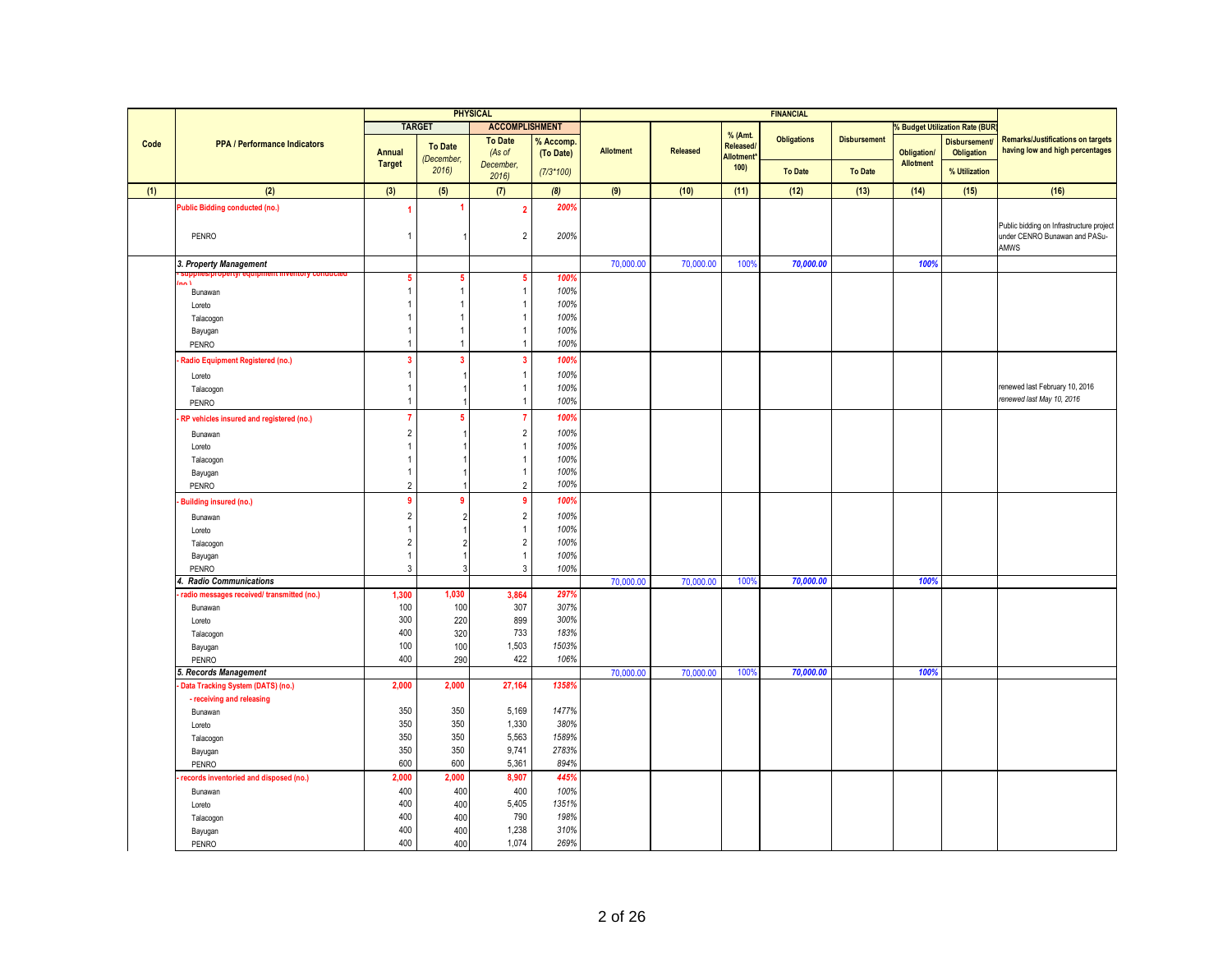|      |                                            |                                  |                | <b>PHYSICAL</b>                  |               |                  |           |                        | <b>FINANCIAL</b>   |                     |                    |                                       |                                                                           |
|------|--------------------------------------------|----------------------------------|----------------|----------------------------------|---------------|------------------|-----------|------------------------|--------------------|---------------------|--------------------|---------------------------------------|---------------------------------------------------------------------------|
|      |                                            |                                  | <b>TARGET</b>  | <b>ACCOMPLISHMENT</b>            |               |                  |           |                        |                    |                     |                    | <b>% Budget Utilization Rate (BUR</b> |                                                                           |
| Code | <b>PPA / Performance Indicators</b>        |                                  | <b>To Date</b> | <b>To Date</b>                   | % Accomp.     |                  |           | % (Amt.<br>Released/   | <b>Obligations</b> | <b>Disbursement</b> |                    | <b>Disbursement</b>                   | <b>Remarks/Justifications on targets</b>                                  |
|      |                                            | Annual                           | (December,     | (As of                           | (To Date)     | <b>Allotment</b> | Released  | Allotment <sup>*</sup> |                    |                     | <b>Obligation/</b> | <b>Obligation</b>                     | having low and high percentages                                           |
|      |                                            | <b>Target</b>                    | 2016           | December,<br>2016                | $(7/3*100)$   |                  |           | 100                    | <b>To Date</b>     | <b>To Date</b>      | <b>Allotment</b>   | % Utilization                         |                                                                           |
| (1)  | (2)                                        | (3)                              | (5)            | (7)                              | (8)           | (9)              | (10)      | (11)                   | (12)               | (13)                | (14)               | (15)                                  | (16)                                                                      |
|      | Public Bidding conducted (no.)             |                                  |                |                                  | 200%          |                  |           |                        |                    |                     |                    |                                       |                                                                           |
|      |                                            |                                  |                | $\overline{\phantom{a}}$         |               |                  |           |                        |                    |                     |                    |                                       |                                                                           |
|      | PENRO                                      | $\overline{1}$                   |                | $\overline{2}$                   | 200%          |                  |           |                        |                    |                     |                    |                                       | Public bidding on Infrastructure project<br>under CENRO Bunawan and PASu- |
|      |                                            |                                  |                |                                  |               |                  |           |                        |                    |                     |                    |                                       | AMWS                                                                      |
|      | 3. Property Management                     |                                  |                |                                  |               | 70,000.00        | 70,000.00 | 100%                   | 70,000.00          |                     | 100%               |                                       |                                                                           |
|      | πιστγ σα                                   | 5                                |                |                                  | 100%          |                  |           |                        |                    |                     |                    |                                       |                                                                           |
|      | Bunawan                                    | $\overline{1}$                   |                |                                  | 100%          |                  |           |                        |                    |                     |                    |                                       |                                                                           |
|      | Loreto                                     |                                  |                |                                  | 100%          |                  |           |                        |                    |                     |                    |                                       |                                                                           |
|      | Talacogon                                  |                                  |                |                                  | 100%          |                  |           |                        |                    |                     |                    |                                       |                                                                           |
|      | Bayugan                                    |                                  |                |                                  | 100%          |                  |           |                        |                    |                     |                    |                                       |                                                                           |
|      | PENRO                                      |                                  |                |                                  | 100%          |                  |           |                        |                    |                     |                    |                                       |                                                                           |
|      | Radio Equipment Registered (no.)           | $\overline{\mathbf{3}}$          | $\mathbf{3}$   | -3                               | 100%          |                  |           |                        |                    |                     |                    |                                       |                                                                           |
|      | Loreto                                     | $\overline{1}$                   |                | -1                               | 100%          |                  |           |                        |                    |                     |                    |                                       |                                                                           |
|      | Talacogon                                  |                                  |                |                                  | 100%          |                  |           |                        |                    |                     |                    |                                       | renewed last February 10, 2016                                            |
|      | PENRO                                      | $\overline{1}$                   |                | $\overline{1}$                   | 100%          |                  |           |                        |                    |                     |                    |                                       | renewed last May 10, 2016                                                 |
|      | RP vehicles insured and registered (no.)   | $\overline{7}$                   | -5             |                                  | 100%          |                  |           |                        |                    |                     |                    |                                       |                                                                           |
|      |                                            | $\overline{2}$                   |                |                                  |               |                  |           |                        |                    |                     |                    |                                       |                                                                           |
|      | Bunawan                                    | $\overline{1}$                   |                | $\overline{2}$<br>-1             | 100%<br>100%  |                  |           |                        |                    |                     |                    |                                       |                                                                           |
|      | Loreto                                     | -1                               |                | -1                               | 100%          |                  |           |                        |                    |                     |                    |                                       |                                                                           |
|      | Talacogon                                  | $\overline{1}$                   |                |                                  | 100%          |                  |           |                        |                    |                     |                    |                                       |                                                                           |
|      | Bayugan<br>PENRO                           | $\overline{2}$                   |                | $\overline{2}$                   | 100%          |                  |           |                        |                    |                     |                    |                                       |                                                                           |
|      |                                            | $\overline{9}$                   | -9             | -9                               | 100%          |                  |           |                        |                    |                     |                    |                                       |                                                                           |
|      | <b>Building insured (no.)</b>              |                                  |                |                                  |               |                  |           |                        |                    |                     |                    |                                       |                                                                           |
|      | Bunawan                                    | $\overline{2}$                   |                | $\overline{2}$                   | 100%          |                  |           |                        |                    |                     |                    |                                       |                                                                           |
|      | Loreto                                     | -1                               |                | -1                               | 100%          |                  |           |                        |                    |                     |                    |                                       |                                                                           |
|      | Talacogon                                  | $\overline{c}$<br>$\overline{1}$ |                | $\overline{2}$<br>$\overline{1}$ | 100%<br>100%  |                  |           |                        |                    |                     |                    |                                       |                                                                           |
|      | Bayugan                                    | $\mathbf{3}$                     |                | 3                                | 100%          |                  |           |                        |                    |                     |                    |                                       |                                                                           |
|      | PENRO<br>4. Radio Communications           |                                  |                |                                  |               | 70,000.00        | 70,000.00 | 100%                   | 70,000.00          |                     | 100%               |                                       |                                                                           |
|      | radio messages received/ transmitted (no.) | 1,300                            | 1,030          | 3.864                            | 297%          |                  |           |                        |                    |                     |                    |                                       |                                                                           |
|      | Bunawan                                    | 100                              | 100            | 307                              | 307%          |                  |           |                        |                    |                     |                    |                                       |                                                                           |
|      | Loreto                                     | 300                              | 220            | 899                              | 300%          |                  |           |                        |                    |                     |                    |                                       |                                                                           |
|      | Talacogon                                  | 400                              | 320            | 733                              | 183%          |                  |           |                        |                    |                     |                    |                                       |                                                                           |
|      | Bayugan                                    | 100                              | 100            | 1,503                            | 1503%         |                  |           |                        |                    |                     |                    |                                       |                                                                           |
|      | PENRO                                      | 400                              | 290            | 422                              | 106%          |                  |           |                        |                    |                     |                    |                                       |                                                                           |
|      | . Records Management                       |                                  |                |                                  |               | 70,000.00        | 70,000.00 | 100%                   | 70,000.00          |                     | 100%               |                                       |                                                                           |
|      | Data Tracking System (DATS) (no.)          | 2,000                            | 2,000          | 27,164                           | 1358%         |                  |           |                        |                    |                     |                    |                                       |                                                                           |
|      | - receiving and releasing                  |                                  |                |                                  |               |                  |           |                        |                    |                     |                    |                                       |                                                                           |
|      | Bunawan                                    | 350                              | 350            | 5,169                            | 1477%         |                  |           |                        |                    |                     |                    |                                       |                                                                           |
|      | Loreto                                     | 350                              | 350            | 1,330                            | 380%          |                  |           |                        |                    |                     |                    |                                       |                                                                           |
|      | Talacogon                                  | 350                              | 350            | 5,563                            | 1589%         |                  |           |                        |                    |                     |                    |                                       |                                                                           |
|      | Bayugan                                    | 350                              | 350            | 9,741                            | 2783%         |                  |           |                        |                    |                     |                    |                                       |                                                                           |
|      | PENRO                                      | 600                              | 600            | 5,361                            | 894%          |                  |           |                        |                    |                     |                    |                                       |                                                                           |
|      | records inventoried and disposed (no.)     | 2,000                            | 2,000          | 8,907                            | 445%          |                  |           |                        |                    |                     |                    |                                       |                                                                           |
|      | Bunawan                                    | 400                              | 400            | 400                              | 100%          |                  |           |                        |                    |                     |                    |                                       |                                                                           |
|      | Loreto                                     | 400<br>400                       | 400            | 5,405<br>790                     | 1351%<br>198% |                  |           |                        |                    |                     |                    |                                       |                                                                           |
|      | Talacogon                                  | 400                              | 400<br>400     | 1,238                            | 310%          |                  |           |                        |                    |                     |                    |                                       |                                                                           |
|      | Bayugan<br>PENRO                           | 400                              | 400            | 1.074                            | 269%          |                  |           |                        |                    |                     |                    |                                       |                                                                           |
|      |                                            |                                  |                |                                  |               |                  |           |                        |                    |                     |                    |                                       |                                                                           |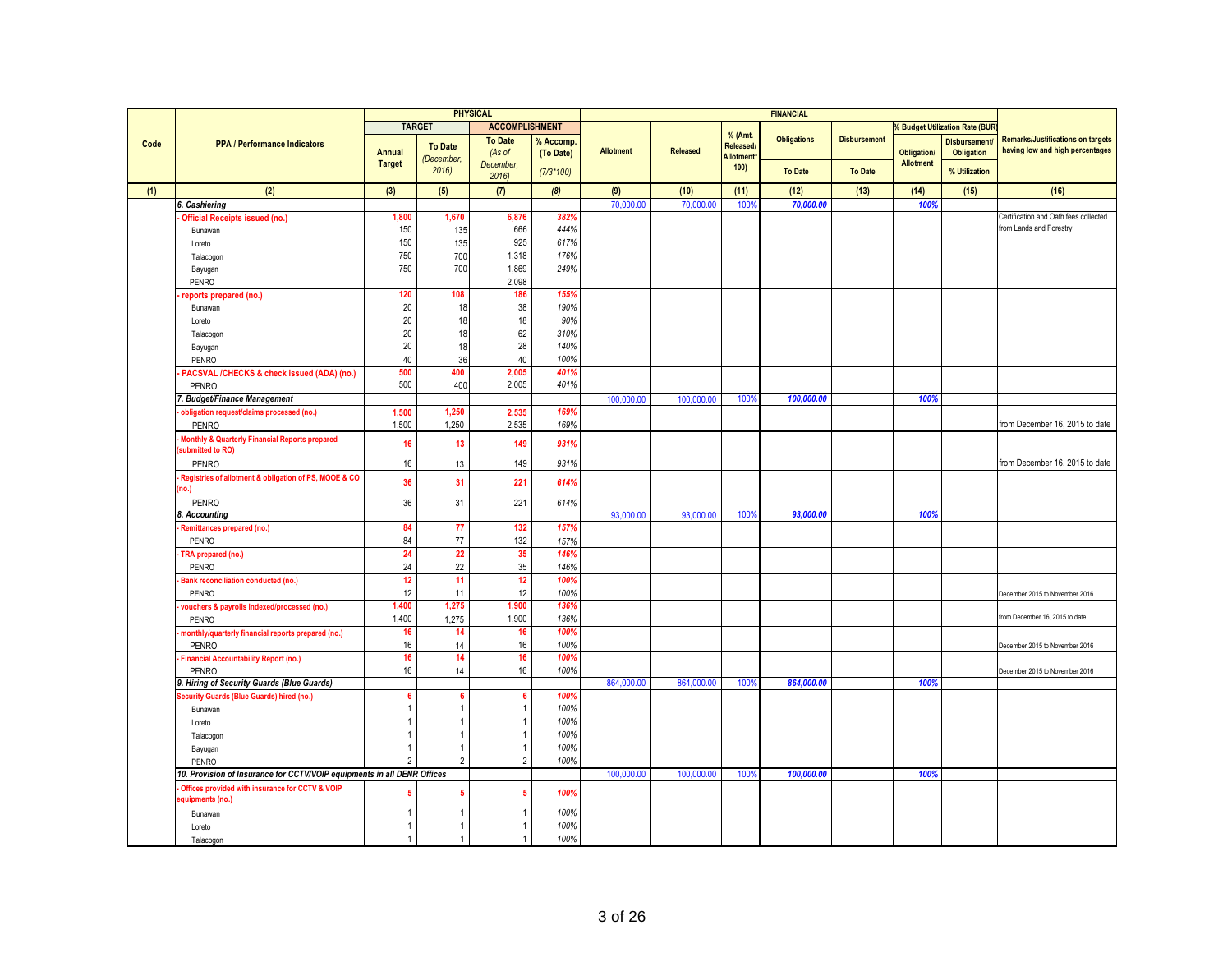|      |                                                                         |                |                | <b>PHYSICAL</b>       |             |                  |            |                                | <b>FINANCIAL</b>   |                     |                    |                                     |                                          |
|------|-------------------------------------------------------------------------|----------------|----------------|-----------------------|-------------|------------------|------------|--------------------------------|--------------------|---------------------|--------------------|-------------------------------------|------------------------------------------|
|      |                                                                         |                | <b>TARGET</b>  | <b>ACCOMPLISHMENT</b> |             |                  |            |                                |                    |                     |                    | <b>Budget Utilization Rate (BUR</b> |                                          |
|      |                                                                         |                |                | <b>To Date</b>        | % Accomp.   |                  |            | % (Amt.                        | <b>Obligations</b> | <b>Disbursement</b> |                    | <b>Disbursement</b>                 | <b>Remarks/Justifications on targets</b> |
| Code | <b>PPA / Performance Indicators</b>                                     | Annual         | <b>To Date</b> | (As of                | (To Date)   | <b>Allotment</b> | Released   | <b>Released/</b>               |                    |                     | <b>Obligation/</b> | <b>Obligation</b>                   | having low and high percentages          |
|      |                                                                         | <b>Target</b>  | December.      | December.             |             |                  |            | Allotment <sup>*</sup><br>100) |                    |                     | <b>Allotment</b>   |                                     |                                          |
|      |                                                                         |                | 2016           | 2016                  | $(7/3*100)$ |                  |            |                                | <b>To Date</b>     | <b>To Date</b>      |                    | % Utilization                       |                                          |
| (1)  | (2)                                                                     | (3)            | (5)            | (7)                   | (8)         | (9)              | (10)       | (11)                           | (12)               | (13)                | (14)               | (15)                                | (16)                                     |
|      | 6. Cashiering                                                           |                |                |                       |             | 70,000.00        | 70,000.00  | 100                            | 70,000.00          |                     | 1009               |                                     |                                          |
|      | <b>Official Receipts issued (no.)</b>                                   | 1,800          | 1,670          | 6,876                 | 382%        |                  |            |                                |                    |                     |                    |                                     | Certification and Oath fees collected    |
|      | Bunawan                                                                 | 150            | 135            | 666                   | 444%        |                  |            |                                |                    |                     |                    |                                     | from Lands and Forestry                  |
|      |                                                                         | 150            |                | 925                   | 617%        |                  |            |                                |                    |                     |                    |                                     |                                          |
|      | Loreto                                                                  | 750            | 135            | 1,318                 | 176%        |                  |            |                                |                    |                     |                    |                                     |                                          |
|      | Talacogon                                                               |                | 700            |                       |             |                  |            |                                |                    |                     |                    |                                     |                                          |
|      | Bayugan                                                                 | 750            | 700            | 1,869                 | 249%        |                  |            |                                |                    |                     |                    |                                     |                                          |
|      | PENRO                                                                   |                |                | 2,098                 |             |                  |            |                                |                    |                     |                    |                                     |                                          |
|      | reports prepared (no.)                                                  | 120            | 108            | 186                   | 155%        |                  |            |                                |                    |                     |                    |                                     |                                          |
|      | Bunawan                                                                 | 20             | 18             | 38                    | 190%        |                  |            |                                |                    |                     |                    |                                     |                                          |
|      | Loreto                                                                  | 20             | 18             | 18                    | 90%         |                  |            |                                |                    |                     |                    |                                     |                                          |
|      | Talacogon                                                               | 20             | 18             | 62                    | 310%        |                  |            |                                |                    |                     |                    |                                     |                                          |
|      | Bayugan                                                                 | 20             | 18             | 28                    | 140%        |                  |            |                                |                    |                     |                    |                                     |                                          |
|      | PENRO                                                                   | 40             | 36             | 40                    | 100%        |                  |            |                                |                    |                     |                    |                                     |                                          |
|      | PACSVAL /CHECKS & check issued (ADA) (no.)                              | 500            | 400            | 2,005                 | 401%        |                  |            |                                |                    |                     |                    |                                     |                                          |
|      | <b>PENRO</b>                                                            | 500            | 400            | 2,005                 | 401%        |                  |            |                                |                    |                     |                    |                                     |                                          |
|      | 7. Budget/Finance Management                                            |                |                |                       |             | 100,000.00       | 100,000.00 | 100%                           | 100,000.00         |                     | 100%               |                                     |                                          |
|      | obligation request/claims processed (no.)                               | 1,500          | 1,250          | 2,535                 | 169%        |                  |            |                                |                    |                     |                    |                                     |                                          |
|      | PENRO                                                                   | 1,500          | 1,250          | 2,535                 | 169%        |                  |            |                                |                    |                     |                    |                                     | from December 16, 2015 to date           |
|      | Monthly & Quarterly Financial Reports prepared                          | 16             | 13             | 149                   | 931%        |                  |            |                                |                    |                     |                    |                                     |                                          |
|      | submitted to RO)                                                        |                |                |                       |             |                  |            |                                |                    |                     |                    |                                     |                                          |
|      | PENRO                                                                   | 16             | 13             | 149                   | 931%        |                  |            |                                |                    |                     |                    |                                     | from December 16, 2015 to date           |
|      | Registries of allotment & obligation of PS, MOOE & CO                   | 36             | 31             | 221                   | 614%        |                  |            |                                |                    |                     |                    |                                     |                                          |
|      | no.)                                                                    |                |                |                       |             |                  |            |                                |                    |                     |                    |                                     |                                          |
|      | <b>PENRO</b>                                                            | 36             | 31             | 221                   | 614%        |                  |            |                                |                    |                     |                    |                                     |                                          |
|      | 8. Accounting                                                           |                |                |                       |             | 93,000.00        | 93,000.00  | 100%                           | 93,000.00          |                     | 100%               |                                     |                                          |
|      | Remittances prepared (no.)                                              | 84             | 77             | 132                   | 157%        |                  |            |                                |                    |                     |                    |                                     |                                          |
|      | PENRO                                                                   | 84             | 77             | 132                   | 157%        |                  |            |                                |                    |                     |                    |                                     |                                          |
|      | TRA prepared (no.)                                                      | 24             | 22             | 35                    | 146%        |                  |            |                                |                    |                     |                    |                                     |                                          |
|      | PENRO                                                                   | 24             | 22             | 35                    | 146%        |                  |            |                                |                    |                     |                    |                                     |                                          |
|      | Bank reconciliation conducted (no.)                                     | 12             | 11             | 12                    | 100%        |                  |            |                                |                    |                     |                    |                                     |                                          |
|      | PENRO                                                                   | 12             | 11             | 12                    | 100%        |                  |            |                                |                    |                     |                    |                                     | December 2015 to November 2016           |
|      | vouchers & payrolls indexed/processed (no.)                             | 1,400          | 1,275          | 1,900                 | 1369        |                  |            |                                |                    |                     |                    |                                     |                                          |
|      | PENRO                                                                   | 1,400          | 1,275          | 1,900                 | 136%        |                  |            |                                |                    |                     |                    |                                     | from December 16, 2015 to date           |
|      | monthly/quarterly financial reports prepared (no.)                      | 16             | 14             | 16                    | 100%        |                  |            |                                |                    |                     |                    |                                     |                                          |
|      | <b>PENRO</b>                                                            | 16             | 14             | 16                    | 100%        |                  |            |                                |                    |                     |                    |                                     | December 2015 to November 2016           |
|      | <b>Financial Accountability Report (no.)</b>                            | 16             | 14             | 16                    | 100%        |                  |            |                                |                    |                     |                    |                                     |                                          |
|      | PENRO                                                                   | 16             | 14             | 16                    | 100%        |                  |            |                                |                    |                     |                    |                                     | December 2015 to November 2016           |
|      | 9. Hiring of Security Guards (Blue Guards)                              |                |                |                       |             | 864,000.00       | 864,000.00 | 100 <sup>c</sup>               | 864,000.00         |                     | 100%               |                                     |                                          |
|      | ecurity Guards (Blue Guards) hired (no.)                                | 6              | 6              | 6                     | 100%        |                  |            |                                |                    |                     |                    |                                     |                                          |
|      | Bunawan                                                                 | 1              |                | $\overline{1}$        | 100%        |                  |            |                                |                    |                     |                    |                                     |                                          |
|      | Loreto                                                                  |                |                | $\overline{1}$        | 100%        |                  |            |                                |                    |                     |                    |                                     |                                          |
|      | Talacogon                                                               |                |                | $\overline{1}$        | 100%        |                  |            |                                |                    |                     |                    |                                     |                                          |
|      | Bayugan                                                                 | 1              |                | $\overline{1}$        | 100%        |                  |            |                                |                    |                     |                    |                                     |                                          |
|      | PENRO                                                                   | $\overline{2}$ | $\mathfrak{D}$ | $\overline{2}$        | 100%        |                  |            |                                |                    |                     |                    |                                     |                                          |
|      | 10. Provision of Insurance for CCTV/VOIP equipments in all DENR Offices |                |                |                       |             |                  |            | 100%                           | 100,000.00         |                     | 100%               |                                     |                                          |
|      |                                                                         |                |                |                       |             | 100,000.00       | 100,000.00 |                                |                    |                     |                    |                                     |                                          |
|      | Offices provided with insurance for CCTV & VOIP<br>equipments (no.)     |                |                | 5                     | 100%        |                  |            |                                |                    |                     |                    |                                     |                                          |
|      |                                                                         |                |                |                       |             |                  |            |                                |                    |                     |                    |                                     |                                          |
|      | Bunawan                                                                 |                |                | $\overline{1}$        | 100%        |                  |            |                                |                    |                     |                    |                                     |                                          |
|      | Loreto                                                                  | 1              |                | $\overline{1}$        | 100%        |                  |            |                                |                    |                     |                    |                                     |                                          |
|      | Talacogon                                                               | $\mathbf{1}$   |                | $\overline{1}$        | 100%        |                  |            |                                |                    |                     |                    |                                     |                                          |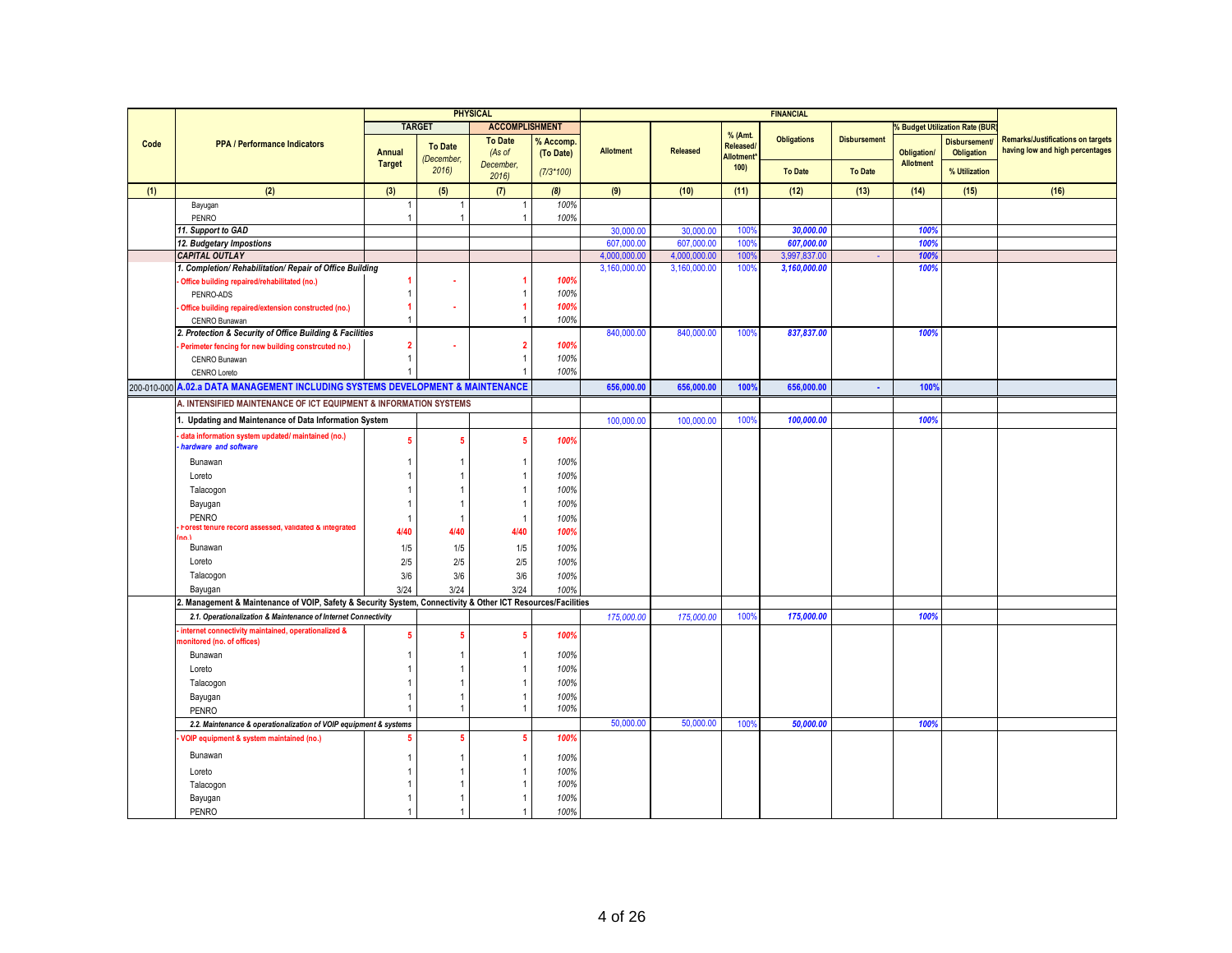|      |                                                                                                           |                |                | <b>PHYSICAL</b>       |             |                  |                 |                        | <b>FINANCIAL</b>   |                     |                    |                                           |                                          |
|------|-----------------------------------------------------------------------------------------------------------|----------------|----------------|-----------------------|-------------|------------------|-----------------|------------------------|--------------------|---------------------|--------------------|-------------------------------------------|------------------------------------------|
|      |                                                                                                           |                | <b>TARGET</b>  | <b>ACCOMPLISHMENT</b> |             |                  |                 |                        |                    |                     |                    | <b>&amp; Budget Utilization Rate (BUR</b> |                                          |
| Code | <b>PPA / Performance Indicators</b>                                                                       |                | <b>To Date</b> | <b>To Date</b>        | % Accomp.   |                  |                 | % (Amt.<br>Released/   | <b>Obligations</b> | <b>Disbursement</b> |                    | <b>Disbursement</b>                       | <b>Remarks/Justifications on targets</b> |
|      |                                                                                                           | <b>Annual</b>  | (December,     | (As of                | (To Date)   | <b>Allotment</b> | <b>Released</b> | Allotment <sup>*</sup> |                    |                     | <b>Obligation/</b> | Obligation                                | having low and high percentages          |
|      |                                                                                                           | <b>Target</b>  | 2016           | December,<br>2016     | $(7/3*100)$ |                  |                 | 100                    | <b>To Date</b>     | <b>To Date</b>      | <b>Allotment</b>   | % Utilization                             |                                          |
| (1)  | (2)                                                                                                       | (3)            | (5)            | (7)                   | (8)         | (9)              | (10)            | (11)                   | (12)               | (13)                | (14)               | (15)                                      | (16)                                     |
|      | Bayugan                                                                                                   | 1              |                |                       | 100%        |                  |                 |                        |                    |                     |                    |                                           |                                          |
|      | PENRO                                                                                                     | $\mathbf{1}$   | $\mathbf{1}$   | $\overline{1}$        | 100%        |                  |                 |                        |                    |                     |                    |                                           |                                          |
|      | 11. Support to GAD                                                                                        |                |                |                       |             | 30,000.00        | 30,000.00       | 100%                   | 30,000.00          |                     | 100%               |                                           |                                          |
|      | 12. Budgetary Impostions                                                                                  |                |                |                       |             | 607,000.00       | 607,000.00      | 100%                   | 607,000.00         |                     | 100%               |                                           |                                          |
|      | <b>CAPITAL OUTLAY</b>                                                                                     |                |                |                       |             | 4,000,000.00     | 4,000,000.0     | 100 <sup>°</sup>       | 3,997,837.00       |                     | <b>100%</b>        |                                           |                                          |
|      | 1. Completion/ Rehabilitation/ Repair of Office Building                                                  |                |                |                       |             | 3.160.000.00     | 3,160,000.00    | 100%                   | 3,160,000.00       |                     | 100%               |                                           |                                          |
|      | Office building repaired/rehabilitated (no.)                                                              |                |                |                       | 100%        |                  |                 |                        |                    |                     |                    |                                           |                                          |
|      | PENRO-ADS                                                                                                 | 1              |                | $\overline{1}$        | 100%        |                  |                 |                        |                    |                     |                    |                                           |                                          |
|      | Office building repaired/extension constructed (no.)                                                      |                |                | $\blacktriangleleft$  | 100%        |                  |                 |                        |                    |                     |                    |                                           |                                          |
|      | CENRO Bunawan                                                                                             |                |                | $\overline{1}$        | 100%        |                  |                 |                        |                    |                     |                    |                                           |                                          |
|      | 2. Protection & Security of Office Building & Facilities                                                  |                |                |                       |             | 840,000.00       | 840,000.00      | 100%                   | 837,837.00         |                     | 100%               |                                           |                                          |
|      | Perimeter fencing for new building constrcuted no.)                                                       | $\overline{2}$ |                | $\overline{2}$        | 100%        |                  |                 |                        |                    |                     |                    |                                           |                                          |
|      | CENRO Bunawan                                                                                             | $\mathbf{1}$   |                | $\overline{1}$        | 100%        |                  |                 |                        |                    |                     |                    |                                           |                                          |
|      | CENRO Loreto                                                                                              |                |                |                       | 100%        |                  |                 |                        |                    |                     |                    |                                           |                                          |
|      | 200-010-000 A.02.a DATA MANAGEMENT INCLUDING SYSTEMS DEVELOPMENT & MAINTENANCE                            |                |                |                       |             | 656,000.00       | 656,000.00      | 100%                   | 656,000.00         | $\mathbf{r}$        | 100%               |                                           |                                          |
|      | A. INTENSIFIED MAINTENANCE OF ICT EQUIPMENT & INFORMATION SYSTEMS                                         |                |                |                       |             |                  |                 |                        |                    |                     |                    |                                           |                                          |
|      | 1. Updating and Maintenance of Data Information System                                                    |                |                |                       |             | 100,000.00       | 100,000.00      | 100%                   | 100,000.00         |                     | 100%               |                                           |                                          |
|      | data information system updated/maintained (no.)<br>hardware and software                                 | 5              | 5              | 5                     | 100%        |                  |                 |                        |                    |                     |                    |                                           |                                          |
|      | Bunawan                                                                                                   |                |                | $\overline{1}$        | 100%        |                  |                 |                        |                    |                     |                    |                                           |                                          |
|      | Loreto                                                                                                    |                |                | $\overline{1}$        | 100%        |                  |                 |                        |                    |                     |                    |                                           |                                          |
|      | Talacogon                                                                                                 |                |                | $\overline{1}$        | 100%        |                  |                 |                        |                    |                     |                    |                                           |                                          |
|      | Bayugan                                                                                                   |                | 1              | $\overline{1}$        | 100%        |                  |                 |                        |                    |                     |                    |                                           |                                          |
|      | <b>PENRO</b>                                                                                              | $\overline{1}$ | $\overline{1}$ | $\overline{1}$        | 100%        |                  |                 |                        |                    |                     |                    |                                           |                                          |
|      | Forest tenure record assessed, validated & integrated                                                     | 4/40           | 4/40           | 4/40                  | 100%        |                  |                 |                        |                    |                     |                    |                                           |                                          |
|      | no 1<br>Bunawan                                                                                           | 1/5            | 1/5            | 1/5                   | 100%        |                  |                 |                        |                    |                     |                    |                                           |                                          |
|      |                                                                                                           |                |                |                       |             |                  |                 |                        |                    |                     |                    |                                           |                                          |
|      | Loreto                                                                                                    | 2/5            | 2/5            | 2/5                   | 100%        |                  |                 |                        |                    |                     |                    |                                           |                                          |
|      | Talacogon                                                                                                 | 3/6            | 3/6            | 3/6                   | 100%        |                  |                 |                        |                    |                     |                    |                                           |                                          |
|      | Bayugan                                                                                                   | 3/24           | 3/24           | 3/24                  | 100%        |                  |                 |                        |                    |                     |                    |                                           |                                          |
|      | Management & Maintenance of VOIP, Safety & Security System, Connectivity & Other ICT Resources/Facilities |                |                |                       |             |                  |                 |                        |                    |                     |                    |                                           |                                          |
|      | 2.1. Operationalization & Maintenance of Internet Connectivity                                            |                |                |                       |             | 175,000.00       | 175,000.00      | 100%                   | 175,000.00         |                     | 100%               |                                           |                                          |
|      | internet connectivity maintained, operationalized &<br>nonitored (no. of offices)                         | 5              | 5.             | 5                     | 100%        |                  |                 |                        |                    |                     |                    |                                           |                                          |
|      | Bunawan                                                                                                   |                |                | $\overline{1}$        | 100%        |                  |                 |                        |                    |                     |                    |                                           |                                          |
|      | Loreto                                                                                                    |                |                | $\mathbf{1}$          | 100%        |                  |                 |                        |                    |                     |                    |                                           |                                          |
|      | Talacogon                                                                                                 |                |                | $\overline{1}$        | 100%        |                  |                 |                        |                    |                     |                    |                                           |                                          |
|      | Bayugan                                                                                                   |                | 1              | $\overline{1}$        | 100%        |                  |                 |                        |                    |                     |                    |                                           |                                          |
|      | <b>PENRO</b>                                                                                              |                | 1              | $\mathbf{1}$          | 100%        |                  |                 |                        |                    |                     |                    |                                           |                                          |
|      | 2.2. Maintenance & operationalization of VOIP equipment & systems                                         |                |                |                       |             | 50,000.00        | 50,000.00       | 100%                   | 50,000.00          |                     | 100%               |                                           |                                          |
|      | <b>VOIP equipment &amp; system maintained (no.)</b>                                                       |                | 5              | 5                     | 100%        |                  |                 |                        |                    |                     |                    |                                           |                                          |
|      |                                                                                                           |                |                |                       |             |                  |                 |                        |                    |                     |                    |                                           |                                          |
|      | Bunawan                                                                                                   |                |                | $\overline{1}$        | 100%        |                  |                 |                        |                    |                     |                    |                                           |                                          |
|      | Loreto                                                                                                    |                |                | $\overline{1}$        | 100%        |                  |                 |                        |                    |                     |                    |                                           |                                          |
|      | Talacogon                                                                                                 |                | 1              | $\overline{1}$        | 100%        |                  |                 |                        |                    |                     |                    |                                           |                                          |
|      | Bayugan                                                                                                   |                | 1              | -1                    | 100%        |                  |                 |                        |                    |                     |                    |                                           |                                          |
|      | PENRO                                                                                                     |                |                |                       | 100%        |                  |                 |                        |                    |                     |                    |                                           |                                          |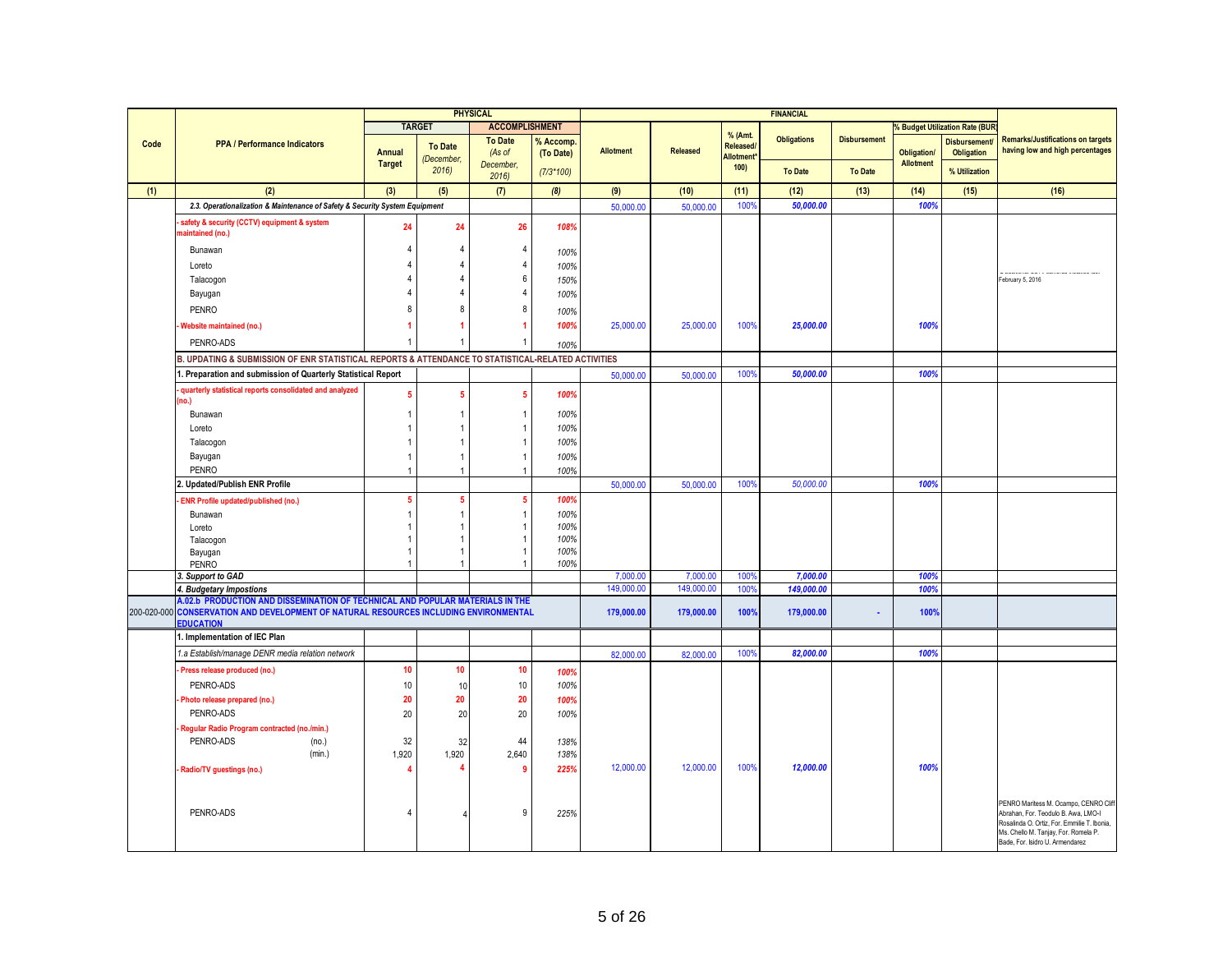|      |                                                                                                          |                  |                | <b>PHYSICAL</b>                  |             |                  |                 |                      | <b>FINANCIAL</b>   |                     |                    |                                     |                                                                                    |
|------|----------------------------------------------------------------------------------------------------------|------------------|----------------|----------------------------------|-------------|------------------|-----------------|----------------------|--------------------|---------------------|--------------------|-------------------------------------|------------------------------------------------------------------------------------|
|      |                                                                                                          |                  | <b>TARGET</b>  | <b>ACCOMPLISHMENT</b>            |             |                  |                 |                      |                    |                     |                    | <b>Budget Utilization Rate (BUR</b> |                                                                                    |
| Code | <b>PPA / Performance Indicators</b>                                                                      |                  | <b>To Date</b> | <b>To Date</b>                   | % Accomp.   |                  |                 | % (Amt.<br>Released/ | <b>Obligations</b> | <b>Disbursement</b> |                    | <b>Disbursement</b>                 | <b>Remarks/Justifications on targets</b>                                           |
|      |                                                                                                          | <b>Annual</b>    | (December,     | (As of                           | (To Date)   | <b>Allotment</b> | <b>Released</b> | Allotment*           |                    |                     | <b>Obligation/</b> | <b>Obligation</b>                   | having low and high percentages                                                    |
|      |                                                                                                          | <b>Target</b>    | 2016           | December,                        | $(7/3*100)$ |                  |                 | 100                  | <b>To Date</b>     | <b>To Date</b>      | Allotment          | % Utilization                       |                                                                                    |
| (1)  | (2)                                                                                                      | (3)              | (5)            | 2016<br>(7)                      | (8)         | (9)              | (10)            | (11)                 | (12)               | (13)                | (14)               | (15)                                | (16)                                                                               |
|      | 2.3. Operationalization & Maintenance of Safety & Security System Equipment                              |                  |                |                                  |             | 50,000.00        | 50,000.00       | 100%                 | 50,000.00          |                     | 100%               |                                     |                                                                                    |
|      |                                                                                                          |                  |                |                                  |             |                  |                 |                      |                    |                     |                    |                                     |                                                                                    |
|      | safety & security (CCTV) equipment & system<br>naintained (no.)                                          | 24               | 24             | 26                               | 108%        |                  |                 |                      |                    |                     |                    |                                     |                                                                                    |
|      | Bunawan                                                                                                  | 4                | 4              | $\overline{4}$                   | 100%        |                  |                 |                      |                    |                     |                    |                                     |                                                                                    |
|      | Loreto                                                                                                   |                  | 4              | $\overline{4}$                   | 100%        |                  |                 |                      |                    |                     |                    |                                     |                                                                                    |
|      | Talacogon                                                                                                |                  | 4              | $6\phantom{1}6$                  | 150%        |                  |                 |                      |                    |                     |                    |                                     | . Anderson and a strain and a strain and<br>February 5, 2016                       |
|      | Bayugan                                                                                                  |                  | 4              | $\overline{4}$                   | 100%        |                  |                 |                      |                    |                     |                    |                                     |                                                                                    |
|      | PENRO                                                                                                    | 8                | 8              | 8                                |             |                  |                 |                      |                    |                     |                    |                                     |                                                                                    |
|      |                                                                                                          |                  |                |                                  | 100%        |                  |                 |                      |                    |                     |                    |                                     |                                                                                    |
|      | Website maintained (no.)                                                                                 |                  |                |                                  | 100%        | 25,000.00        | 25,000.00       | 100%                 | 25,000.00          |                     | 100%               |                                     |                                                                                    |
|      | PENRO-ADS                                                                                                |                  |                |                                  | 100%        |                  |                 |                      |                    |                     |                    |                                     |                                                                                    |
|      | B. UPDATING & SUBMISSION OF ENR STATISTICAL REPORTS & ATTENDANCE TO STATISTICAL-RELATED ACTIVITIES       |                  |                |                                  |             |                  |                 |                      |                    |                     |                    |                                     |                                                                                    |
|      | Preparation and submission of Quarterly Statistical Report                                               |                  |                |                                  |             | 50,000.00        | 50,000.00       | 100%                 | 50,000.00          |                     | 100%               |                                     |                                                                                    |
|      | quarterly statistical reports consolidated and analyzed                                                  | 5                | 5              | $5\phantom{.0}$                  | 100%        |                  |                 |                      |                    |                     |                    |                                     |                                                                                    |
|      | no.)                                                                                                     |                  |                |                                  |             |                  |                 |                      |                    |                     |                    |                                     |                                                                                    |
|      | Bunawan                                                                                                  |                  |                | $\overline{1}$                   | 100%        |                  |                 |                      |                    |                     |                    |                                     |                                                                                    |
|      | Loreto                                                                                                   |                  |                | $\overline{1}$                   | 100%        |                  |                 |                      |                    |                     |                    |                                     |                                                                                    |
|      | Talacogon                                                                                                |                  |                |                                  | 100%        |                  |                 |                      |                    |                     |                    |                                     |                                                                                    |
|      | Bayugan<br>PENRO                                                                                         | 1                |                | $\overline{1}$<br>$\overline{1}$ | 100%        |                  |                 |                      |                    |                     |                    |                                     |                                                                                    |
|      | Updated/Publish ENR Profile                                                                              |                  |                |                                  | 100%        | 50,000.00        | 50,000.00       | 100%                 | 50,000.00          |                     | 100%               |                                     |                                                                                    |
|      | <b>ENR Profile updated/published (no.)</b>                                                               | 5                | 5              | $\overline{5}$                   | 100%        |                  |                 |                      |                    |                     |                    |                                     |                                                                                    |
|      |                                                                                                          | -1               |                | $\overline{1}$                   | 100%        |                  |                 |                      |                    |                     |                    |                                     |                                                                                    |
|      | Bunawan<br>Loreto                                                                                        |                  |                | $\overline{1}$                   | 100%        |                  |                 |                      |                    |                     |                    |                                     |                                                                                    |
|      | Talacogon                                                                                                |                  |                |                                  | 100%        |                  |                 |                      |                    |                     |                    |                                     |                                                                                    |
|      | Bayugan                                                                                                  |                  |                |                                  | 100%        |                  |                 |                      |                    |                     |                    |                                     |                                                                                    |
|      | <b>PENRO</b>                                                                                             |                  |                |                                  | 100%        |                  |                 |                      |                    |                     |                    |                                     |                                                                                    |
|      | 3. Support to GAD                                                                                        |                  |                |                                  |             | 7,000.00         | 7,000.00        | 100%                 | 7,000.00           |                     | 100%               |                                     |                                                                                    |
|      | 4. Budgetary Impostions<br>A.02.b_PRODUCTION AND DISSEMINATION OF TECHNICAL AND POPULAR MATERIALS IN THE |                  |                |                                  |             | 149,000.00       | 149,000.00      | 100%                 | 149,000.00         |                     | 100%               |                                     |                                                                                    |
|      | 200-020-000 CONSERVATION AND DEVELOPMENT OF NATURAL RESOURCES INCLUDING ENVIRONMENTAL                    |                  |                |                                  |             | 179,000.00       | 179,000.00      | 100%                 | 179,000.00         | ×.                  | 100%               |                                     |                                                                                    |
|      | <b>EDUCATION</b>                                                                                         |                  |                |                                  |             |                  |                 |                      |                    |                     |                    |                                     |                                                                                    |
|      | 1. Implementation of IEC Plan                                                                            |                  |                |                                  |             |                  |                 |                      |                    |                     |                    |                                     |                                                                                    |
|      | 1.a Establish/manage DENR media relation network                                                         |                  |                |                                  |             | 82,000.00        | 82,000.00       | 100%                 | 82,000.00          |                     | 100%               |                                     |                                                                                    |
|      | Press release produced (no.)                                                                             | 10               | 10             | 10                               | 100%        |                  |                 |                      |                    |                     |                    |                                     |                                                                                    |
|      | PENRO-ADS                                                                                                | 10 <sup>10</sup> | 10             | $10$                             | 100%        |                  |                 |                      |                    |                     |                    |                                     |                                                                                    |
|      | Photo release prepared (no.)                                                                             | 20               | 20             | 20                               | 100%        |                  |                 |                      |                    |                     |                    |                                     |                                                                                    |
|      | PENRO-ADS                                                                                                | 20               | 20             | 20                               | 100%        |                  |                 |                      |                    |                     |                    |                                     |                                                                                    |
|      | Regular Radio Program contracted (no./min.)                                                              |                  |                |                                  |             |                  |                 |                      |                    |                     |                    |                                     |                                                                                    |
|      | PENRO-ADS<br>(no.)                                                                                       | 32               | 32             | 44                               | 138%        |                  |                 |                      |                    |                     |                    |                                     |                                                                                    |
|      | (min.)                                                                                                   | 1,920            | 1,920          | 2,640                            | 138%        |                  |                 |                      |                    |                     |                    |                                     |                                                                                    |
|      | Radio/TV guestings (no.)                                                                                 | 4                |                | -9                               | 225%        | 12,000.00        | 12,000.00       | 100%                 | 12,000.00          |                     | 100%               |                                     |                                                                                    |
|      |                                                                                                          |                  |                |                                  |             |                  |                 |                      |                    |                     |                    |                                     |                                                                                    |
|      |                                                                                                          |                  |                |                                  |             |                  |                 |                      |                    |                     |                    |                                     | PENRO Maritess M. Ocampo, CENRO Cliff                                              |
|      | PENRO-ADS                                                                                                | 4                |                | 9                                | 225%        |                  |                 |                      |                    |                     |                    |                                     | Abrahan, For. Teodulo B. Awa, LMO-I<br>Rosalinda O. Ortiz, For. Emmilie T. Ibonia, |
|      |                                                                                                          |                  |                |                                  |             |                  |                 |                      |                    |                     |                    |                                     | Ms. Chello M. Tanjay, For. Romela P.                                               |
|      |                                                                                                          |                  |                |                                  |             |                  |                 |                      |                    |                     |                    |                                     | Bade, For. Isidro U. Armendarez                                                    |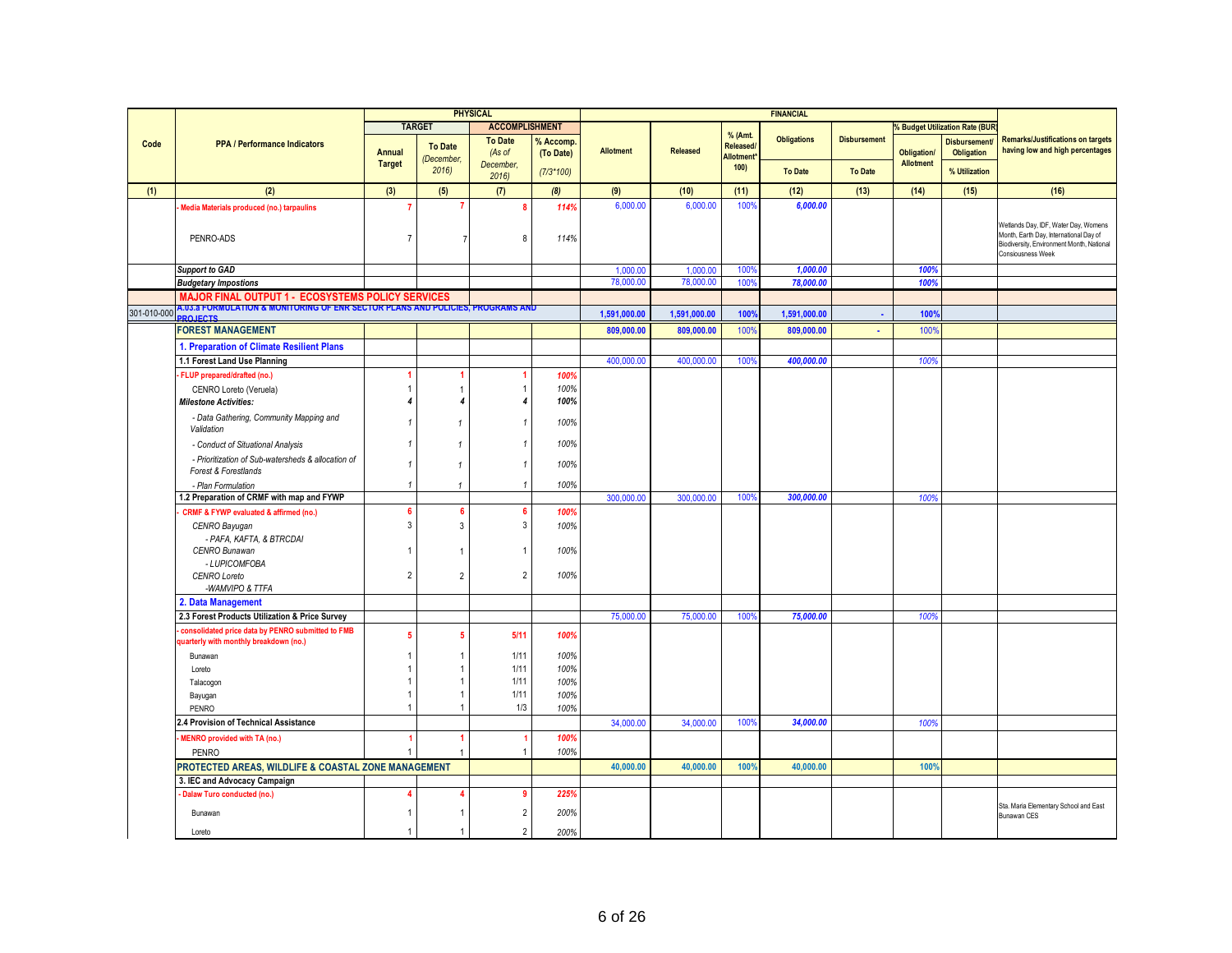|             |                                                                                             |                |                    | <b>PHYSICAL</b>          |                        |                  |                 |                                | <b>FINANCIAL</b>   |                     |                    |                                          |                                                                                                                                                  |
|-------------|---------------------------------------------------------------------------------------------|----------------|--------------------|--------------------------|------------------------|------------------|-----------------|--------------------------------|--------------------|---------------------|--------------------|------------------------------------------|--------------------------------------------------------------------------------------------------------------------------------------------------|
|             |                                                                                             |                | <b>TARGET</b>      | <b>ACCOMPLISHMENT</b>    |                        |                  |                 |                                |                    |                     |                    | % Budget Utilization Rate (BUR           |                                                                                                                                                  |
| Code        | <b>PPA / Performance Indicators</b>                                                         | Annual         | <b>To Date</b>     | <b>To Date</b><br>(As of | % Accomp.<br>(To Date) | <b>Allotment</b> | <b>Released</b> | % (Amt.<br>Released/           | <b>Obligations</b> | <b>Disbursement</b> | <b>Obligation/</b> | <b>Disbursement</b><br><b>Obligation</b> | <b>Remarks/Justifications on targets</b><br>having low and high percentages                                                                      |
|             |                                                                                             | <b>Target</b>  | (December,<br>2016 | December,<br>2016        | $(7/3*100)$            |                  |                 | Allotment <sup>®</sup><br>100) | <b>To Date</b>     | <b>To Date</b>      | <b>Allotment</b>   | % Utilization                            |                                                                                                                                                  |
| (1)         | (2)                                                                                         | (3)            | (5)                | (7)                      | (8)                    | (9)              | (10)            | (11)                           | (12)               | (13)                | (14)               | (15)                                     | (16)                                                                                                                                             |
|             |                                                                                             |                |                    | $\mathbf{a}$             | 114%                   | 6,000.00         | 6,000.00        | 100%                           | 6,000.00           |                     |                    |                                          |                                                                                                                                                  |
|             | Media Materials produced (no.) tarpaulins<br>PENRO-ADS                                      | $\overline{7}$ |                    | 8                        | 114%                   |                  |                 |                                |                    |                     |                    |                                          | Wetlands Day, IDF, Water Day, Womens<br>Month, Earth Day, International Day of<br>Biodiversity, Environment Month, National<br>Consiousness Week |
|             | <b>Support to GAD</b>                                                                       |                |                    |                          |                        | 1,000.00         | 1,000.00        | 100 <sub>9</sub>               | 1,000.00           |                     | 100%               |                                          |                                                                                                                                                  |
|             | <b>Budgetary Impostions</b>                                                                 |                |                    |                          |                        | 78,000.00        | 78,000.00       | 100 <sup>o</sup>               | 78,000.00          |                     | 100%               |                                          |                                                                                                                                                  |
|             | <b>MAJOR FINAL OUTPUT 1 - ECOSYSTEMS POLICY SERVICES</b>                                    |                |                    |                          |                        |                  |                 |                                |                    |                     |                    |                                          |                                                                                                                                                  |
| 301-010-000 | 4.03.a FORMULATION & MONITORING OF ENR SECTOR PLANS AND POLICIES, PROGRAMS AND              |                |                    |                          |                        | 1,591,000.00     | 1,591,000.00    | 100%                           | 1,591,000.00       | $\blacksquare$      | 100%               |                                          |                                                                                                                                                  |
|             | <b>PO IFCTS</b><br><b>FOREST MANAGEMENT</b>                                                 |                |                    |                          |                        | 809,000.00       | 809,000.00      | 100%                           | 809,000.00         |                     | 100%               |                                          |                                                                                                                                                  |
|             |                                                                                             |                |                    |                          |                        |                  |                 |                                |                    | $\blacksquare$      |                    |                                          |                                                                                                                                                  |
|             | 1. Preparation of Climate Resilient Plans                                                   |                |                    |                          |                        |                  |                 |                                |                    |                     |                    |                                          |                                                                                                                                                  |
|             | 1.1 Forest Land Use Planning                                                                |                |                    |                          |                        | 400,000.00       | 400,000.00      | 100%                           | 400,000.00         |                     | 100%               |                                          |                                                                                                                                                  |
|             | FLUP prepared/drafted (no.)                                                                 |                |                    |                          | 100%                   |                  |                 |                                |                    |                     |                    |                                          |                                                                                                                                                  |
|             | CENRO Loreto (Veruela)<br><b>Milestone Activities:</b>                                      |                |                    |                          | 100%<br>100%           |                  |                 |                                |                    |                     |                    |                                          |                                                                                                                                                  |
|             |                                                                                             |                |                    |                          |                        |                  |                 |                                |                    |                     |                    |                                          |                                                                                                                                                  |
|             | - Data Gathering, Community Mapping and<br>Validation                                       |                | $\mathbf{1}$       |                          | 100%                   |                  |                 |                                |                    |                     |                    |                                          |                                                                                                                                                  |
|             | - Conduct of Situational Analysis                                                           |                | $\mathbf{1}$       |                          | 100%                   |                  |                 |                                |                    |                     |                    |                                          |                                                                                                                                                  |
|             | - Prioritization of Sub-watersheds & allocation of<br><b>Forest &amp; Forestlands</b>       |                | $\mathbf{1}$       |                          | 100%                   |                  |                 |                                |                    |                     |                    |                                          |                                                                                                                                                  |
|             | - Plan Formulation                                                                          |                | $\mathbf{1}$       |                          | 100%                   |                  |                 |                                |                    |                     |                    |                                          |                                                                                                                                                  |
|             | 1.2 Preparation of CRMF with map and FYWP                                                   |                |                    |                          |                        | 300,000.00       | 300,000.00      | 100%                           | 300,000.00         |                     | 100%               |                                          |                                                                                                                                                  |
|             | <b>CRMF &amp; FYWP evaluated &amp; affirmed (no.)</b>                                       | 6              |                    |                          | 100%                   |                  |                 |                                |                    |                     |                    |                                          |                                                                                                                                                  |
|             | CENRO Bayugan<br>- PAFA, KAFTA, & BTRCDAI                                                   | $\mathbf{3}$   | 3                  | 3                        | 100%                   |                  |                 |                                |                    |                     |                    |                                          |                                                                                                                                                  |
|             | CENRO Bunawan                                                                               |                |                    |                          | 100%                   |                  |                 |                                |                    |                     |                    |                                          |                                                                                                                                                  |
|             | - LUPICOMFOBA                                                                               | $\overline{2}$ | $\overline{2}$     | $\overline{2}$           | 100%                   |                  |                 |                                |                    |                     |                    |                                          |                                                                                                                                                  |
|             | CENRO Loreto<br>-WAMVIPO & TTFA                                                             |                |                    |                          |                        |                  |                 |                                |                    |                     |                    |                                          |                                                                                                                                                  |
|             | 2. Data Management                                                                          |                |                    |                          |                        |                  |                 |                                |                    |                     |                    |                                          |                                                                                                                                                  |
|             | 2.3 Forest Products Utilization & Price Survey                                              |                |                    |                          |                        | 75,000.00        | 75,000.00       | 100                            | 75,000.00          |                     | 1009               |                                          |                                                                                                                                                  |
|             | consolidated price data by PENRO submitted to FMB<br>quarterly with monthly breakdown (no.) | -5             |                    | 5/11                     | 100%                   |                  |                 |                                |                    |                     |                    |                                          |                                                                                                                                                  |
|             | Bunawan                                                                                     |                |                    | 1/11                     | 100%                   |                  |                 |                                |                    |                     |                    |                                          |                                                                                                                                                  |
|             | Loreto                                                                                      |                |                    | 1/11                     | 100%                   |                  |                 |                                |                    |                     |                    |                                          |                                                                                                                                                  |
|             | Talacogon                                                                                   |                |                    | 1/11                     | 100%                   |                  |                 |                                |                    |                     |                    |                                          |                                                                                                                                                  |
|             | Bayugan<br>PENRO                                                                            |                |                    | 1/11<br>1/3              | 100%<br>100%           |                  |                 |                                |                    |                     |                    |                                          |                                                                                                                                                  |
|             |                                                                                             |                |                    |                          |                        |                  |                 | 100%                           | 34,000.00          |                     |                    |                                          |                                                                                                                                                  |
|             | 2.4 Provision of Technical Assistance                                                       |                |                    |                          | 100%                   | 34,000.00        | 34,000.00       |                                |                    |                     | 100%               |                                          |                                                                                                                                                  |
|             | <b>MENRO provided with TA (no.)</b><br><b>PENRO</b>                                         |                |                    |                          | 100%                   |                  |                 |                                |                    |                     |                    |                                          |                                                                                                                                                  |
|             | PROTECTED AREAS, WILDLIFE & COASTAL ZONE MANAGEMENT                                         |                |                    |                          |                        | 40,000.00        | 40,000.00       | 100%                           | 40,000.00          |                     | 100%               |                                          |                                                                                                                                                  |
|             | 3. IEC and Advocacy Campaign                                                                |                |                    |                          |                        |                  |                 |                                |                    |                     |                    |                                          |                                                                                                                                                  |
|             | Dalaw Turo conducted (no.)                                                                  |                |                    |                          | 225%                   |                  |                 |                                |                    |                     |                    |                                          |                                                                                                                                                  |
|             | Bunawan                                                                                     |                |                    | $\overline{2}$           | 200%                   |                  |                 |                                |                    |                     |                    |                                          | Sta. Maria Elementary School and East<br>Bunawan CES                                                                                             |
|             | Loreto                                                                                      | -1             | -1                 | $\overline{2}$           | 200%                   |                  |                 |                                |                    |                     |                    |                                          |                                                                                                                                                  |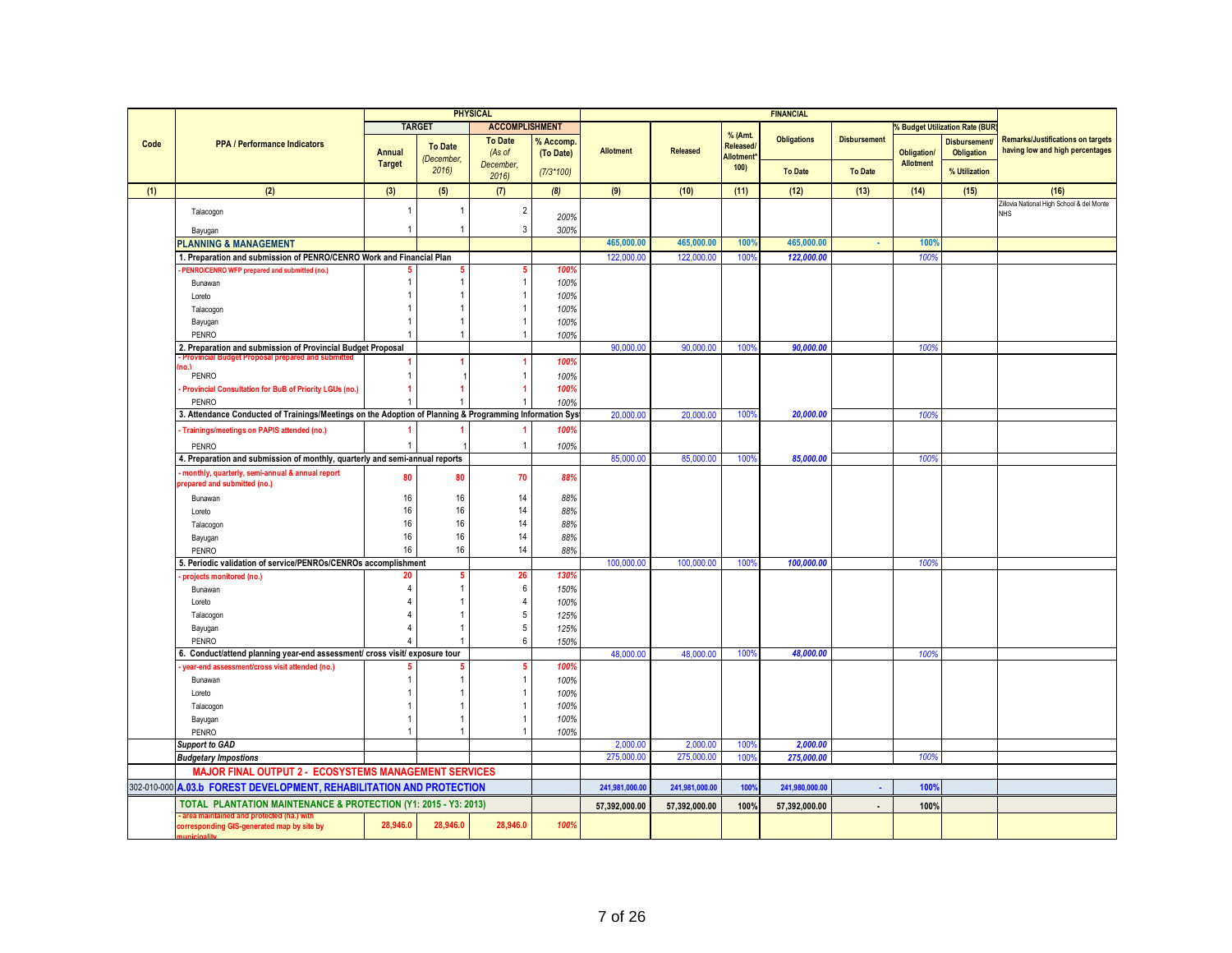| <b>TARGET</b><br><b>ACCOMPLISHMENT</b><br><b>Budget Utilization Rate (BUF</b><br>% (Amt.<br><b>Obligations</b><br><b>Remarks/Justifications on targets</b><br><b>To Date</b><br><b>Disbursement</b><br>% Accomp<br><b>Disbursement</b><br>Code<br><b>PPA / Performance Indicators</b><br><b>To Date</b><br>Released/<br>having low and high percentages<br><b>Allotment</b><br><b>Released</b><br><b>Annual</b><br>(As of<br><b>Obligation/</b><br><b>Obligation</b><br>(To Date)<br>Allotment*<br>(December,<br><b>Allotment</b><br><b>Target</b><br>December,<br>100)<br>2016<br><b>To Date</b><br>% Utilization<br>$(7/3*100)$<br><b>To Date</b><br>2016<br>(2)<br>(1)<br>(3)<br>(5)<br>(7)<br>(8)<br>(9)<br>(10)<br>(11)<br>(12)<br>(13)<br>(14)<br>(15)<br>(16)<br>Zillovia National High School & del Monte<br>$\overline{2}$<br>1<br>Talacogon<br><b>NHS</b><br>200%<br>3<br>Bayugan<br>$\mathbf{1}$<br>300%<br>465,000.00<br>465,000.00<br>100%<br>465,000.00<br>100%<br><b>PLANNING &amp; MANAGEMENT</b><br>×<br>1. Preparation and submission of PENRO/CENRO Work and Financial Plan<br>122,000.00<br>122,000.00<br>100%<br>122,000.00<br>100%<br>PENRO/CENRO WFP prepared and submitted (no.)<br>-5<br>100%<br>$\overline{1}$<br>100%<br>Bunawan<br>$\overline{1}$<br>100%<br>Loreto<br>100%<br>Talacogon<br>100%<br>Bayugan<br>100%<br>PENRO<br>$\overline{1}$<br>2. Preparation and submission of Provincial Budget Proposal<br>90,000.00<br>100 <sup>°</sup><br>90,000.00<br>90,000.00<br>100%<br>- Provincial Budget Proposal prepared and submitted<br>100%<br>(nn)<br>PENRO<br>$\overline{1}$<br>100%<br>100%<br>-1<br>Provincial Consultation for BuB of Priority LGUs (no.)<br>PENRO<br>100%<br>3. Attendance Conducted of Trainings/Meetings on the Adoption of Planning & Programming Information Syst<br>100%<br>20,000.00<br>20,000.00<br>20,000.00<br>100%<br>Trainings/meetings on PAPIS attended (no.)<br>100%<br>PENRO<br>$\overline{1}$<br>100%<br>85,000.00<br>85,000.00<br>100%<br>100%<br>4. Preparation and submission of monthly, quarterly and semi-annual reports<br>85,000.00<br>monthly, quarterly, semi-annual & annual report<br>70<br>88%<br>80<br>80<br>repared and submitted (no.)<br>14<br>16<br>16<br>Bunawan<br>88%<br>14<br>16<br>16<br>88%<br>Loreto<br>16<br>16<br>14<br>88%<br>Talacogon<br>16<br>14<br>16<br>88%<br>Bayugan<br>14<br>16<br>16<br>PENRO<br>88%<br>5. Periodic validation of service/PENROs/CENROs accomplishment<br>100,000.00<br>100,000.00<br>100%<br>100,000.00<br>100%<br>26<br>130%<br>5<br>projects monitored (no.)<br>20<br>$\boldsymbol{6}$<br>Bunawan<br>150%<br>$\overline{4}$<br>100%<br>Loreto<br>$\sqrt{5}$<br>125%<br>Talacogon<br>$\overline{5}$<br>125%<br>Bayugan<br>1<br>$6\phantom{1}6$<br>150%<br><b>PENRO</b><br>6. Conduct/attend planning year-end assessment/ cross visit/ exposure tour<br>48,000.00<br>48.000.00<br>100%<br>48.000.00<br>100%<br>5<br>100%<br>year-end assessment/cross visit attended (no.)<br>Bunawan<br>$\mathbf{1}$<br>100%<br>100%<br>Loreto<br>100%<br>Talacogon<br>Bayugan<br>100%<br>PENRO<br>$\overline{1}$<br>100%<br><b>Support to GAD</b><br>100%<br>2.000.00<br>2,000.00<br>2,000.00<br>275,000.00<br>275,000.00<br>275,000.00<br>100%<br>100 <sup>°</sup><br><b>Budgetary Impostions</b><br><b>MAJOR FINAL OUTPUT 2 - ECOSYSTEMS MANAGEMENT SERVICES</b><br>302-010-000 A.03.b FOREST DEVELOPMENT, REHABILITATION AND PROTECTION<br>241,980,000.00<br>100%<br>241,981,000.00<br>241,981,000.00<br>100%<br>×,<br>TOTAL PLANTATION MAINTENANCE & PROTECTION (Y1: 2015 - Y3: 2013)<br>100%<br>57,392,000.00<br>57,392,000.00<br>100%<br>57,392,000.00<br>$\ddot{\phantom{a}}$<br>area maintained and protected (ha.) with<br>28.946.0<br>28.946.0<br>28.946.0<br>100%<br>corresponding GIS-generated map by site by |  |  | <b>PHYSICAL</b> |  |  | <b>FINANCIAL</b> |  |  |
|-------------------------------------------------------------------------------------------------------------------------------------------------------------------------------------------------------------------------------------------------------------------------------------------------------------------------------------------------------------------------------------------------------------------------------------------------------------------------------------------------------------------------------------------------------------------------------------------------------------------------------------------------------------------------------------------------------------------------------------------------------------------------------------------------------------------------------------------------------------------------------------------------------------------------------------------------------------------------------------------------------------------------------------------------------------------------------------------------------------------------------------------------------------------------------------------------------------------------------------------------------------------------------------------------------------------------------------------------------------------------------------------------------------------------------------------------------------------------------------------------------------------------------------------------------------------------------------------------------------------------------------------------------------------------------------------------------------------------------------------------------------------------------------------------------------------------------------------------------------------------------------------------------------------------------------------------------------------------------------------------------------------------------------------------------------------------------------------------------------------------------------------------------------------------------------------------------------------------------------------------------------------------------------------------------------------------------------------------------------------------------------------------------------------------------------------------------------------------------------------------------------------------------------------------------------------------------------------------------------------------------------------------------------------------------------------------------------------------------------------------------------------------------------------------------------------------------------------------------------------------------------------------------------------------------------------------------------------------------------------------------------------------------------------------------------------------------------------------------------------------------------------------------------------------------------------------------------------------------------------------------------------------------------------------------------------------------------------------------------------------------------------------------------------------------------------------------------------------------------------------------------------------------------------------------------------------------------------------------------------------------------------------------------------------------------------------------------------------------------------------------------------------------------------------------------------------------------------|--|--|-----------------|--|--|------------------|--|--|
|                                                                                                                                                                                                                                                                                                                                                                                                                                                                                                                                                                                                                                                                                                                                                                                                                                                                                                                                                                                                                                                                                                                                                                                                                                                                                                                                                                                                                                                                                                                                                                                                                                                                                                                                                                                                                                                                                                                                                                                                                                                                                                                                                                                                                                                                                                                                                                                                                                                                                                                                                                                                                                                                                                                                                                                                                                                                                                                                                                                                                                                                                                                                                                                                                                                                                                                                                                                                                                                                                                                                                                                                                                                                                                                                                                                                                                           |  |  |                 |  |  |                  |  |  |
|                                                                                                                                                                                                                                                                                                                                                                                                                                                                                                                                                                                                                                                                                                                                                                                                                                                                                                                                                                                                                                                                                                                                                                                                                                                                                                                                                                                                                                                                                                                                                                                                                                                                                                                                                                                                                                                                                                                                                                                                                                                                                                                                                                                                                                                                                                                                                                                                                                                                                                                                                                                                                                                                                                                                                                                                                                                                                                                                                                                                                                                                                                                                                                                                                                                                                                                                                                                                                                                                                                                                                                                                                                                                                                                                                                                                                                           |  |  |                 |  |  |                  |  |  |
|                                                                                                                                                                                                                                                                                                                                                                                                                                                                                                                                                                                                                                                                                                                                                                                                                                                                                                                                                                                                                                                                                                                                                                                                                                                                                                                                                                                                                                                                                                                                                                                                                                                                                                                                                                                                                                                                                                                                                                                                                                                                                                                                                                                                                                                                                                                                                                                                                                                                                                                                                                                                                                                                                                                                                                                                                                                                                                                                                                                                                                                                                                                                                                                                                                                                                                                                                                                                                                                                                                                                                                                                                                                                                                                                                                                                                                           |  |  |                 |  |  |                  |  |  |
|                                                                                                                                                                                                                                                                                                                                                                                                                                                                                                                                                                                                                                                                                                                                                                                                                                                                                                                                                                                                                                                                                                                                                                                                                                                                                                                                                                                                                                                                                                                                                                                                                                                                                                                                                                                                                                                                                                                                                                                                                                                                                                                                                                                                                                                                                                                                                                                                                                                                                                                                                                                                                                                                                                                                                                                                                                                                                                                                                                                                                                                                                                                                                                                                                                                                                                                                                                                                                                                                                                                                                                                                                                                                                                                                                                                                                                           |  |  |                 |  |  |                  |  |  |
|                                                                                                                                                                                                                                                                                                                                                                                                                                                                                                                                                                                                                                                                                                                                                                                                                                                                                                                                                                                                                                                                                                                                                                                                                                                                                                                                                                                                                                                                                                                                                                                                                                                                                                                                                                                                                                                                                                                                                                                                                                                                                                                                                                                                                                                                                                                                                                                                                                                                                                                                                                                                                                                                                                                                                                                                                                                                                                                                                                                                                                                                                                                                                                                                                                                                                                                                                                                                                                                                                                                                                                                                                                                                                                                                                                                                                                           |  |  |                 |  |  |                  |  |  |
|                                                                                                                                                                                                                                                                                                                                                                                                                                                                                                                                                                                                                                                                                                                                                                                                                                                                                                                                                                                                                                                                                                                                                                                                                                                                                                                                                                                                                                                                                                                                                                                                                                                                                                                                                                                                                                                                                                                                                                                                                                                                                                                                                                                                                                                                                                                                                                                                                                                                                                                                                                                                                                                                                                                                                                                                                                                                                                                                                                                                                                                                                                                                                                                                                                                                                                                                                                                                                                                                                                                                                                                                                                                                                                                                                                                                                                           |  |  |                 |  |  |                  |  |  |
|                                                                                                                                                                                                                                                                                                                                                                                                                                                                                                                                                                                                                                                                                                                                                                                                                                                                                                                                                                                                                                                                                                                                                                                                                                                                                                                                                                                                                                                                                                                                                                                                                                                                                                                                                                                                                                                                                                                                                                                                                                                                                                                                                                                                                                                                                                                                                                                                                                                                                                                                                                                                                                                                                                                                                                                                                                                                                                                                                                                                                                                                                                                                                                                                                                                                                                                                                                                                                                                                                                                                                                                                                                                                                                                                                                                                                                           |  |  |                 |  |  |                  |  |  |
|                                                                                                                                                                                                                                                                                                                                                                                                                                                                                                                                                                                                                                                                                                                                                                                                                                                                                                                                                                                                                                                                                                                                                                                                                                                                                                                                                                                                                                                                                                                                                                                                                                                                                                                                                                                                                                                                                                                                                                                                                                                                                                                                                                                                                                                                                                                                                                                                                                                                                                                                                                                                                                                                                                                                                                                                                                                                                                                                                                                                                                                                                                                                                                                                                                                                                                                                                                                                                                                                                                                                                                                                                                                                                                                                                                                                                                           |  |  |                 |  |  |                  |  |  |
|                                                                                                                                                                                                                                                                                                                                                                                                                                                                                                                                                                                                                                                                                                                                                                                                                                                                                                                                                                                                                                                                                                                                                                                                                                                                                                                                                                                                                                                                                                                                                                                                                                                                                                                                                                                                                                                                                                                                                                                                                                                                                                                                                                                                                                                                                                                                                                                                                                                                                                                                                                                                                                                                                                                                                                                                                                                                                                                                                                                                                                                                                                                                                                                                                                                                                                                                                                                                                                                                                                                                                                                                                                                                                                                                                                                                                                           |  |  |                 |  |  |                  |  |  |
|                                                                                                                                                                                                                                                                                                                                                                                                                                                                                                                                                                                                                                                                                                                                                                                                                                                                                                                                                                                                                                                                                                                                                                                                                                                                                                                                                                                                                                                                                                                                                                                                                                                                                                                                                                                                                                                                                                                                                                                                                                                                                                                                                                                                                                                                                                                                                                                                                                                                                                                                                                                                                                                                                                                                                                                                                                                                                                                                                                                                                                                                                                                                                                                                                                                                                                                                                                                                                                                                                                                                                                                                                                                                                                                                                                                                                                           |  |  |                 |  |  |                  |  |  |
|                                                                                                                                                                                                                                                                                                                                                                                                                                                                                                                                                                                                                                                                                                                                                                                                                                                                                                                                                                                                                                                                                                                                                                                                                                                                                                                                                                                                                                                                                                                                                                                                                                                                                                                                                                                                                                                                                                                                                                                                                                                                                                                                                                                                                                                                                                                                                                                                                                                                                                                                                                                                                                                                                                                                                                                                                                                                                                                                                                                                                                                                                                                                                                                                                                                                                                                                                                                                                                                                                                                                                                                                                                                                                                                                                                                                                                           |  |  |                 |  |  |                  |  |  |
|                                                                                                                                                                                                                                                                                                                                                                                                                                                                                                                                                                                                                                                                                                                                                                                                                                                                                                                                                                                                                                                                                                                                                                                                                                                                                                                                                                                                                                                                                                                                                                                                                                                                                                                                                                                                                                                                                                                                                                                                                                                                                                                                                                                                                                                                                                                                                                                                                                                                                                                                                                                                                                                                                                                                                                                                                                                                                                                                                                                                                                                                                                                                                                                                                                                                                                                                                                                                                                                                                                                                                                                                                                                                                                                                                                                                                                           |  |  |                 |  |  |                  |  |  |
|                                                                                                                                                                                                                                                                                                                                                                                                                                                                                                                                                                                                                                                                                                                                                                                                                                                                                                                                                                                                                                                                                                                                                                                                                                                                                                                                                                                                                                                                                                                                                                                                                                                                                                                                                                                                                                                                                                                                                                                                                                                                                                                                                                                                                                                                                                                                                                                                                                                                                                                                                                                                                                                                                                                                                                                                                                                                                                                                                                                                                                                                                                                                                                                                                                                                                                                                                                                                                                                                                                                                                                                                                                                                                                                                                                                                                                           |  |  |                 |  |  |                  |  |  |
|                                                                                                                                                                                                                                                                                                                                                                                                                                                                                                                                                                                                                                                                                                                                                                                                                                                                                                                                                                                                                                                                                                                                                                                                                                                                                                                                                                                                                                                                                                                                                                                                                                                                                                                                                                                                                                                                                                                                                                                                                                                                                                                                                                                                                                                                                                                                                                                                                                                                                                                                                                                                                                                                                                                                                                                                                                                                                                                                                                                                                                                                                                                                                                                                                                                                                                                                                                                                                                                                                                                                                                                                                                                                                                                                                                                                                                           |  |  |                 |  |  |                  |  |  |
|                                                                                                                                                                                                                                                                                                                                                                                                                                                                                                                                                                                                                                                                                                                                                                                                                                                                                                                                                                                                                                                                                                                                                                                                                                                                                                                                                                                                                                                                                                                                                                                                                                                                                                                                                                                                                                                                                                                                                                                                                                                                                                                                                                                                                                                                                                                                                                                                                                                                                                                                                                                                                                                                                                                                                                                                                                                                                                                                                                                                                                                                                                                                                                                                                                                                                                                                                                                                                                                                                                                                                                                                                                                                                                                                                                                                                                           |  |  |                 |  |  |                  |  |  |
|                                                                                                                                                                                                                                                                                                                                                                                                                                                                                                                                                                                                                                                                                                                                                                                                                                                                                                                                                                                                                                                                                                                                                                                                                                                                                                                                                                                                                                                                                                                                                                                                                                                                                                                                                                                                                                                                                                                                                                                                                                                                                                                                                                                                                                                                                                                                                                                                                                                                                                                                                                                                                                                                                                                                                                                                                                                                                                                                                                                                                                                                                                                                                                                                                                                                                                                                                                                                                                                                                                                                                                                                                                                                                                                                                                                                                                           |  |  |                 |  |  |                  |  |  |
|                                                                                                                                                                                                                                                                                                                                                                                                                                                                                                                                                                                                                                                                                                                                                                                                                                                                                                                                                                                                                                                                                                                                                                                                                                                                                                                                                                                                                                                                                                                                                                                                                                                                                                                                                                                                                                                                                                                                                                                                                                                                                                                                                                                                                                                                                                                                                                                                                                                                                                                                                                                                                                                                                                                                                                                                                                                                                                                                                                                                                                                                                                                                                                                                                                                                                                                                                                                                                                                                                                                                                                                                                                                                                                                                                                                                                                           |  |  |                 |  |  |                  |  |  |
|                                                                                                                                                                                                                                                                                                                                                                                                                                                                                                                                                                                                                                                                                                                                                                                                                                                                                                                                                                                                                                                                                                                                                                                                                                                                                                                                                                                                                                                                                                                                                                                                                                                                                                                                                                                                                                                                                                                                                                                                                                                                                                                                                                                                                                                                                                                                                                                                                                                                                                                                                                                                                                                                                                                                                                                                                                                                                                                                                                                                                                                                                                                                                                                                                                                                                                                                                                                                                                                                                                                                                                                                                                                                                                                                                                                                                                           |  |  |                 |  |  |                  |  |  |
|                                                                                                                                                                                                                                                                                                                                                                                                                                                                                                                                                                                                                                                                                                                                                                                                                                                                                                                                                                                                                                                                                                                                                                                                                                                                                                                                                                                                                                                                                                                                                                                                                                                                                                                                                                                                                                                                                                                                                                                                                                                                                                                                                                                                                                                                                                                                                                                                                                                                                                                                                                                                                                                                                                                                                                                                                                                                                                                                                                                                                                                                                                                                                                                                                                                                                                                                                                                                                                                                                                                                                                                                                                                                                                                                                                                                                                           |  |  |                 |  |  |                  |  |  |
|                                                                                                                                                                                                                                                                                                                                                                                                                                                                                                                                                                                                                                                                                                                                                                                                                                                                                                                                                                                                                                                                                                                                                                                                                                                                                                                                                                                                                                                                                                                                                                                                                                                                                                                                                                                                                                                                                                                                                                                                                                                                                                                                                                                                                                                                                                                                                                                                                                                                                                                                                                                                                                                                                                                                                                                                                                                                                                                                                                                                                                                                                                                                                                                                                                                                                                                                                                                                                                                                                                                                                                                                                                                                                                                                                                                                                                           |  |  |                 |  |  |                  |  |  |
|                                                                                                                                                                                                                                                                                                                                                                                                                                                                                                                                                                                                                                                                                                                                                                                                                                                                                                                                                                                                                                                                                                                                                                                                                                                                                                                                                                                                                                                                                                                                                                                                                                                                                                                                                                                                                                                                                                                                                                                                                                                                                                                                                                                                                                                                                                                                                                                                                                                                                                                                                                                                                                                                                                                                                                                                                                                                                                                                                                                                                                                                                                                                                                                                                                                                                                                                                                                                                                                                                                                                                                                                                                                                                                                                                                                                                                           |  |  |                 |  |  |                  |  |  |
|                                                                                                                                                                                                                                                                                                                                                                                                                                                                                                                                                                                                                                                                                                                                                                                                                                                                                                                                                                                                                                                                                                                                                                                                                                                                                                                                                                                                                                                                                                                                                                                                                                                                                                                                                                                                                                                                                                                                                                                                                                                                                                                                                                                                                                                                                                                                                                                                                                                                                                                                                                                                                                                                                                                                                                                                                                                                                                                                                                                                                                                                                                                                                                                                                                                                                                                                                                                                                                                                                                                                                                                                                                                                                                                                                                                                                                           |  |  |                 |  |  |                  |  |  |
|                                                                                                                                                                                                                                                                                                                                                                                                                                                                                                                                                                                                                                                                                                                                                                                                                                                                                                                                                                                                                                                                                                                                                                                                                                                                                                                                                                                                                                                                                                                                                                                                                                                                                                                                                                                                                                                                                                                                                                                                                                                                                                                                                                                                                                                                                                                                                                                                                                                                                                                                                                                                                                                                                                                                                                                                                                                                                                                                                                                                                                                                                                                                                                                                                                                                                                                                                                                                                                                                                                                                                                                                                                                                                                                                                                                                                                           |  |  |                 |  |  |                  |  |  |
|                                                                                                                                                                                                                                                                                                                                                                                                                                                                                                                                                                                                                                                                                                                                                                                                                                                                                                                                                                                                                                                                                                                                                                                                                                                                                                                                                                                                                                                                                                                                                                                                                                                                                                                                                                                                                                                                                                                                                                                                                                                                                                                                                                                                                                                                                                                                                                                                                                                                                                                                                                                                                                                                                                                                                                                                                                                                                                                                                                                                                                                                                                                                                                                                                                                                                                                                                                                                                                                                                                                                                                                                                                                                                                                                                                                                                                           |  |  |                 |  |  |                  |  |  |
|                                                                                                                                                                                                                                                                                                                                                                                                                                                                                                                                                                                                                                                                                                                                                                                                                                                                                                                                                                                                                                                                                                                                                                                                                                                                                                                                                                                                                                                                                                                                                                                                                                                                                                                                                                                                                                                                                                                                                                                                                                                                                                                                                                                                                                                                                                                                                                                                                                                                                                                                                                                                                                                                                                                                                                                                                                                                                                                                                                                                                                                                                                                                                                                                                                                                                                                                                                                                                                                                                                                                                                                                                                                                                                                                                                                                                                           |  |  |                 |  |  |                  |  |  |
|                                                                                                                                                                                                                                                                                                                                                                                                                                                                                                                                                                                                                                                                                                                                                                                                                                                                                                                                                                                                                                                                                                                                                                                                                                                                                                                                                                                                                                                                                                                                                                                                                                                                                                                                                                                                                                                                                                                                                                                                                                                                                                                                                                                                                                                                                                                                                                                                                                                                                                                                                                                                                                                                                                                                                                                                                                                                                                                                                                                                                                                                                                                                                                                                                                                                                                                                                                                                                                                                                                                                                                                                                                                                                                                                                                                                                                           |  |  |                 |  |  |                  |  |  |
|                                                                                                                                                                                                                                                                                                                                                                                                                                                                                                                                                                                                                                                                                                                                                                                                                                                                                                                                                                                                                                                                                                                                                                                                                                                                                                                                                                                                                                                                                                                                                                                                                                                                                                                                                                                                                                                                                                                                                                                                                                                                                                                                                                                                                                                                                                                                                                                                                                                                                                                                                                                                                                                                                                                                                                                                                                                                                                                                                                                                                                                                                                                                                                                                                                                                                                                                                                                                                                                                                                                                                                                                                                                                                                                                                                                                                                           |  |  |                 |  |  |                  |  |  |
|                                                                                                                                                                                                                                                                                                                                                                                                                                                                                                                                                                                                                                                                                                                                                                                                                                                                                                                                                                                                                                                                                                                                                                                                                                                                                                                                                                                                                                                                                                                                                                                                                                                                                                                                                                                                                                                                                                                                                                                                                                                                                                                                                                                                                                                                                                                                                                                                                                                                                                                                                                                                                                                                                                                                                                                                                                                                                                                                                                                                                                                                                                                                                                                                                                                                                                                                                                                                                                                                                                                                                                                                                                                                                                                                                                                                                                           |  |  |                 |  |  |                  |  |  |
|                                                                                                                                                                                                                                                                                                                                                                                                                                                                                                                                                                                                                                                                                                                                                                                                                                                                                                                                                                                                                                                                                                                                                                                                                                                                                                                                                                                                                                                                                                                                                                                                                                                                                                                                                                                                                                                                                                                                                                                                                                                                                                                                                                                                                                                                                                                                                                                                                                                                                                                                                                                                                                                                                                                                                                                                                                                                                                                                                                                                                                                                                                                                                                                                                                                                                                                                                                                                                                                                                                                                                                                                                                                                                                                                                                                                                                           |  |  |                 |  |  |                  |  |  |
|                                                                                                                                                                                                                                                                                                                                                                                                                                                                                                                                                                                                                                                                                                                                                                                                                                                                                                                                                                                                                                                                                                                                                                                                                                                                                                                                                                                                                                                                                                                                                                                                                                                                                                                                                                                                                                                                                                                                                                                                                                                                                                                                                                                                                                                                                                                                                                                                                                                                                                                                                                                                                                                                                                                                                                                                                                                                                                                                                                                                                                                                                                                                                                                                                                                                                                                                                                                                                                                                                                                                                                                                                                                                                                                                                                                                                                           |  |  |                 |  |  |                  |  |  |
|                                                                                                                                                                                                                                                                                                                                                                                                                                                                                                                                                                                                                                                                                                                                                                                                                                                                                                                                                                                                                                                                                                                                                                                                                                                                                                                                                                                                                                                                                                                                                                                                                                                                                                                                                                                                                                                                                                                                                                                                                                                                                                                                                                                                                                                                                                                                                                                                                                                                                                                                                                                                                                                                                                                                                                                                                                                                                                                                                                                                                                                                                                                                                                                                                                                                                                                                                                                                                                                                                                                                                                                                                                                                                                                                                                                                                                           |  |  |                 |  |  |                  |  |  |
|                                                                                                                                                                                                                                                                                                                                                                                                                                                                                                                                                                                                                                                                                                                                                                                                                                                                                                                                                                                                                                                                                                                                                                                                                                                                                                                                                                                                                                                                                                                                                                                                                                                                                                                                                                                                                                                                                                                                                                                                                                                                                                                                                                                                                                                                                                                                                                                                                                                                                                                                                                                                                                                                                                                                                                                                                                                                                                                                                                                                                                                                                                                                                                                                                                                                                                                                                                                                                                                                                                                                                                                                                                                                                                                                                                                                                                           |  |  |                 |  |  |                  |  |  |
|                                                                                                                                                                                                                                                                                                                                                                                                                                                                                                                                                                                                                                                                                                                                                                                                                                                                                                                                                                                                                                                                                                                                                                                                                                                                                                                                                                                                                                                                                                                                                                                                                                                                                                                                                                                                                                                                                                                                                                                                                                                                                                                                                                                                                                                                                                                                                                                                                                                                                                                                                                                                                                                                                                                                                                                                                                                                                                                                                                                                                                                                                                                                                                                                                                                                                                                                                                                                                                                                                                                                                                                                                                                                                                                                                                                                                                           |  |  |                 |  |  |                  |  |  |
|                                                                                                                                                                                                                                                                                                                                                                                                                                                                                                                                                                                                                                                                                                                                                                                                                                                                                                                                                                                                                                                                                                                                                                                                                                                                                                                                                                                                                                                                                                                                                                                                                                                                                                                                                                                                                                                                                                                                                                                                                                                                                                                                                                                                                                                                                                                                                                                                                                                                                                                                                                                                                                                                                                                                                                                                                                                                                                                                                                                                                                                                                                                                                                                                                                                                                                                                                                                                                                                                                                                                                                                                                                                                                                                                                                                                                                           |  |  |                 |  |  |                  |  |  |
|                                                                                                                                                                                                                                                                                                                                                                                                                                                                                                                                                                                                                                                                                                                                                                                                                                                                                                                                                                                                                                                                                                                                                                                                                                                                                                                                                                                                                                                                                                                                                                                                                                                                                                                                                                                                                                                                                                                                                                                                                                                                                                                                                                                                                                                                                                                                                                                                                                                                                                                                                                                                                                                                                                                                                                                                                                                                                                                                                                                                                                                                                                                                                                                                                                                                                                                                                                                                                                                                                                                                                                                                                                                                                                                                                                                                                                           |  |  |                 |  |  |                  |  |  |
|                                                                                                                                                                                                                                                                                                                                                                                                                                                                                                                                                                                                                                                                                                                                                                                                                                                                                                                                                                                                                                                                                                                                                                                                                                                                                                                                                                                                                                                                                                                                                                                                                                                                                                                                                                                                                                                                                                                                                                                                                                                                                                                                                                                                                                                                                                                                                                                                                                                                                                                                                                                                                                                                                                                                                                                                                                                                                                                                                                                                                                                                                                                                                                                                                                                                                                                                                                                                                                                                                                                                                                                                                                                                                                                                                                                                                                           |  |  |                 |  |  |                  |  |  |
|                                                                                                                                                                                                                                                                                                                                                                                                                                                                                                                                                                                                                                                                                                                                                                                                                                                                                                                                                                                                                                                                                                                                                                                                                                                                                                                                                                                                                                                                                                                                                                                                                                                                                                                                                                                                                                                                                                                                                                                                                                                                                                                                                                                                                                                                                                                                                                                                                                                                                                                                                                                                                                                                                                                                                                                                                                                                                                                                                                                                                                                                                                                                                                                                                                                                                                                                                                                                                                                                                                                                                                                                                                                                                                                                                                                                                                           |  |  |                 |  |  |                  |  |  |
|                                                                                                                                                                                                                                                                                                                                                                                                                                                                                                                                                                                                                                                                                                                                                                                                                                                                                                                                                                                                                                                                                                                                                                                                                                                                                                                                                                                                                                                                                                                                                                                                                                                                                                                                                                                                                                                                                                                                                                                                                                                                                                                                                                                                                                                                                                                                                                                                                                                                                                                                                                                                                                                                                                                                                                                                                                                                                                                                                                                                                                                                                                                                                                                                                                                                                                                                                                                                                                                                                                                                                                                                                                                                                                                                                                                                                                           |  |  |                 |  |  |                  |  |  |
|                                                                                                                                                                                                                                                                                                                                                                                                                                                                                                                                                                                                                                                                                                                                                                                                                                                                                                                                                                                                                                                                                                                                                                                                                                                                                                                                                                                                                                                                                                                                                                                                                                                                                                                                                                                                                                                                                                                                                                                                                                                                                                                                                                                                                                                                                                                                                                                                                                                                                                                                                                                                                                                                                                                                                                                                                                                                                                                                                                                                                                                                                                                                                                                                                                                                                                                                                                                                                                                                                                                                                                                                                                                                                                                                                                                                                                           |  |  |                 |  |  |                  |  |  |
|                                                                                                                                                                                                                                                                                                                                                                                                                                                                                                                                                                                                                                                                                                                                                                                                                                                                                                                                                                                                                                                                                                                                                                                                                                                                                                                                                                                                                                                                                                                                                                                                                                                                                                                                                                                                                                                                                                                                                                                                                                                                                                                                                                                                                                                                                                                                                                                                                                                                                                                                                                                                                                                                                                                                                                                                                                                                                                                                                                                                                                                                                                                                                                                                                                                                                                                                                                                                                                                                                                                                                                                                                                                                                                                                                                                                                                           |  |  |                 |  |  |                  |  |  |
|                                                                                                                                                                                                                                                                                                                                                                                                                                                                                                                                                                                                                                                                                                                                                                                                                                                                                                                                                                                                                                                                                                                                                                                                                                                                                                                                                                                                                                                                                                                                                                                                                                                                                                                                                                                                                                                                                                                                                                                                                                                                                                                                                                                                                                                                                                                                                                                                                                                                                                                                                                                                                                                                                                                                                                                                                                                                                                                                                                                                                                                                                                                                                                                                                                                                                                                                                                                                                                                                                                                                                                                                                                                                                                                                                                                                                                           |  |  |                 |  |  |                  |  |  |
|                                                                                                                                                                                                                                                                                                                                                                                                                                                                                                                                                                                                                                                                                                                                                                                                                                                                                                                                                                                                                                                                                                                                                                                                                                                                                                                                                                                                                                                                                                                                                                                                                                                                                                                                                                                                                                                                                                                                                                                                                                                                                                                                                                                                                                                                                                                                                                                                                                                                                                                                                                                                                                                                                                                                                                                                                                                                                                                                                                                                                                                                                                                                                                                                                                                                                                                                                                                                                                                                                                                                                                                                                                                                                                                                                                                                                                           |  |  |                 |  |  |                  |  |  |
|                                                                                                                                                                                                                                                                                                                                                                                                                                                                                                                                                                                                                                                                                                                                                                                                                                                                                                                                                                                                                                                                                                                                                                                                                                                                                                                                                                                                                                                                                                                                                                                                                                                                                                                                                                                                                                                                                                                                                                                                                                                                                                                                                                                                                                                                                                                                                                                                                                                                                                                                                                                                                                                                                                                                                                                                                                                                                                                                                                                                                                                                                                                                                                                                                                                                                                                                                                                                                                                                                                                                                                                                                                                                                                                                                                                                                                           |  |  |                 |  |  |                  |  |  |
|                                                                                                                                                                                                                                                                                                                                                                                                                                                                                                                                                                                                                                                                                                                                                                                                                                                                                                                                                                                                                                                                                                                                                                                                                                                                                                                                                                                                                                                                                                                                                                                                                                                                                                                                                                                                                                                                                                                                                                                                                                                                                                                                                                                                                                                                                                                                                                                                                                                                                                                                                                                                                                                                                                                                                                                                                                                                                                                                                                                                                                                                                                                                                                                                                                                                                                                                                                                                                                                                                                                                                                                                                                                                                                                                                                                                                                           |  |  |                 |  |  |                  |  |  |
|                                                                                                                                                                                                                                                                                                                                                                                                                                                                                                                                                                                                                                                                                                                                                                                                                                                                                                                                                                                                                                                                                                                                                                                                                                                                                                                                                                                                                                                                                                                                                                                                                                                                                                                                                                                                                                                                                                                                                                                                                                                                                                                                                                                                                                                                                                                                                                                                                                                                                                                                                                                                                                                                                                                                                                                                                                                                                                                                                                                                                                                                                                                                                                                                                                                                                                                                                                                                                                                                                                                                                                                                                                                                                                                                                                                                                                           |  |  |                 |  |  |                  |  |  |
|                                                                                                                                                                                                                                                                                                                                                                                                                                                                                                                                                                                                                                                                                                                                                                                                                                                                                                                                                                                                                                                                                                                                                                                                                                                                                                                                                                                                                                                                                                                                                                                                                                                                                                                                                                                                                                                                                                                                                                                                                                                                                                                                                                                                                                                                                                                                                                                                                                                                                                                                                                                                                                                                                                                                                                                                                                                                                                                                                                                                                                                                                                                                                                                                                                                                                                                                                                                                                                                                                                                                                                                                                                                                                                                                                                                                                                           |  |  |                 |  |  |                  |  |  |
|                                                                                                                                                                                                                                                                                                                                                                                                                                                                                                                                                                                                                                                                                                                                                                                                                                                                                                                                                                                                                                                                                                                                                                                                                                                                                                                                                                                                                                                                                                                                                                                                                                                                                                                                                                                                                                                                                                                                                                                                                                                                                                                                                                                                                                                                                                                                                                                                                                                                                                                                                                                                                                                                                                                                                                                                                                                                                                                                                                                                                                                                                                                                                                                                                                                                                                                                                                                                                                                                                                                                                                                                                                                                                                                                                                                                                                           |  |  |                 |  |  |                  |  |  |
|                                                                                                                                                                                                                                                                                                                                                                                                                                                                                                                                                                                                                                                                                                                                                                                                                                                                                                                                                                                                                                                                                                                                                                                                                                                                                                                                                                                                                                                                                                                                                                                                                                                                                                                                                                                                                                                                                                                                                                                                                                                                                                                                                                                                                                                                                                                                                                                                                                                                                                                                                                                                                                                                                                                                                                                                                                                                                                                                                                                                                                                                                                                                                                                                                                                                                                                                                                                                                                                                                                                                                                                                                                                                                                                                                                                                                                           |  |  |                 |  |  |                  |  |  |
|                                                                                                                                                                                                                                                                                                                                                                                                                                                                                                                                                                                                                                                                                                                                                                                                                                                                                                                                                                                                                                                                                                                                                                                                                                                                                                                                                                                                                                                                                                                                                                                                                                                                                                                                                                                                                                                                                                                                                                                                                                                                                                                                                                                                                                                                                                                                                                                                                                                                                                                                                                                                                                                                                                                                                                                                                                                                                                                                                                                                                                                                                                                                                                                                                                                                                                                                                                                                                                                                                                                                                                                                                                                                                                                                                                                                                                           |  |  |                 |  |  |                  |  |  |
|                                                                                                                                                                                                                                                                                                                                                                                                                                                                                                                                                                                                                                                                                                                                                                                                                                                                                                                                                                                                                                                                                                                                                                                                                                                                                                                                                                                                                                                                                                                                                                                                                                                                                                                                                                                                                                                                                                                                                                                                                                                                                                                                                                                                                                                                                                                                                                                                                                                                                                                                                                                                                                                                                                                                                                                                                                                                                                                                                                                                                                                                                                                                                                                                                                                                                                                                                                                                                                                                                                                                                                                                                                                                                                                                                                                                                                           |  |  |                 |  |  |                  |  |  |
|                                                                                                                                                                                                                                                                                                                                                                                                                                                                                                                                                                                                                                                                                                                                                                                                                                                                                                                                                                                                                                                                                                                                                                                                                                                                                                                                                                                                                                                                                                                                                                                                                                                                                                                                                                                                                                                                                                                                                                                                                                                                                                                                                                                                                                                                                                                                                                                                                                                                                                                                                                                                                                                                                                                                                                                                                                                                                                                                                                                                                                                                                                                                                                                                                                                                                                                                                                                                                                                                                                                                                                                                                                                                                                                                                                                                                                           |  |  |                 |  |  |                  |  |  |
|                                                                                                                                                                                                                                                                                                                                                                                                                                                                                                                                                                                                                                                                                                                                                                                                                                                                                                                                                                                                                                                                                                                                                                                                                                                                                                                                                                                                                                                                                                                                                                                                                                                                                                                                                                                                                                                                                                                                                                                                                                                                                                                                                                                                                                                                                                                                                                                                                                                                                                                                                                                                                                                                                                                                                                                                                                                                                                                                                                                                                                                                                                                                                                                                                                                                                                                                                                                                                                                                                                                                                                                                                                                                                                                                                                                                                                           |  |  |                 |  |  |                  |  |  |
|                                                                                                                                                                                                                                                                                                                                                                                                                                                                                                                                                                                                                                                                                                                                                                                                                                                                                                                                                                                                                                                                                                                                                                                                                                                                                                                                                                                                                                                                                                                                                                                                                                                                                                                                                                                                                                                                                                                                                                                                                                                                                                                                                                                                                                                                                                                                                                                                                                                                                                                                                                                                                                                                                                                                                                                                                                                                                                                                                                                                                                                                                                                                                                                                                                                                                                                                                                                                                                                                                                                                                                                                                                                                                                                                                                                                                                           |  |  |                 |  |  |                  |  |  |
|                                                                                                                                                                                                                                                                                                                                                                                                                                                                                                                                                                                                                                                                                                                                                                                                                                                                                                                                                                                                                                                                                                                                                                                                                                                                                                                                                                                                                                                                                                                                                                                                                                                                                                                                                                                                                                                                                                                                                                                                                                                                                                                                                                                                                                                                                                                                                                                                                                                                                                                                                                                                                                                                                                                                                                                                                                                                                                                                                                                                                                                                                                                                                                                                                                                                                                                                                                                                                                                                                                                                                                                                                                                                                                                                                                                                                                           |  |  |                 |  |  |                  |  |  |
|                                                                                                                                                                                                                                                                                                                                                                                                                                                                                                                                                                                                                                                                                                                                                                                                                                                                                                                                                                                                                                                                                                                                                                                                                                                                                                                                                                                                                                                                                                                                                                                                                                                                                                                                                                                                                                                                                                                                                                                                                                                                                                                                                                                                                                                                                                                                                                                                                                                                                                                                                                                                                                                                                                                                                                                                                                                                                                                                                                                                                                                                                                                                                                                                                                                                                                                                                                                                                                                                                                                                                                                                                                                                                                                                                                                                                                           |  |  |                 |  |  |                  |  |  |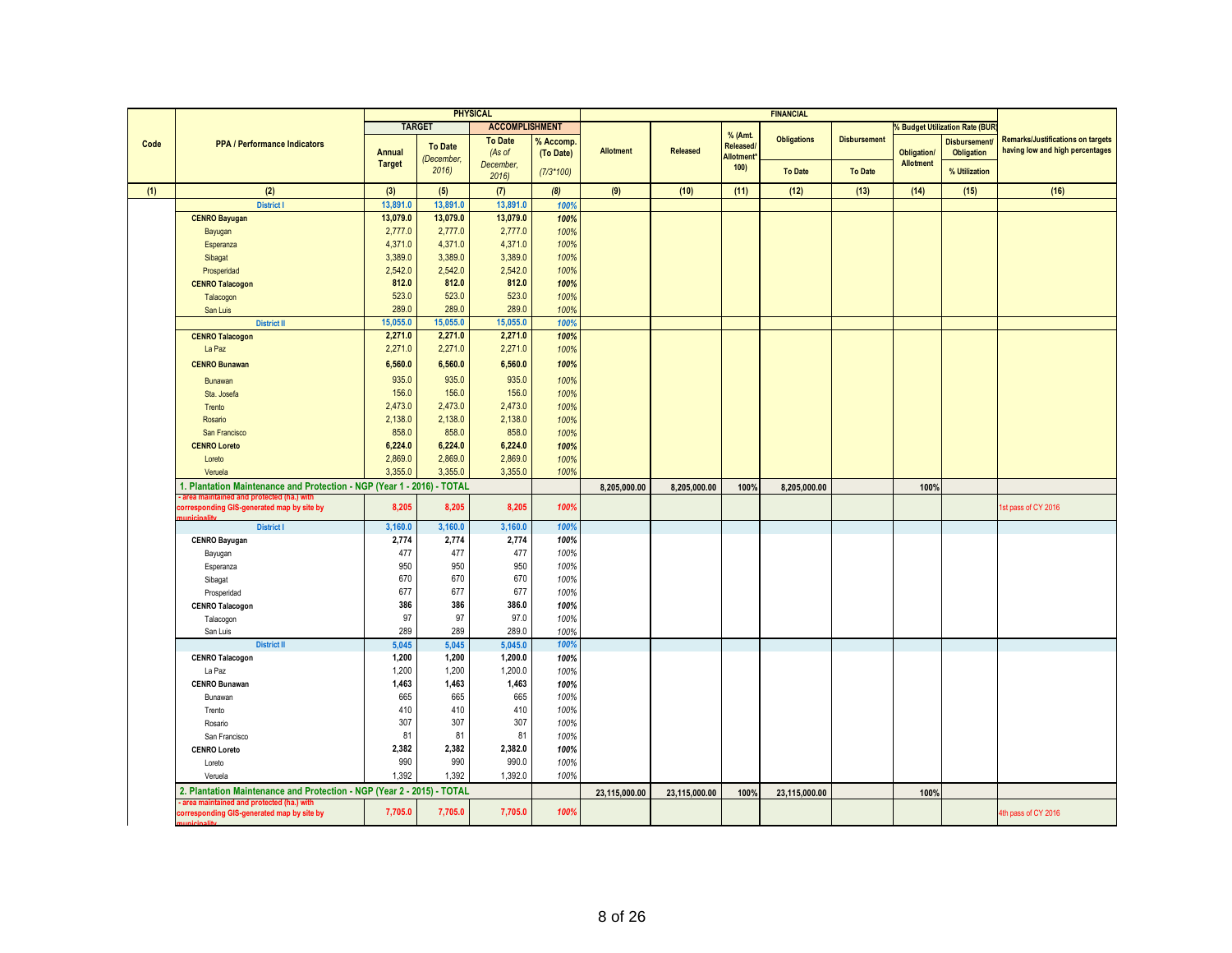|      |                                                                                        |                     |                              | <b>PHYSICAL</b>       |              |                  |               |                              | <b>FINANCIAL</b>   |                     |                  |                                |                                          |
|------|----------------------------------------------------------------------------------------|---------------------|------------------------------|-----------------------|--------------|------------------|---------------|------------------------------|--------------------|---------------------|------------------|--------------------------------|------------------------------------------|
|      |                                                                                        |                     | <b>TARGET</b>                | <b>ACCOMPLISHMENT</b> |              |                  |               |                              |                    |                     |                  | % Budget Utilization Rate (BUR |                                          |
| Code | <b>PPA / Performance Indicators</b>                                                    |                     |                              | <b>To Date</b>        | % Accomp.    |                  |               | % (Amt.                      | <b>Obligations</b> | <b>Disbursement</b> |                  | <b>Disbursement</b>            | <b>Remarks/Justifications on targets</b> |
|      |                                                                                        | <b>Annual</b>       | <b>To Date</b><br>(December, | (As of                | (To Date)    | <b>Allotment</b> | Released      | Released<br><b>Allotment</b> |                    |                     | Obligation/      | Obligation                     | having low and high percentages          |
|      |                                                                                        | <b>Target</b>       | 2016                         | December,             | $(7/3*100)$  |                  |               | 100                          | <b>To Date</b>     | <b>To Date</b>      | <b>Allotment</b> | % Utilization                  |                                          |
|      |                                                                                        |                     |                              | 2016                  |              |                  |               |                              |                    |                     |                  |                                |                                          |
| (1)  | (2)                                                                                    | (3)                 | (5)                          | (7)                   | (8)          | (9)              | (10)          | (11)                         | (12)               | (13)                | (14)             | (15)                           | (16)                                     |
|      | <b>District I</b>                                                                      | 13.891.0            | 13.891.0                     | 13,891.0              | 100%         |                  |               |                              |                    |                     |                  |                                |                                          |
|      | <b>CENRO Bayugan</b>                                                                   | 13,079.0            | 13,079.0                     | 13,079.0              | 100%         |                  |               |                              |                    |                     |                  |                                |                                          |
|      | Bayugan                                                                                | 2,777.0             | 2,777.0                      | 2,777.0               | 100%         |                  |               |                              |                    |                     |                  |                                |                                          |
|      | Esperanza                                                                              | 4,371.0             | 4,371.0                      | 4,371.0               | 100%         |                  |               |                              |                    |                     |                  |                                |                                          |
|      | Sibagat                                                                                | 3,389.0             | 3,389.0                      | 3,389.0               | 100%         |                  |               |                              |                    |                     |                  |                                |                                          |
|      | Prosperidad                                                                            | 2,542.0             | 2,542.0                      | 2,542.0               | 100%         |                  |               |                              |                    |                     |                  |                                |                                          |
|      | <b>CENRO Talacogon</b>                                                                 | 812.0               | 812.0<br>523.0               | 812.0                 | 100%         |                  |               |                              |                    |                     |                  |                                |                                          |
|      | Talacogon                                                                              | 523.0<br>289.0      | 289.0                        | 523.0                 | 100%         |                  |               |                              |                    |                     |                  |                                |                                          |
|      | San Luis                                                                               |                     |                              | 289.0                 | 100%         |                  |               |                              |                    |                     |                  |                                |                                          |
|      | <b>District II</b>                                                                     | 15,055.0<br>2,271.0 | 15,055.0<br>2,271.0          | 15,055.0<br>2,271.0   | 100%<br>100% |                  |               |                              |                    |                     |                  |                                |                                          |
|      | <b>CENRO Talacogon</b>                                                                 | 2,271.0             | 2,271.0                      | 2,271.0               | 100%         |                  |               |                              |                    |                     |                  |                                |                                          |
|      | La Paz                                                                                 |                     |                              |                       |              |                  |               |                              |                    |                     |                  |                                |                                          |
|      | <b>CENRO Bunawan</b>                                                                   | 6,560.0             | 6,560.0                      | 6,560.0               | 100%         |                  |               |                              |                    |                     |                  |                                |                                          |
|      | Bunawan                                                                                | 935.0               | 935.0                        | 935.0                 | 100%         |                  |               |                              |                    |                     |                  |                                |                                          |
|      | Sta, Josefa                                                                            | 156.0               | 156.0                        | 156.0                 | 100%         |                  |               |                              |                    |                     |                  |                                |                                          |
|      | Trento                                                                                 | 2,473.0             | 2,473.0                      | 2,473.0               | 100%         |                  |               |                              |                    |                     |                  |                                |                                          |
|      | Rosario                                                                                | 2,138.0             | 2,138.0                      | 2,138.0               | 100%         |                  |               |                              |                    |                     |                  |                                |                                          |
|      | San Francisco                                                                          | 858.0               | 858.0                        | 858.0                 | 100%         |                  |               |                              |                    |                     |                  |                                |                                          |
|      | <b>CENRO Loreto</b>                                                                    | 6,224.0             | 6,224.0                      | 6,224.0               | 100%         |                  |               |                              |                    |                     |                  |                                |                                          |
|      | Loreto                                                                                 | 2,869.0             | 2,869.0                      | 2,869.0               | 100%         |                  |               |                              |                    |                     |                  |                                |                                          |
|      | Veruela                                                                                | 3,355.0             | 3,355.0                      | 3,355.0               | 100%         |                  |               |                              |                    |                     |                  |                                |                                          |
|      | 1. Plantation Maintenance and Protection - NGP (Year 1 - 2016) - TOTAL                 |                     |                              |                       |              | 8,205,000.00     | 8.205.000.00  | 100%                         | 8.205.000.00       |                     | 100%             |                                |                                          |
|      | area maintained and protected (ha.) with<br>corresponding GIS-generated map by site by | 8,205               | 8,205                        | 8,205                 | 100%         |                  |               |                              |                    |                     |                  |                                | 1st pass of CY 2016                      |
|      | nininality                                                                             |                     |                              |                       |              |                  |               |                              |                    |                     |                  |                                |                                          |
|      | <b>District I</b>                                                                      | 3,160.0             | 3,160.0                      | 3,160.0               | 100%         |                  |               |                              |                    |                     |                  |                                |                                          |
|      | <b>CENRO Bayugan</b>                                                                   | 2,774               | 2,774                        | 2,774                 | 100%         |                  |               |                              |                    |                     |                  |                                |                                          |
|      | Bayugan                                                                                | 477                 | 477                          | 477                   | 100%         |                  |               |                              |                    |                     |                  |                                |                                          |
|      | Esperanza                                                                              | 950                 | 950                          | 950                   | 100%         |                  |               |                              |                    |                     |                  |                                |                                          |
|      | Sibagat                                                                                | 670                 | 670                          | 670                   | 100%         |                  |               |                              |                    |                     |                  |                                |                                          |
|      | Prosperidad                                                                            | 677                 | 677                          | 677                   | 100%         |                  |               |                              |                    |                     |                  |                                |                                          |
|      | <b>CENRO Talacogon</b>                                                                 | 386                 | 386                          | 386.0                 | 100%         |                  |               |                              |                    |                     |                  |                                |                                          |
|      | Talacogon                                                                              | 97                  | 97                           | 97.0                  | 100%         |                  |               |                              |                    |                     |                  |                                |                                          |
|      | San Luis                                                                               | 289                 | 289                          | 289.0                 | 100%         |                  |               |                              |                    |                     |                  |                                |                                          |
|      | <b>District II</b>                                                                     | 5,045               | 5,045                        | 5,045.0               | 100%         |                  |               |                              |                    |                     |                  |                                |                                          |
|      | <b>CENRO Talacogon</b>                                                                 | 1,200               | 1,200                        | 1,200.0               | 100%         |                  |               |                              |                    |                     |                  |                                |                                          |
|      | La Paz                                                                                 | 1,200               | 1,200                        | 1,200.0               | 100%         |                  |               |                              |                    |                     |                  |                                |                                          |
|      | <b>CENRO Bunawan</b>                                                                   | 1,463               | 1,463                        | 1,463                 | 100%         |                  |               |                              |                    |                     |                  |                                |                                          |
|      | Bunawan                                                                                | 665                 | 665                          | 665                   | 100%         |                  |               |                              |                    |                     |                  |                                |                                          |
|      | Trento                                                                                 | 410                 | 410                          | 410                   | 100%         |                  |               |                              |                    |                     |                  |                                |                                          |
|      | Rosario                                                                                | 307                 | 307                          | 307                   | 100%         |                  |               |                              |                    |                     |                  |                                |                                          |
|      | San Francisco                                                                          | 81                  | 81                           | 81                    | 100%         |                  |               |                              |                    |                     |                  |                                |                                          |
|      | <b>CENRO Loreto</b>                                                                    | 2,382               | 2,382                        | 2,382.0               | 100%         |                  |               |                              |                    |                     |                  |                                |                                          |
|      | Loreto                                                                                 | 990                 | 990                          | 990.0                 | 100%         |                  |               |                              |                    |                     |                  |                                |                                          |
|      | Veruela                                                                                | 1,392               | 1,392                        | 1,392.0               | 100%         |                  |               |                              |                    |                     |                  |                                |                                          |
|      | 2. Plantation Maintenance and Protection - NGP (Year 2 - 2015) - TOTAL                 |                     |                              |                       |              | 23,115,000.00    | 23,115,000.00 | 100%                         | 23,115,000.00      |                     | 100%             |                                |                                          |
|      | area maintained and protected (ha.) with<br>corresponding GIS-generated map by site by | 7,705.0             | 7,705.0                      | 7,705.0               | 100%         |                  |               |                              |                    |                     |                  |                                | 4th pass of CY 2016                      |
|      |                                                                                        |                     |                              |                       |              |                  |               |                              |                    |                     |                  |                                |                                          |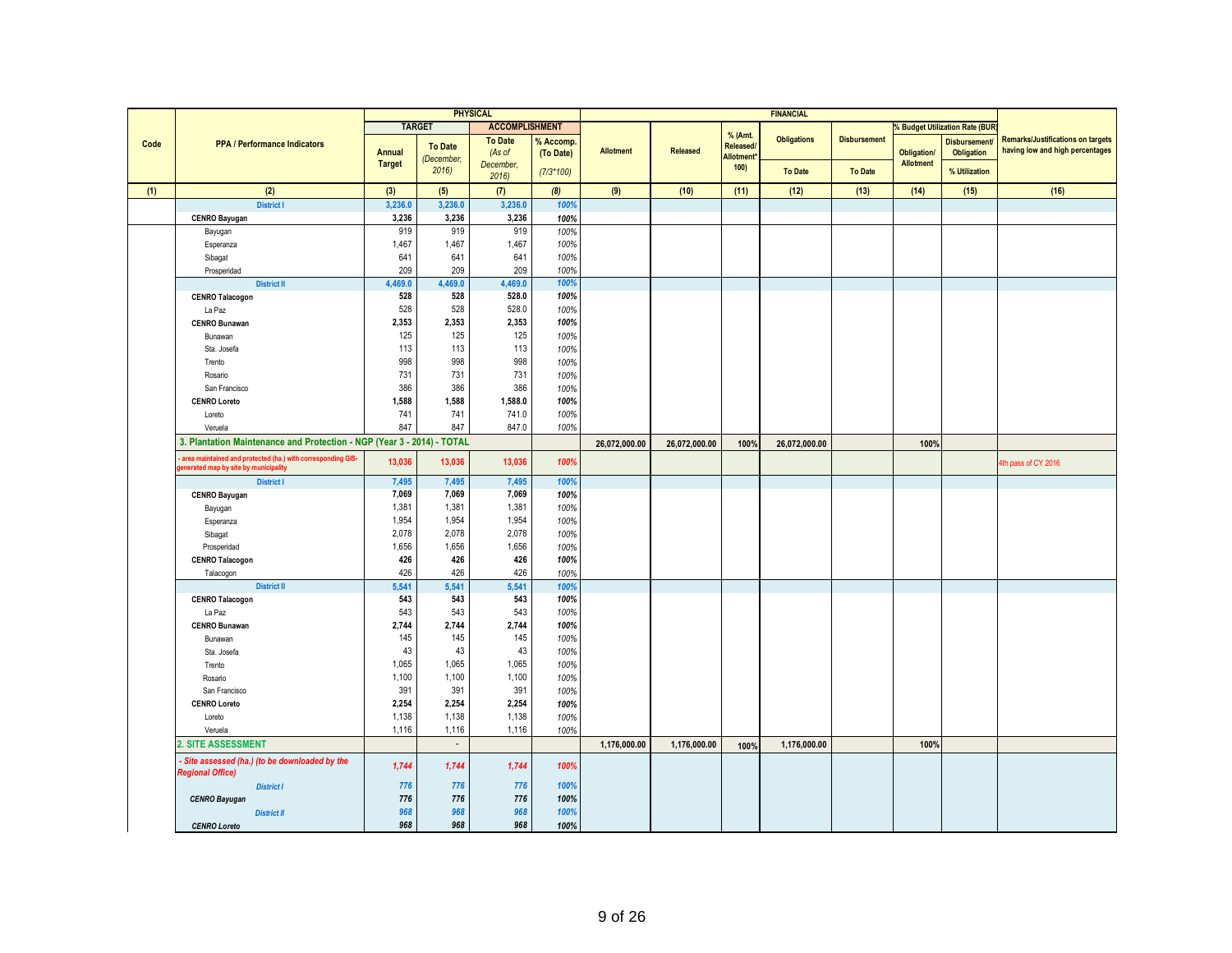|      |                                                                        |               |                | <b>PHYSICAL</b>       |             |               |               |                          | <b>FINANCIAL</b>   |                     |                    |                                           |                                          |
|------|------------------------------------------------------------------------|---------------|----------------|-----------------------|-------------|---------------|---------------|--------------------------|--------------------|---------------------|--------------------|-------------------------------------------|------------------------------------------|
|      |                                                                        |               | <b>TARGET</b>  | <b>ACCOMPLISHMENT</b> |             |               |               |                          |                    |                     |                    | <b>&amp; Budget Utilization Rate (BUR</b> |                                          |
|      |                                                                        |               |                | <b>To Date</b>        | % Accomp.   |               |               | % (Amt.                  | <b>Obligations</b> | <b>Disbursement</b> |                    | <b>Disbursement</b>                       | <b>Remarks/Justifications on targets</b> |
| Code | <b>PPA / Performance Indicators</b>                                    | <b>Annual</b> | <b>To Date</b> | (As of                | (To Date)   | Allotment     | Released      | Released/                |                    |                     | <b>Obligation/</b> | <b>Obligation</b>                         | having low and high percentages          |
|      |                                                                        | <b>Target</b> | (December,     | December,             |             |               |               | <b>Allotment</b><br>100) |                    |                     | <b>Allotment</b>   |                                           |                                          |
|      |                                                                        |               | 2016           | 2016                  | $(7/3*100)$ |               |               |                          | <b>To Date</b>     | <b>To Date</b>      |                    | % Utilization                             |                                          |
| (1)  | (2)                                                                    | (3)           | (5)            | (7)                   | (8)         | (9)           | (10)          | (11)                     | (12)               | (13)                | (14)               | (15)                                      | (16)                                     |
|      | <b>District I</b>                                                      | 3,236.0       | 3,236.0        | 3,236.0               | 100%        |               |               |                          |                    |                     |                    |                                           |                                          |
|      | <b>CENRO Bayugan</b>                                                   | 3,236         | 3,236          | 3,236                 | 100%        |               |               |                          |                    |                     |                    |                                           |                                          |
|      | Bayugan                                                                | 919           | 919            | 919                   | 100%        |               |               |                          |                    |                     |                    |                                           |                                          |
|      | Esperanza                                                              | 1,467         | 1,467          | 1,467                 | 100%        |               |               |                          |                    |                     |                    |                                           |                                          |
|      | Sibagat                                                                | 641           | 641            | 641                   | 100%        |               |               |                          |                    |                     |                    |                                           |                                          |
|      | Prosperidad                                                            | 209           | 209            | 209                   | 100%        |               |               |                          |                    |                     |                    |                                           |                                          |
|      | <b>District II</b>                                                     | 4,469.0       | 4,469.0        | 4,469.0               | 100%        |               |               |                          |                    |                     |                    |                                           |                                          |
|      | <b>CENRO Talacogon</b>                                                 | 528           | 528            | 528.0                 | 100%        |               |               |                          |                    |                     |                    |                                           |                                          |
|      | La Paz                                                                 | 528           | 528            | 528.0                 | 100%        |               |               |                          |                    |                     |                    |                                           |                                          |
|      | <b>CENRO Bunawan</b>                                                   | 2,353         | 2,353          | 2,353                 | 100%        |               |               |                          |                    |                     |                    |                                           |                                          |
|      | Bunawan                                                                | 125           | 125            | 125                   | 100%        |               |               |                          |                    |                     |                    |                                           |                                          |
|      | Sta. Josefa                                                            | 113           | 113            | 113                   | 100%        |               |               |                          |                    |                     |                    |                                           |                                          |
|      | Trento                                                                 | 998           | 998            | 998                   | 100%        |               |               |                          |                    |                     |                    |                                           |                                          |
|      | Rosario                                                                | 731           | 731            | 731                   | 100%        |               |               |                          |                    |                     |                    |                                           |                                          |
|      | San Francisco                                                          | 386           | 386            | 386                   | 100%        |               |               |                          |                    |                     |                    |                                           |                                          |
|      | <b>CENRO Loreto</b>                                                    | 1,588         | 1,588          | 1,588.0               | 100%        |               |               |                          |                    |                     |                    |                                           |                                          |
|      | Loreto                                                                 | 741           | 741            | 741.0                 | 100%        |               |               |                          |                    |                     |                    |                                           |                                          |
|      | Veruela                                                                | 847           | 847            | 847.0                 | 100%        |               |               |                          |                    |                     |                    |                                           |                                          |
|      | 3. Plantation Maintenance and Protection - NGP (Year 3 - 2014) - TOTAL |               |                |                       |             | 26,072,000.00 | 26,072,000.00 | 100%                     | 26,072,000.00      |                     | 100%               |                                           |                                          |
|      | area maintained and protected (ha.) with corresponding GIS-            |               |                |                       |             |               |               |                          |                    |                     |                    |                                           |                                          |
|      | enerated map by site by municipality                                   | 13,036        | 13,036         | 13,036                | 100%        |               |               |                          |                    |                     |                    |                                           | 4th pass of CY 2016                      |
|      | <b>District I</b>                                                      | 7,495         | 7,495          | 7,495                 | 100%        |               |               |                          |                    |                     |                    |                                           |                                          |
|      | <b>CENRO Bayugan</b>                                                   | 7,069         | 7,069          | 7,069                 | 100%        |               |               |                          |                    |                     |                    |                                           |                                          |
|      | Bayugan                                                                | 1,381         | 1,381          | 1,381                 | 100%        |               |               |                          |                    |                     |                    |                                           |                                          |
|      | Esperanza                                                              | 1,954         | 1,954          | 1,954                 | 100%        |               |               |                          |                    |                     |                    |                                           |                                          |
|      | Sibagat                                                                | 2,078         | 2,078          | 2,078                 | 100%        |               |               |                          |                    |                     |                    |                                           |                                          |
|      | Prosperidad                                                            | 1,656         | 1,656          | 1,656                 | 100%        |               |               |                          |                    |                     |                    |                                           |                                          |
|      | <b>CENRO Talacogon</b>                                                 | 426           | 426            | 426                   | 100%        |               |               |                          |                    |                     |                    |                                           |                                          |
|      | Talacogon                                                              | 426           | 426            | 426                   | 100%        |               |               |                          |                    |                     |                    |                                           |                                          |
|      | <b>District II</b>                                                     | 5,541         | 5,541          | 5,541                 | 100%        |               |               |                          |                    |                     |                    |                                           |                                          |
|      | <b>CENRO Talacogon</b>                                                 | 543           | 543            | 543                   | 100%        |               |               |                          |                    |                     |                    |                                           |                                          |
|      | La Paz                                                                 | 543           | 543            | 543                   | 100%        |               |               |                          |                    |                     |                    |                                           |                                          |
|      | <b>CENRO Bunawan</b>                                                   | 2,744         | 2,744          | 2,744                 | 100%        |               |               |                          |                    |                     |                    |                                           |                                          |
|      | Bunawan                                                                | 145           | 145            | 145                   | 100%        |               |               |                          |                    |                     |                    |                                           |                                          |
|      | Sta. Josefa                                                            | 43            | 43             | 43                    | 100%        |               |               |                          |                    |                     |                    |                                           |                                          |
|      | Trento                                                                 | 1,065         | 1,065          | 1,065                 | 100%        |               |               |                          |                    |                     |                    |                                           |                                          |
|      | Rosario                                                                | 1,100         | 1,100          | 1,100                 | 100%        |               |               |                          |                    |                     |                    |                                           |                                          |
|      | San Francisco                                                          | 391           | 391            | 391                   | 100%        |               |               |                          |                    |                     |                    |                                           |                                          |
|      | <b>CENRO Loreto</b>                                                    | 2,254         | 2,254          | 2,254                 | 100%        |               |               |                          |                    |                     |                    |                                           |                                          |
|      | Loreto                                                                 | 1,138         | 1,138          | 1,138                 | 100%        |               |               |                          |                    |                     |                    |                                           |                                          |
|      | Veruela                                                                | 1,116         | 1,116          | 1,116                 | 100%        |               |               |                          |                    |                     |                    |                                           |                                          |
|      | 2. SITE ASSESSMENT                                                     |               | $\blacksquare$ |                       |             | 1,176,000.00  | 1,176,000.00  | 100%                     | 1,176,000.00       |                     | 100%               |                                           |                                          |
|      | Site assessed (ha.) (to be downloaded by the                           | 1,744         | 1,744          | 1,744                 | 100%        |               |               |                          |                    |                     |                    |                                           |                                          |
|      | <b>Regional Office)</b>                                                |               |                |                       |             |               |               |                          |                    |                     |                    |                                           |                                          |
|      | <b>District I</b>                                                      | 776           | 776            | 776                   | 100%        |               |               |                          |                    |                     |                    |                                           |                                          |
|      | <b>CENRO Bayugan</b>                                                   | 776           | 776            | 776                   | 100%        |               |               |                          |                    |                     |                    |                                           |                                          |
|      | <b>District II</b>                                                     | 968           | 968            | 968                   | 100%        |               |               |                          |                    |                     |                    |                                           |                                          |
|      | <b>CENRO Loreto</b>                                                    | 968           | 968            | 968                   | 100%        |               |               |                          |                    |                     |                    |                                           |                                          |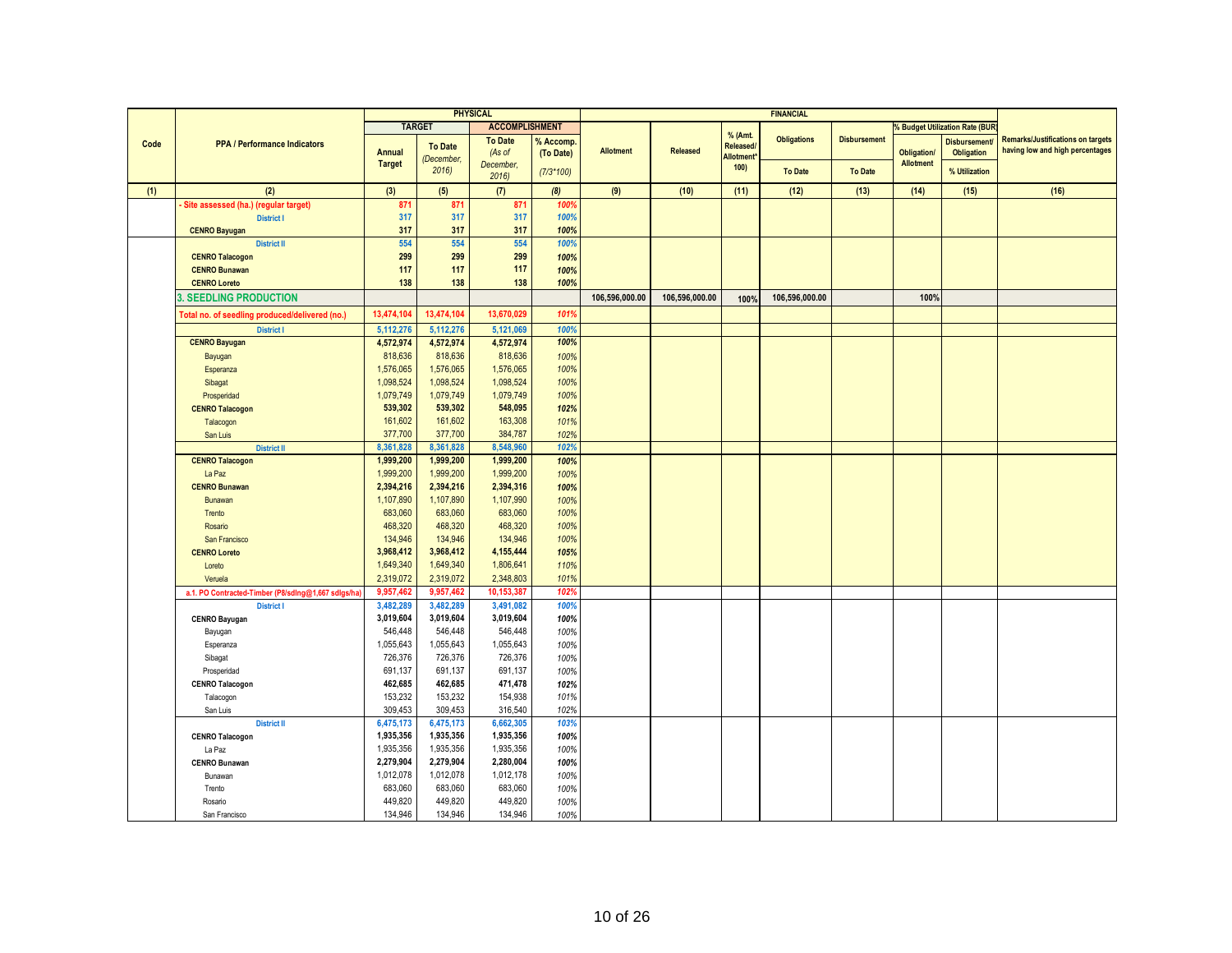|      |                                                    |                        |                        | <b>PHYSICAL</b>        |              |                  |                |                                | <b>FINANCIAL</b>   |                     |                  |                                           |                                          |
|------|----------------------------------------------------|------------------------|------------------------|------------------------|--------------|------------------|----------------|--------------------------------|--------------------|---------------------|------------------|-------------------------------------------|------------------------------------------|
|      |                                                    |                        | <b>TARGET</b>          | <b>ACCOMPLISHMENT</b>  |              |                  |                |                                |                    |                     |                  | <b>&amp; Budget Utilization Rate (BUR</b> |                                          |
|      |                                                    |                        |                        | <b>To Date</b>         | % Accomp     |                  |                | % (Amt.                        | <b>Obligations</b> | <b>Disbursement</b> |                  | <b>Disbursement</b>                       | <b>Remarks/Justifications on targets</b> |
| Code | <b>PPA / Performance Indicators</b>                | Annual                 | <b>To Date</b>         | (As of                 | (To Date)    | <b>Allotment</b> | Released       | Released/                      |                    |                     | Obligation/      | <b>Obligation</b>                         | having low and high percentages          |
|      |                                                    | <b>Target</b>          | (December,             | December,              |              |                  |                | Allotment <sup>*</sup><br>100) |                    |                     | <b>Allotment</b> |                                           |                                          |
|      |                                                    |                        | 2016                   | 2016                   | $(7/3*100)$  |                  |                |                                | <b>To Date</b>     | <b>To Date</b>      |                  | % Utilization                             |                                          |
| (1)  | (2)                                                | (3)                    | (5)                    | (7)                    | (8)          | (9)              | (10)           | (11)                           | (12)               | (13)                | (14)             | (15)                                      | (16)                                     |
|      | Site assessed (ha.) (regular target)               | 871                    | 871                    | 871                    | 100%         |                  |                |                                |                    |                     |                  |                                           |                                          |
|      | <b>District I</b>                                  | 317                    | 317                    | 317                    | 100%         |                  |                |                                |                    |                     |                  |                                           |                                          |
|      | <b>CENRO Bayugan</b>                               | 317                    | 317                    | 317                    | 100%         |                  |                |                                |                    |                     |                  |                                           |                                          |
|      | <b>District II</b>                                 | 554                    | 554                    | 554                    | 100%         |                  |                |                                |                    |                     |                  |                                           |                                          |
|      | <b>CENRO Talacogon</b>                             | 299                    | 299                    | 299                    | 100%         |                  |                |                                |                    |                     |                  |                                           |                                          |
|      | <b>CENRO Bunawan</b>                               | 117                    | 117                    | 117                    | 100%         |                  |                |                                |                    |                     |                  |                                           |                                          |
|      | <b>CENRO Loreto</b>                                | 138                    | 138                    | 138                    | 100%         |                  |                |                                |                    |                     |                  |                                           |                                          |
|      | <b>SEEDLING PRODUCTION</b>                         |                        |                        |                        |              | 106,596,000.00   | 106,596,000.00 | 100%                           | 106,596,000.00     |                     | 100%             |                                           |                                          |
|      | Total no. of seedling produced/delivered (no.)     | 13,474,104             | 13,474,104             | 13,670,029             | 101%         |                  |                |                                |                    |                     |                  |                                           |                                          |
|      | <b>District I</b>                                  | 5,112,276              | 5,112,276              | 5,121,069              | 100%         |                  |                |                                |                    |                     |                  |                                           |                                          |
|      | <b>CENRO Bayugan</b>                               | 4,572,974              | 4,572,974              | 4,572,974              | 100%         |                  |                |                                |                    |                     |                  |                                           |                                          |
|      | Bayugan                                            | 818,636                | 818,636                | 818,636                | 100%         |                  |                |                                |                    |                     |                  |                                           |                                          |
|      | Esperanza                                          | 1,576,065              | 1,576,065              | 1,576,065              | 100%         |                  |                |                                |                    |                     |                  |                                           |                                          |
|      | Sibagat                                            | 1,098,524              | 1,098,524              | 1,098,524              | 100%         |                  |                |                                |                    |                     |                  |                                           |                                          |
|      | Prosperidad                                        | 1,079,749              | 1,079,749              | 1,079,749              | 100%         |                  |                |                                |                    |                     |                  |                                           |                                          |
|      | <b>CENRO Talacogon</b>                             | 539,302                | 539,302                | 548,095                | 102%         |                  |                |                                |                    |                     |                  |                                           |                                          |
|      | Talacogon                                          | 161,602                | 161,602                | 163,308                | 101%         |                  |                |                                |                    |                     |                  |                                           |                                          |
|      | San Luis                                           | 377,700                | 377,700                | 384,787                | 102%         |                  |                |                                |                    |                     |                  |                                           |                                          |
|      | <b>District II</b>                                 | 8,361,828              | 8,361,828              | 8,548,960              | 102%         |                  |                |                                |                    |                     |                  |                                           |                                          |
|      | <b>CENRO Talacogon</b>                             | 1,999,200              | 1,999,200              | 1,999,200              | 100%         |                  |                |                                |                    |                     |                  |                                           |                                          |
|      | La Paz                                             | 1,999,200              | 1,999,200              | 1,999,200              | 100%         |                  |                |                                |                    |                     |                  |                                           |                                          |
|      | <b>CENRO Bunawan</b>                               | 2,394,216              | 2,394,216              | 2,394,316              | 100%         |                  |                |                                |                    |                     |                  |                                           |                                          |
|      | Bunawan                                            | 1,107,890              | 1,107,890              | 1,107,990              | 100%         |                  |                |                                |                    |                     |                  |                                           |                                          |
|      | Trento                                             | 683,060                | 683,060                | 683,060                | 100%         |                  |                |                                |                    |                     |                  |                                           |                                          |
|      | Rosario                                            | 468,320                | 468,320                | 468,320                | 100%         |                  |                |                                |                    |                     |                  |                                           |                                          |
|      | San Francisco                                      | 134,946                | 134,946                | 134,946                | 100%         |                  |                |                                |                    |                     |                  |                                           |                                          |
|      | <b>CENRO Loreto</b>                                | 3,968,412              | 3,968,412              | 4,155,444              | 105%         |                  |                |                                |                    |                     |                  |                                           |                                          |
|      | Loreto                                             | 1,649,340              | 1,649,340              | 1,806,641              | 110%         |                  |                |                                |                    |                     |                  |                                           |                                          |
|      | Veruela                                            | 2,319,072              | 2,319,072              | 2,348,803              | 101%         |                  |                |                                |                    |                     |                  |                                           |                                          |
|      | a.1. PO Contracted-Timber (P8/sdlng@1,667 sdlgs/ha | 9.957.462              | 9.957.462              | 10.153.387             | 102%         |                  |                |                                |                    |                     |                  |                                           |                                          |
|      | <b>District I</b>                                  | 3,482,289              | 3,482,289              | 3,491,082              | 100%         |                  |                |                                |                    |                     |                  |                                           |                                          |
|      | <b>CENRO Bayugan</b>                               | 3,019,604              | 3,019,604              | 3,019,604              | 100%         |                  |                |                                |                    |                     |                  |                                           |                                          |
|      | Bayugan                                            | 546,448                | 546,448                | 546,448                | 100%         |                  |                |                                |                    |                     |                  |                                           |                                          |
|      | Esperanza                                          | 1,055,643              | 1,055,643              | 1,055,643              | 100%         |                  |                |                                |                    |                     |                  |                                           |                                          |
|      | Sibagat                                            | 726,376                | 726,376                | 726,376                | 100%         |                  |                |                                |                    |                     |                  |                                           |                                          |
|      | Prosperidad                                        | 691,137                | 691,137                | 691,137                | 100%         |                  |                |                                |                    |                     |                  |                                           |                                          |
|      | <b>CENRO Talacogon</b>                             | 462,685                | 462,685                | 471,478                | 102%         |                  |                |                                |                    |                     |                  |                                           |                                          |
|      | Talacogon                                          | 153,232                | 153,232                | 154,938                | 101%         |                  |                |                                |                    |                     |                  |                                           |                                          |
|      | San Luis                                           | 309,453                | 309,453                | 316,540                | 102%         |                  |                |                                |                    |                     |                  |                                           |                                          |
|      | <b>District II</b>                                 | 6,475,173<br>1,935,356 | 6,475,173<br>1,935,356 | 6,662,305<br>1,935,356 | 103%         |                  |                |                                |                    |                     |                  |                                           |                                          |
|      | <b>CENRO Talacogon</b><br>La Paz                   | 1,935,356              |                        | 1,935,356              | 100%         |                  |                |                                |                    |                     |                  |                                           |                                          |
|      |                                                    | 2,279,904              | 1,935,356<br>2,279,904 | 2,280,004              | 100%         |                  |                |                                |                    |                     |                  |                                           |                                          |
|      | <b>CENRO Bunawan</b>                               | 1,012,078              | 1,012,078              | 1,012,178              | 100%<br>100% |                  |                |                                |                    |                     |                  |                                           |                                          |
|      | Bunawan<br>Trento                                  | 683,060                | 683,060                | 683,060                | 100%         |                  |                |                                |                    |                     |                  |                                           |                                          |
|      | Rosario                                            | 449,820                | 449,820                | 449,820                | 100%         |                  |                |                                |                    |                     |                  |                                           |                                          |
|      | San Francisco                                      | 134.946                | 134,946                | 134,946                | 100%         |                  |                |                                |                    |                     |                  |                                           |                                          |
|      |                                                    |                        |                        |                        |              |                  |                |                                |                    |                     |                  |                                           |                                          |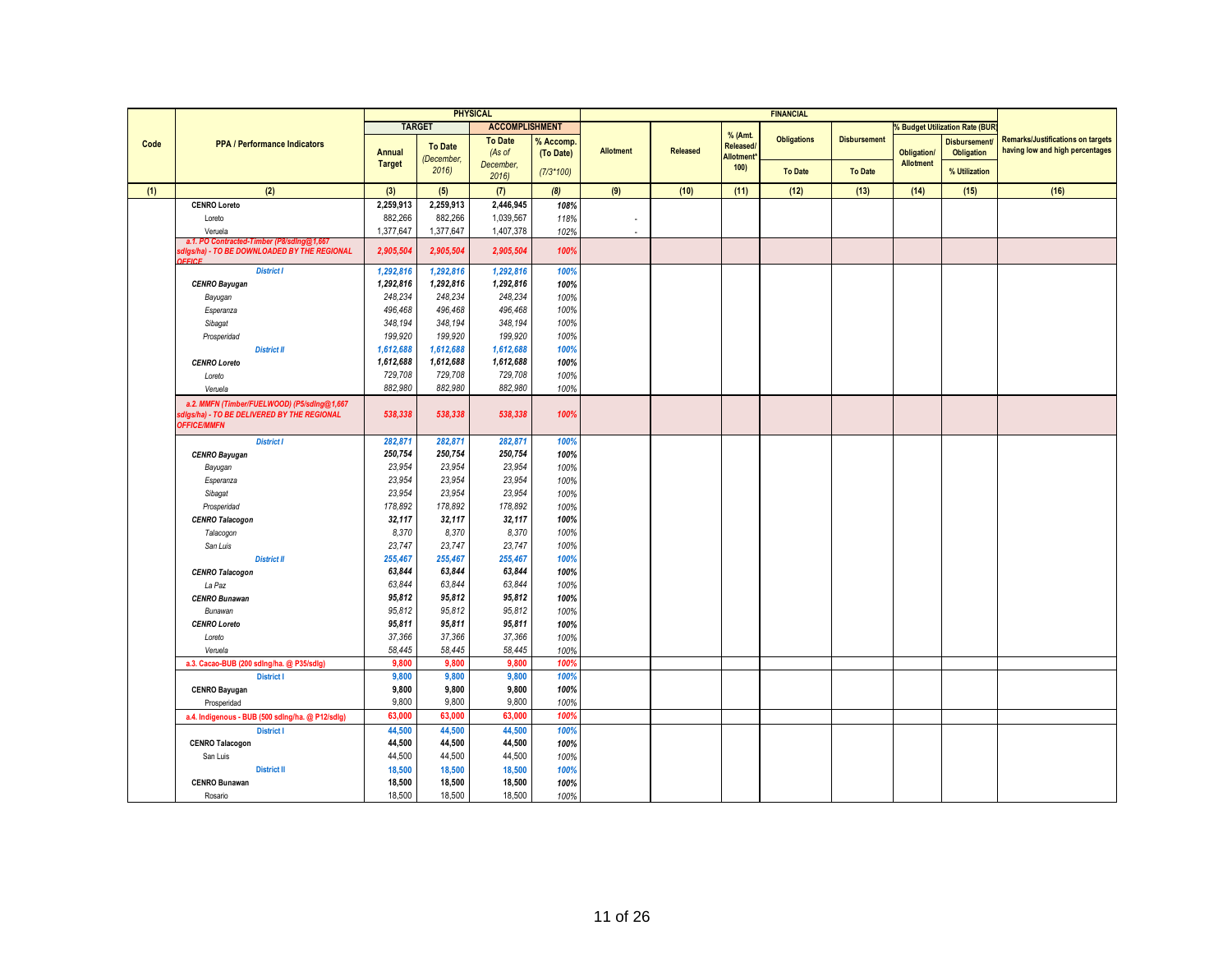|      |                                                                                                                 |                  |                    | <b>PHYSICAL</b>          |                        |                          |          |                     | <b>FINANCIAL</b>   |                     |                    |                                          |                                                                             |
|------|-----------------------------------------------------------------------------------------------------------------|------------------|--------------------|--------------------------|------------------------|--------------------------|----------|---------------------|--------------------|---------------------|--------------------|------------------------------------------|-----------------------------------------------------------------------------|
|      |                                                                                                                 |                  | <b>TARGET</b>      | <b>ACCOMPLISHMENT</b>    |                        |                          |          |                     |                    |                     |                    | <b>Budget Utilization Rate (BUR</b>      |                                                                             |
| Code | <b>PPA / Performance Indicators</b>                                                                             | Annual           | <b>To Date</b>     | <b>To Date</b><br>(As of | % Accomp.<br>(To Date) | <b>Allotment</b>         | Released | % (Amt.<br>Released | <b>Obligations</b> | <b>Disbursement</b> | <b>Obligation/</b> | <b>Disbursement</b><br><b>Obligation</b> | <b>Remarks/Justifications on targets</b><br>having low and high percentages |
|      |                                                                                                                 | <b>Target</b>    | (December,<br>2016 | December,<br>2016        | $(7/3*100)$            |                          |          | Allotment*<br>100)  | <b>To Date</b>     | <b>To Date</b>      | Allotment          | % Utilization                            |                                                                             |
| (1)  | (2)                                                                                                             | (3)              | (5)                | (7)                      | (8)                    | (9)                      | (10)     | (11)                | (12)               | (13)                | (14)               | (15)                                     | (16)                                                                        |
|      | <b>CENRO Loreto</b>                                                                                             | 2,259,913        | 2,259,913          | 2,446,945                | 108%                   |                          |          |                     |                    |                     |                    |                                          |                                                                             |
|      | Loreto                                                                                                          | 882,266          | 882,266            | 1,039,567                | 118%                   | $\overline{\phantom{a}}$ |          |                     |                    |                     |                    |                                          |                                                                             |
|      | Veruela                                                                                                         | 1,377,647        | 1,377,647          | 1,407,378                | 102%                   | ä,                       |          |                     |                    |                     |                    |                                          |                                                                             |
|      | a.1. PO Contracted-Timber (P8/sding@1,667<br>digs/ha) - TO BE DOWNLOADED BY THE REGIONAL<br>EDCE                | 2,905,504        | 2,905,504          | 2,905,504                | 100%                   |                          |          |                     |                    |                     |                    |                                          |                                                                             |
|      | <b>District I</b>                                                                                               | 1,292,816        | 1,292,816          | 1,292,816                | 100%                   |                          |          |                     |                    |                     |                    |                                          |                                                                             |
|      | <b>CENRO Bayugan</b>                                                                                            | 1,292,816        | 1,292,816          | 1,292,816                | 100%                   |                          |          |                     |                    |                     |                    |                                          |                                                                             |
|      | Bayugan                                                                                                         | 248,234          | 248,234            | 248,234                  | 100%                   |                          |          |                     |                    |                     |                    |                                          |                                                                             |
|      | Esperanza                                                                                                       | 496,468          | 496,468            | 496,468                  | 100%                   |                          |          |                     |                    |                     |                    |                                          |                                                                             |
|      | Sibagat                                                                                                         | 348,194          | 348,194            | 348,194                  | 100%                   |                          |          |                     |                    |                     |                    |                                          |                                                                             |
|      | Prosperidad                                                                                                     | 199,920          | 199,920            | 199,920                  | 100%                   |                          |          |                     |                    |                     |                    |                                          |                                                                             |
|      | <b>District II</b>                                                                                              | 1,612,688        | 1,612,688          | 1,612,688                | 100%                   |                          |          |                     |                    |                     |                    |                                          |                                                                             |
|      | <b>CENRO Loreto</b>                                                                                             | 1,612,688        | 1,612,688          | 1,612,688                | 100%                   |                          |          |                     |                    |                     |                    |                                          |                                                                             |
|      | Loreto                                                                                                          | 729,708          | 729,708            | 729,708                  | 100%                   |                          |          |                     |                    |                     |                    |                                          |                                                                             |
|      | Veruela                                                                                                         | 882,980          | 882,980            | 882,980                  | 100%                   |                          |          |                     |                    |                     |                    |                                          |                                                                             |
|      | a.2. MMFN (Timber/FUELWOOD) (P5/sdlng@1,667<br>digs/ha) - TO BE DELIVERED BY THE REGIONAL<br><b>OFFICE/MMFN</b> | 538,338          | 538,338            | 538,338                  | 100%                   |                          |          |                     |                    |                     |                    |                                          |                                                                             |
|      | <b>District I</b>                                                                                               | 282,871          | 282,871            | 282,871                  | 100%                   |                          |          |                     |                    |                     |                    |                                          |                                                                             |
|      | <b>CENRO Bayugan</b>                                                                                            | 250,754          | 250,754            | 250,754                  | 100%                   |                          |          |                     |                    |                     |                    |                                          |                                                                             |
|      | Bayugan                                                                                                         | 23,954           | 23,954             | 23,954                   | 100%                   |                          |          |                     |                    |                     |                    |                                          |                                                                             |
|      | Esperanza                                                                                                       | 23,954           | 23,954             | 23,954                   | 100%                   |                          |          |                     |                    |                     |                    |                                          |                                                                             |
|      | Sibagat                                                                                                         | 23,954           | 23,954             | 23,954                   | 100%                   |                          |          |                     |                    |                     |                    |                                          |                                                                             |
|      | Prosperidad                                                                                                     | 178,892          | 178,892            | 178,892                  | 100%                   |                          |          |                     |                    |                     |                    |                                          |                                                                             |
|      | <b>CENRO Talacogon</b>                                                                                          | 32,117           | 32,117             | 32,117                   | 100%                   |                          |          |                     |                    |                     |                    |                                          |                                                                             |
|      | Talacogon                                                                                                       | 8,370            | 8,370              | 8,370                    | 100%                   |                          |          |                     |                    |                     |                    |                                          |                                                                             |
|      | San Luis                                                                                                        | 23,747           | 23,747             | 23,747                   | 100%                   |                          |          |                     |                    |                     |                    |                                          |                                                                             |
|      | <b>District II</b>                                                                                              | 255,467          | 255,467            | 255,467                  | 100%                   |                          |          |                     |                    |                     |                    |                                          |                                                                             |
|      | <b>CENRO Talacogon</b>                                                                                          | 63,844           | 63,844             | 63,844                   | 100%                   |                          |          |                     |                    |                     |                    |                                          |                                                                             |
|      | La Paz                                                                                                          | 63.844           | 63.844             | 63,844                   | 100%                   |                          |          |                     |                    |                     |                    |                                          |                                                                             |
|      | <b>CENRO Bunawan</b>                                                                                            | 95,812           | 95,812             | 95,812                   | 100%                   |                          |          |                     |                    |                     |                    |                                          |                                                                             |
|      | Bunawan                                                                                                         | 95,812           | 95,812             | 95,812                   | 100%                   |                          |          |                     |                    |                     |                    |                                          |                                                                             |
|      | <b>CENRO Loreto</b>                                                                                             | 95,811           | 95,811             | 95,811                   | 100%                   |                          |          |                     |                    |                     |                    |                                          |                                                                             |
|      | Loreto                                                                                                          | 37,366<br>58,445 | 37,366<br>58.445   | 37,366<br>58,445         | 100%                   |                          |          |                     |                    |                     |                    |                                          |                                                                             |
|      | Veruela<br>a.3. Cacao-BUB (200 sdlng/ha. @ P35/sdlg)                                                            | 9,800            | 9,800              | 9,800                    | 100%<br>100%           |                          |          |                     |                    |                     |                    |                                          |                                                                             |
|      | <b>District I</b>                                                                                               | 9,800            | 9,800              | 9,800                    | 100%                   |                          |          |                     |                    |                     |                    |                                          |                                                                             |
|      |                                                                                                                 | 9,800            | 9,800              | 9,800                    | 100%                   |                          |          |                     |                    |                     |                    |                                          |                                                                             |
|      | <b>CENRO Bayugan</b><br>Prosperidad                                                                             | 9,800            | 9,800              | 9,800                    | 100%                   |                          |          |                     |                    |                     |                    |                                          |                                                                             |
|      | a.4. Indigenous - BUB (500 sdlng/ha. @ P12/sdlg)                                                                | 63,000           | 63,000             | 63,000                   | 100%                   |                          |          |                     |                    |                     |                    |                                          |                                                                             |
|      | <b>District I</b>                                                                                               | 44,500           | 44,500             | 44,500                   | 100%                   |                          |          |                     |                    |                     |                    |                                          |                                                                             |
|      | <b>CENRO Talacogon</b>                                                                                          | 44,500           | 44,500             | 44,500                   | 100%                   |                          |          |                     |                    |                     |                    |                                          |                                                                             |
|      | San Luis                                                                                                        | 44,500           | 44,500             | 44,500                   | 100%                   |                          |          |                     |                    |                     |                    |                                          |                                                                             |
|      | <b>District II</b>                                                                                              | 18,500           | 18,500             | 18,500                   | 100%                   |                          |          |                     |                    |                     |                    |                                          |                                                                             |
|      | <b>CENRO Bunawan</b>                                                                                            | 18,500           | 18,500             | 18,500                   | 100%                   |                          |          |                     |                    |                     |                    |                                          |                                                                             |
|      | Rosario                                                                                                         | 18,500           | 18,500             | 18,500                   | 100%                   |                          |          |                     |                    |                     |                    |                                          |                                                                             |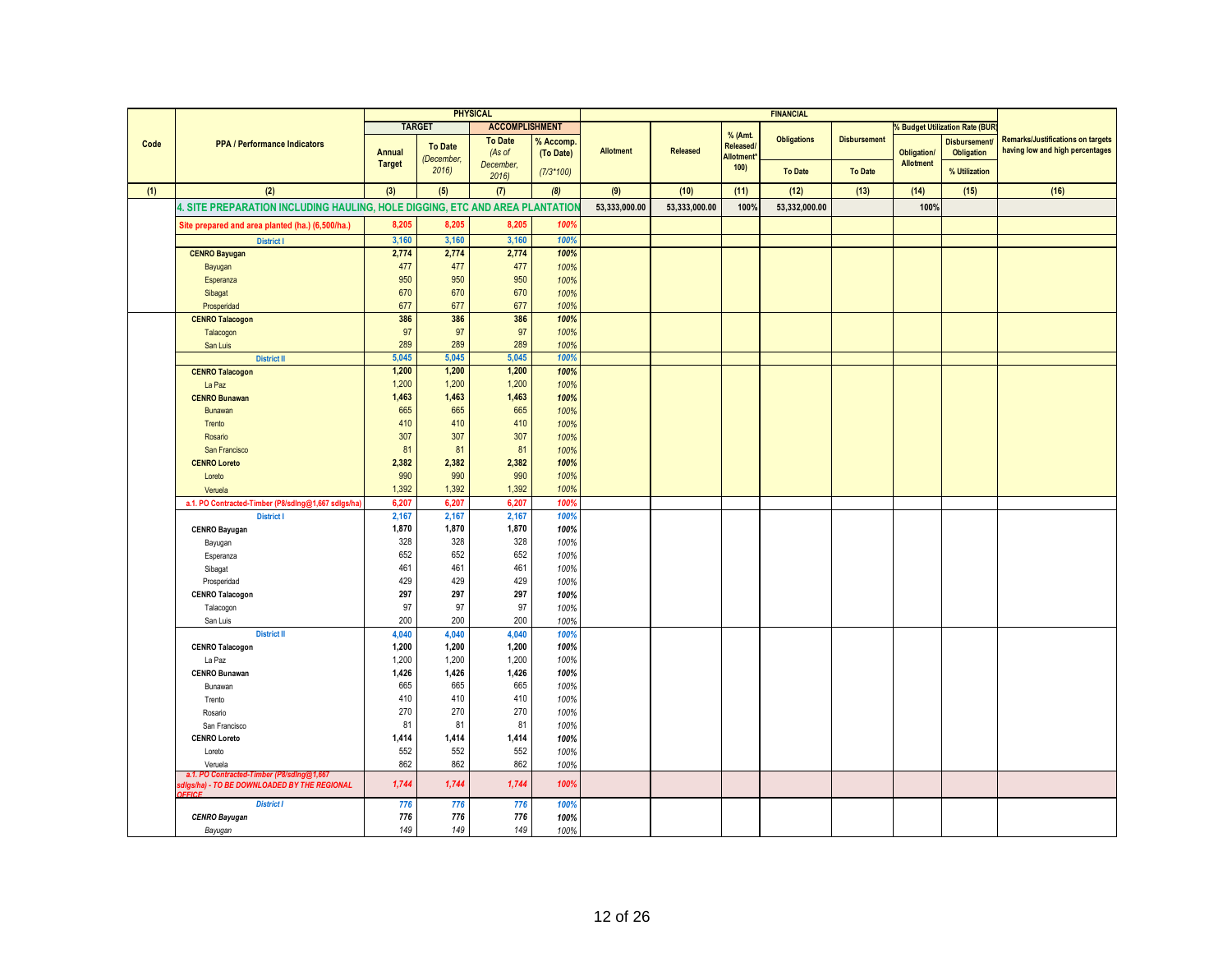|      |                                                                                           |               |                    | <b>PHYSICAL</b>       |             |               |               |                                     | <b>FINANCIAL</b>   |                     |                    |                                       |                                          |
|------|-------------------------------------------------------------------------------------------|---------------|--------------------|-----------------------|-------------|---------------|---------------|-------------------------------------|--------------------|---------------------|--------------------|---------------------------------------|------------------------------------------|
|      |                                                                                           |               | <b>TARGET</b>      | <b>ACCOMPLISHMENT</b> |             |               |               |                                     |                    |                     |                    | <b>6 Budget Utilization Rate (BUR</b> |                                          |
| Code | <b>PPA / Performance Indicators</b>                                                       |               |                    | <b>To Date</b>        | % Accomp.   |               |               | % (Amt.                             | <b>Obligations</b> | <b>Disbursement</b> |                    | <b>Disbursement</b>                   | <b>Remarks/Justifications on targets</b> |
|      |                                                                                           | <b>Annual</b> | <b>To Date</b>     | (As of                | (To Date)   | Allotment     | Released      | Released/<br>Allotment <sup>*</sup> |                    |                     | <b>Obligation/</b> | Obligation                            | having low and high percentages          |
|      |                                                                                           | <b>Target</b> | (December,<br>2016 | December.             |             |               |               | 100)                                |                    |                     | <b>Allotment</b>   |                                       |                                          |
|      |                                                                                           |               |                    | 2016                  | $(7/3*100)$ |               |               |                                     | <b>To Date</b>     | <b>To Date</b>      |                    | % Utilization                         |                                          |
| (1)  | (2)                                                                                       | (3)           | (5)                | (7)                   | (8)         | (9)           | (10)          | (11)                                | (12)               | (13)                | (14)               | (15)                                  | (16)                                     |
|      | 4. SITE PREPARATION INCLUDING HAULING, HOLE DIGGING, ETC AND AREA PLANTATIOI              |               |                    |                       |             | 53,333,000.00 | 53,333,000.00 | 100%                                | 53,332,000.00      |                     | 100%               |                                       |                                          |
|      | Site prepared and area planted (ha.) (6,500/ha.)                                          | 8,205         | 8,205              | 8,205                 | 100%        |               |               |                                     |                    |                     |                    |                                       |                                          |
|      | <b>District I</b>                                                                         | 3,160         | 3,160              | 3,160                 | 100%        |               |               |                                     |                    |                     |                    |                                       |                                          |
|      | <b>CENRO Bayugan</b>                                                                      | 2,774         | 2,774              | 2,774                 | 100%        |               |               |                                     |                    |                     |                    |                                       |                                          |
|      | Bayugan                                                                                   | 477           | 477                | 477                   | 100%        |               |               |                                     |                    |                     |                    |                                       |                                          |
|      | Esperanza                                                                                 | 950           | 950                | 950                   | 100%        |               |               |                                     |                    |                     |                    |                                       |                                          |
|      | Sibagat                                                                                   | 670           | 670                | 670                   | 100%        |               |               |                                     |                    |                     |                    |                                       |                                          |
|      | Prosperidad                                                                               | 677           | 677                | 677                   | 100%        |               |               |                                     |                    |                     |                    |                                       |                                          |
|      | <b>CENRO Talacogon</b>                                                                    | 386           | 386                | 386                   | 100%        |               |               |                                     |                    |                     |                    |                                       |                                          |
|      | Talacogon                                                                                 | 97            | 97                 | 97                    | 100%        |               |               |                                     |                    |                     |                    |                                       |                                          |
|      | San Luis                                                                                  | 289           | 289                | 289                   | 100%        |               |               |                                     |                    |                     |                    |                                       |                                          |
|      | <b>District II</b>                                                                        | 5,045         | 5,045              | 5,045                 | 100%        |               |               |                                     |                    |                     |                    |                                       |                                          |
|      | <b>CENRO Talacogon</b>                                                                    | 1,200         | 1,200              | 1,200                 | 100%        |               |               |                                     |                    |                     |                    |                                       |                                          |
|      | La Paz                                                                                    | 1,200         | 1,200              | 1,200                 | 100%        |               |               |                                     |                    |                     |                    |                                       |                                          |
|      | <b>CENRO Bunawan</b>                                                                      | 1,463         | 1,463              | 1,463                 | 100%        |               |               |                                     |                    |                     |                    |                                       |                                          |
|      | Bunawan                                                                                   | 665           | 665                | 665                   | 100%        |               |               |                                     |                    |                     |                    |                                       |                                          |
|      | Trento                                                                                    | 410           | 410                | 410                   | 100%        |               |               |                                     |                    |                     |                    |                                       |                                          |
|      | Rosario                                                                                   | 307           | 307                | 307                   | 100%        |               |               |                                     |                    |                     |                    |                                       |                                          |
|      | San Francisco                                                                             | 81            | 81                 | 81                    | 100%        |               |               |                                     |                    |                     |                    |                                       |                                          |
|      | <b>CENRO Loreto</b>                                                                       | 2,382         | 2,382              | 2,382                 | 100%        |               |               |                                     |                    |                     |                    |                                       |                                          |
|      | Loreto                                                                                    | 990           | 990                | 990                   | 100%        |               |               |                                     |                    |                     |                    |                                       |                                          |
|      | Veruela                                                                                   | 1,392         | 1,392              | 1,392                 | 100%        |               |               |                                     |                    |                     |                    |                                       |                                          |
|      | a.1. PO Contracted-Timber (P8/sdlng@1,667 sdlgs/ha)                                       | 6,207         | 6,207              | 6,207                 | 100%        |               |               |                                     |                    |                     |                    |                                       |                                          |
|      | <b>District I</b>                                                                         | 2,167         | 2,167              | 2,167                 | 100%        |               |               |                                     |                    |                     |                    |                                       |                                          |
|      | <b>CENRO Bayugan</b>                                                                      | 1,870         | 1,870              | 1,870                 | 100%        |               |               |                                     |                    |                     |                    |                                       |                                          |
|      | Bayugan                                                                                   | 328           | 328                | 328                   | 100%        |               |               |                                     |                    |                     |                    |                                       |                                          |
|      | Esperanza                                                                                 | 652           | 652                | 652                   | 100%        |               |               |                                     |                    |                     |                    |                                       |                                          |
|      | Sibagat                                                                                   | 461           | 461                | 461                   | 100%        |               |               |                                     |                    |                     |                    |                                       |                                          |
|      | Prosperidad                                                                               | 429           | 429                | 429                   | 100%        |               |               |                                     |                    |                     |                    |                                       |                                          |
|      | <b>CENRO Talacogon</b>                                                                    | 297           | 297                | 297                   | 100%        |               |               |                                     |                    |                     |                    |                                       |                                          |
|      | Talacogon                                                                                 | 97            | 97                 | 97                    | 100%        |               |               |                                     |                    |                     |                    |                                       |                                          |
|      | San Luis                                                                                  | 200           | 200                | 200                   | 100%        |               |               |                                     |                    |                     |                    |                                       |                                          |
|      | <b>District II</b>                                                                        | 4,040         | 4,040              | 4,040                 | 100%        |               |               |                                     |                    |                     |                    |                                       |                                          |
|      | <b>CENRO Talacogon</b>                                                                    | 1,200         | 1,200              | 1,200                 | 100%        |               |               |                                     |                    |                     |                    |                                       |                                          |
|      | La Paz                                                                                    | 1,200         | 1.200              | 1,200                 | 100%        |               |               |                                     |                    |                     |                    |                                       |                                          |
|      | <b>CENRO Bunawan</b>                                                                      | 1,426         | 1,426              | 1,426                 | 100%        |               |               |                                     |                    |                     |                    |                                       |                                          |
|      | Bunawan                                                                                   | 665           | 665                | 665                   | 100%        |               |               |                                     |                    |                     |                    |                                       |                                          |
|      | Trento                                                                                    | 410           | 410                | 410                   | 100%        |               |               |                                     |                    |                     |                    |                                       |                                          |
|      | Rosario                                                                                   | 270           | 270                | 270                   | 100%        |               |               |                                     |                    |                     |                    |                                       |                                          |
|      | San Francisco                                                                             | 81            | 81                 | 81                    | 100%        |               |               |                                     |                    |                     |                    |                                       |                                          |
|      | <b>CENRO Loreto</b>                                                                       | 1,414         | 1,414              | 1,414                 | 100%        |               |               |                                     |                    |                     |                    |                                       |                                          |
|      | Loreto                                                                                    | 552           | 552                | 552                   | 100%        |               |               |                                     |                    |                     |                    |                                       |                                          |
|      | Veruela                                                                                   | 862           | 862                | 862                   | 100%        |               |               |                                     |                    |                     |                    |                                       |                                          |
|      | a.1. PO Contracted-Timber (P8/sdlng@1,66)<br>sdigs/ha) - TO BE DOWNLOADED BY THE REGIONAL | 1,744         | 1,744              | 1.744                 | 100%        |               |               |                                     |                    |                     |                    |                                       |                                          |
|      | <b>FFICE</b>                                                                              |               |                    |                       |             |               |               |                                     |                    |                     |                    |                                       |                                          |
|      | <b>District I</b>                                                                         | 776           | 776                | 776                   | 100%        |               |               |                                     |                    |                     |                    |                                       |                                          |
|      | <b>CENRO Bayugan</b>                                                                      | 776           | 776                | 776                   | 100%        |               |               |                                     |                    |                     |                    |                                       |                                          |
|      | Bayugan                                                                                   | 149           | 149                | 149                   | 100%        |               |               |                                     |                    |                     |                    |                                       |                                          |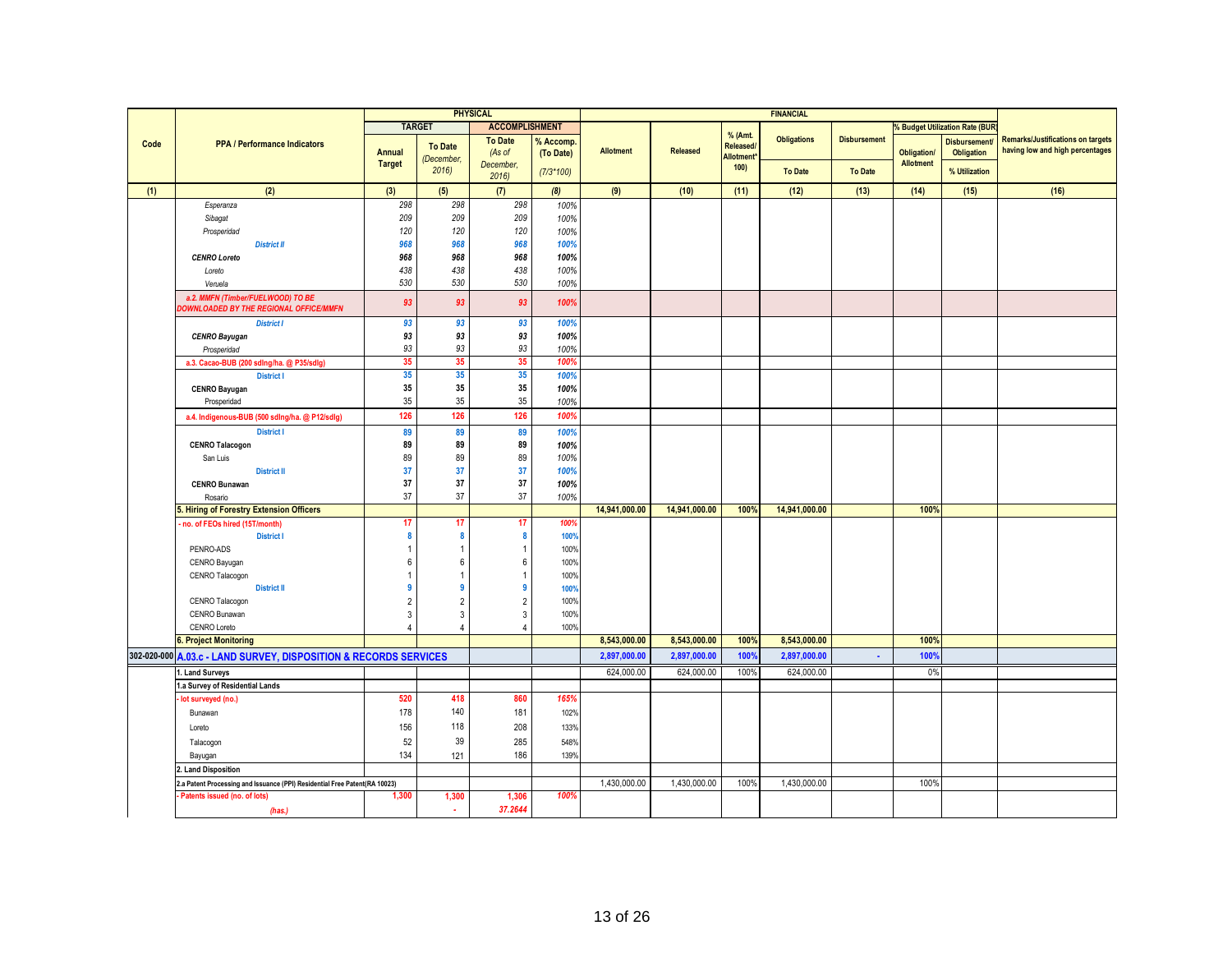|      |                                                                            |               | <b>PHYSICAL</b>              |                       |              |                  |                 | <b>FINANCIAL</b>        |                    |                     |                    |                                       |                                          |
|------|----------------------------------------------------------------------------|---------------|------------------------------|-----------------------|--------------|------------------|-----------------|-------------------------|--------------------|---------------------|--------------------|---------------------------------------|------------------------------------------|
|      |                                                                            |               | <b>TARGET</b>                | <b>ACCOMPLISHMENT</b> |              |                  |                 |                         |                    |                     |                    | <b>6 Budget Utilization Rate (BUR</b> |                                          |
| Code | <b>PPA / Performance Indicators</b>                                        |               |                              | <b>To Date</b>        | % Accomp.    |                  |                 | % (Amt.                 | <b>Obligations</b> | <b>Disbursement</b> |                    | <b>Disbursement</b>                   | <b>Remarks/Justifications on targets</b> |
|      |                                                                            | Annual        | <b>To Date</b><br>(December, | (As of                | (To Date)    | <b>Allotment</b> | <b>Released</b> | Released/<br>Allotment* |                    |                     | <b>Obligation/</b> | <b>Obligation</b>                     | having low and high percentages          |
|      |                                                                            | <b>Target</b> | 2016                         | December,             | $(7/3*100)$  |                  |                 | 100)                    | <b>To Date</b>     | <b>To Date</b>      | <b>Allotment</b>   | % Utilization                         |                                          |
|      |                                                                            |               |                              | 2016                  |              |                  |                 |                         |                    |                     |                    |                                       |                                          |
| (1)  | (2)                                                                        | (3)           | (5)                          | (7)                   | (8)          | (9)              | (10)            | (11)                    | (12)               | (13)                | (14)               | (15)                                  | (16)                                     |
|      | Esperanza                                                                  | 298           | 298                          | 298                   | 100%         |                  |                 |                         |                    |                     |                    |                                       |                                          |
|      | Sibagat                                                                    | 209           | 209                          | 209                   | 100%         |                  |                 |                         |                    |                     |                    |                                       |                                          |
|      | Prosperidad                                                                | 120           | 120                          | 120                   | 100%         |                  |                 |                         |                    |                     |                    |                                       |                                          |
|      | <b>District II</b>                                                         | 968           | 968                          | 968                   | 100%         |                  |                 |                         |                    |                     |                    |                                       |                                          |
|      | <b>CENRO Loreto</b>                                                        | 968           | 968                          | 968                   | 100%         |                  |                 |                         |                    |                     |                    |                                       |                                          |
|      | Loreto                                                                     | 438           | 438                          | 438                   | 100%         |                  |                 |                         |                    |                     |                    |                                       |                                          |
|      | Veruela                                                                    | 530           | 530                          | 530                   | 100%         |                  |                 |                         |                    |                     |                    |                                       |                                          |
|      | a.2. MMFN (Timber/FUELWOOD) TO BE<br>OWNLOADED BY THE REGIONAL OFFICE/MMFN | 93            | 93                           | 93                    | 100%         |                  |                 |                         |                    |                     |                    |                                       |                                          |
|      | <b>District I</b>                                                          | 93            | 93                           | 93                    | 100%         |                  |                 |                         |                    |                     |                    |                                       |                                          |
|      | <b>CENRO Bayugan</b>                                                       | 93            | 93                           | 93                    | 100%         |                  |                 |                         |                    |                     |                    |                                       |                                          |
|      | Prosperidad                                                                | 93            | 93                           | 93                    | 100%         |                  |                 |                         |                    |                     |                    |                                       |                                          |
|      | a.3. Cacao-BUB (200 sdlng/ha. @ P35/sdlg)                                  | 35            | 35                           | 35                    | 1009         |                  |                 |                         |                    |                     |                    |                                       |                                          |
|      | <b>District I</b>                                                          | 35            | 35                           | 35                    | 100%         |                  |                 |                         |                    |                     |                    |                                       |                                          |
|      | <b>CENRO Bayugan</b>                                                       | 35            | 35                           | 35                    | 100%         |                  |                 |                         |                    |                     |                    |                                       |                                          |
|      | Prosperidad                                                                | 35            | 35                           | 35                    | 100%         |                  |                 |                         |                    |                     |                    |                                       |                                          |
|      | a.4. Indigenous-BUB (500 sdlng/ha. @ P12/sdlg)                             | 126           | 126                          | 126                   | 100%         |                  |                 |                         |                    |                     |                    |                                       |                                          |
|      | <b>District I</b>                                                          | 89            | 89                           | 89                    | 100%         |                  |                 |                         |                    |                     |                    |                                       |                                          |
|      | <b>CENRO Talacogon</b>                                                     | 89            | 89                           | 89                    | 100%         |                  |                 |                         |                    |                     |                    |                                       |                                          |
|      | San Luis                                                                   | 89            | 89                           | 89                    | 100%         |                  |                 |                         |                    |                     |                    |                                       |                                          |
|      | <b>District II</b>                                                         | 37            | 37                           | 37                    | 100%         |                  |                 |                         |                    |                     |                    |                                       |                                          |
|      | <b>CENRO Bunawan</b>                                                       | 37            | 37                           | 37                    | 100%         |                  |                 |                         |                    |                     |                    |                                       |                                          |
|      | Rosario                                                                    | 37            | 37                           | 37                    | 100%         |                  |                 | 100%                    |                    |                     |                    |                                       |                                          |
|      | i. Hiring of Forestry Extension Officers                                   | 17            | 17                           | 17                    | 100%         | 14,941,000.00    | 14,941,000.00   |                         | 14,941,000.00      |                     | 100%               |                                       |                                          |
|      | no. of FEOs hired (15T/month)<br><b>District I</b>                         | 8             | $\mathbf{a}$                 | 8                     |              |                  |                 |                         |                    |                     |                    |                                       |                                          |
|      | PENRO-ADS                                                                  |               | 1                            | $\overline{1}$        | 100%<br>100% |                  |                 |                         |                    |                     |                    |                                       |                                          |
|      |                                                                            | 6             | 6                            | $6\phantom{1}6$       | 100%         |                  |                 |                         |                    |                     |                    |                                       |                                          |
|      | CENRO Bayugan<br>CENRO Talacogon                                           |               |                              | $\overline{1}$        | 100%         |                  |                 |                         |                    |                     |                    |                                       |                                          |
|      | <b>District II</b>                                                         | 9             | g                            | -9                    | 100%         |                  |                 |                         |                    |                     |                    |                                       |                                          |
|      | CENRO Talacogon                                                            | 2             | $\overline{2}$               | $\overline{2}$        | 100%         |                  |                 |                         |                    |                     |                    |                                       |                                          |
|      | CENRO Bunawan                                                              | 3             | 3                            | $\overline{3}$        | 100%         |                  |                 |                         |                    |                     |                    |                                       |                                          |
|      | CENRO Loreto                                                               | 4             | 4                            | $\overline{4}$        | 100%         |                  |                 |                         |                    |                     |                    |                                       |                                          |
|      | . Project Monitoring                                                       |               |                              |                       |              | 8,543,000.00     | 8,543,000.00    | 100%                    | 8,543,000.00       |                     | 100%               |                                       |                                          |
|      | 302-020-000 A.03.c - LAND SURVEY, DISPOSITION & RECORDS SERVICES           |               |                              |                       |              | 2,897,000.00     | 2,897,000.00    | 100%                    | 2,897,000.00       | $\blacksquare$      | 100%               |                                       |                                          |
|      | 1. Land Surveys                                                            |               |                              |                       |              | 624,000.00       | 624,000.00      | 100%                    | 624,000.00         |                     | 0%                 |                                       |                                          |
|      | 1.a Survey of Residential Lands                                            |               |                              |                       |              |                  |                 |                         |                    |                     |                    |                                       |                                          |
|      | lot surveyed (no.)                                                         | 520           | 418                          | 860                   | 165%         |                  |                 |                         |                    |                     |                    |                                       |                                          |
|      | Bunawan                                                                    | 178           | 140                          | 181                   | 102%         |                  |                 |                         |                    |                     |                    |                                       |                                          |
|      | Loreto                                                                     | 156           | 118                          | 208                   | 133%         |                  |                 |                         |                    |                     |                    |                                       |                                          |
|      | Talacogon                                                                  | 52            | 39                           | 285                   | 548%         |                  |                 |                         |                    |                     |                    |                                       |                                          |
|      | Bayugan                                                                    | 134           | 121                          | 186                   | 139%         |                  |                 |                         |                    |                     |                    |                                       |                                          |
|      | . Land Disposition                                                         |               |                              |                       |              |                  |                 |                         |                    |                     |                    |                                       |                                          |
|      | 2.a Patent Processing and Issuance (PPI) Residential Free Patent(RA 10023) |               |                              |                       |              | 1,430,000.00     | 1,430,000.00    | 100%                    | 1,430,000.00       |                     | 100%               |                                       |                                          |
|      | Patents issued (no. of lots)                                               | 1,300         | 1,300                        | 1,306                 | 100%         |                  |                 |                         |                    |                     |                    |                                       |                                          |
|      | (has.)                                                                     |               | $\sim$                       | 37.2644               |              |                  |                 |                         |                    |                     |                    |                                       |                                          |
|      |                                                                            |               |                              |                       |              |                  |                 |                         |                    |                     |                    |                                       |                                          |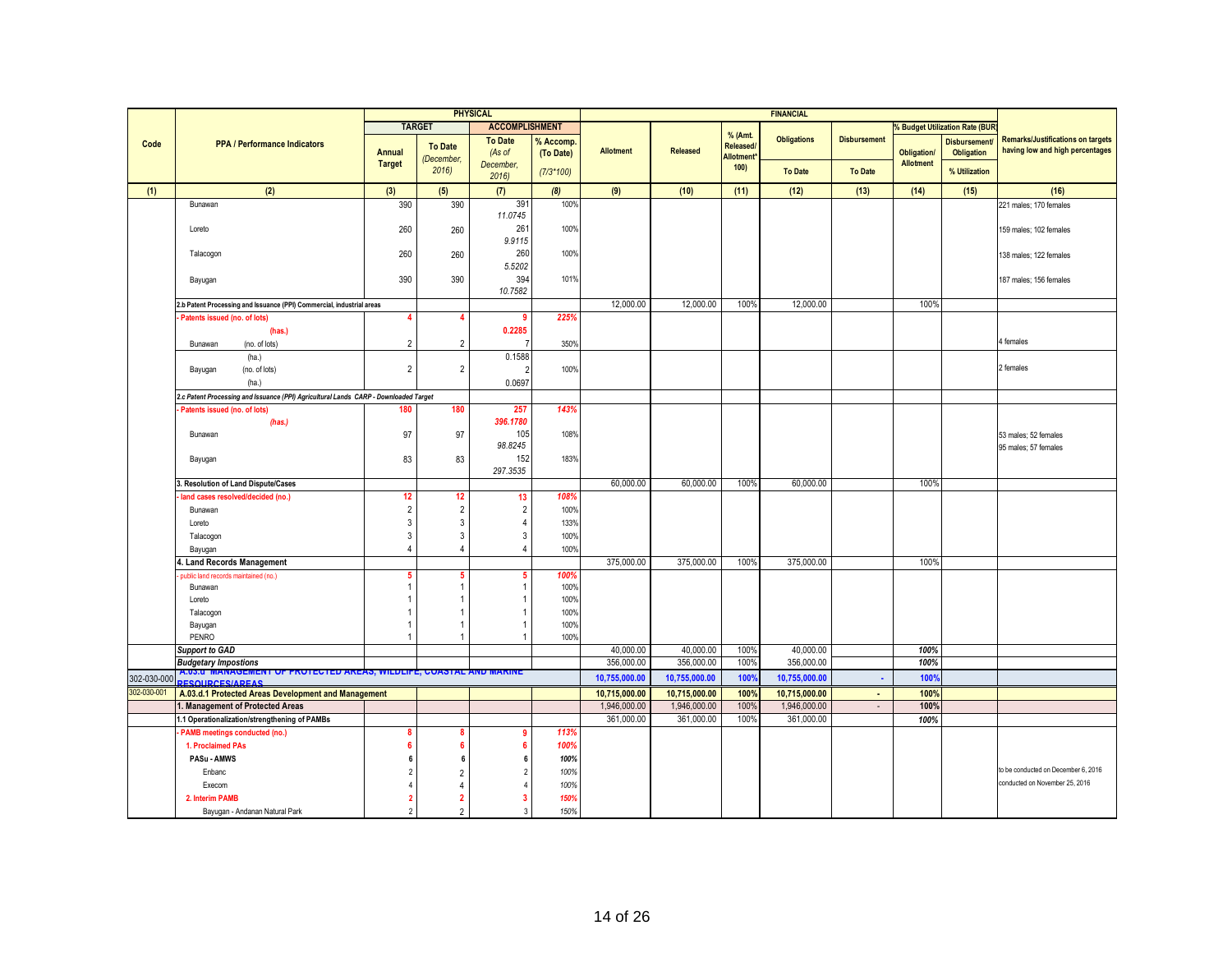|                            |                                                                                         |                |                | <b>PHYSICAL</b>          |              |                  |                 |                               | <b>FINANCIAL</b>              |                     |                    |                                 |                                          |
|----------------------------|-----------------------------------------------------------------------------------------|----------------|----------------|--------------------------|--------------|------------------|-----------------|-------------------------------|-------------------------------|---------------------|--------------------|---------------------------------|------------------------------------------|
|                            |                                                                                         |                | <b>TARGET</b>  | <b>ACCOMPLISHMENT</b>    |              |                  |                 |                               |                               |                     |                    | % Budget Utilization Rate (BUR) |                                          |
|                            | <b>PPA / Performance Indicators</b>                                                     |                |                | <b>To Date</b>           | % Accomp.    |                  |                 | % (Amt.                       | <b>Obligations</b>            | <b>Disbursement</b> |                    | <b>Disbursement</b>             | <b>Remarks/Justifications on targets</b> |
| Code                       |                                                                                         | <b>Annual</b>  | <b>To Date</b> | (As of                   | (To Date)    | <b>Allotment</b> | <b>Released</b> | Released/<br><b>Allotment</b> |                               |                     | <b>Obligation/</b> | <b>Obligation</b>               | having low and high percentages          |
|                            |                                                                                         | <b>Target</b>  | (December,     | December,                |              |                  |                 | 100)                          |                               |                     | <b>Allotment</b>   |                                 |                                          |
|                            |                                                                                         |                | 2016           | 2016                     | $(7/3*100)$  |                  |                 |                               | <b>To Date</b>                | <b>To Date</b>      |                    | % Utilization                   |                                          |
| (1)                        | (2)                                                                                     | (3)            | (5)            | (7)                      | (8)          | (9)              | (10)            | (11)                          | (12)                          | (13)                | (14)               | (15)                            | (16)                                     |
|                            | Bunawan                                                                                 | 390            | 390            | 391                      | 100%         |                  |                 |                               |                               |                     |                    |                                 | 221 males; 170 females                   |
|                            |                                                                                         |                |                | 11.0745                  |              |                  |                 |                               |                               |                     |                    |                                 |                                          |
|                            | Loreto                                                                                  | 260            | 260            | 261                      | 100%         |                  |                 |                               |                               |                     |                    |                                 | 159 males; 102 females                   |
|                            |                                                                                         |                |                | 9.9115                   |              |                  |                 |                               |                               |                     |                    |                                 |                                          |
|                            | Talacogon                                                                               | 260            | 260            | 260                      | 100%         |                  |                 |                               |                               |                     |                    |                                 | 138 males; 122 females                   |
|                            |                                                                                         |                |                | 5.5202                   |              |                  |                 |                               |                               |                     |                    |                                 |                                          |
|                            | Bayugan                                                                                 | 390            | 390            | 394                      | 101%         |                  |                 |                               |                               |                     |                    |                                 | 187 males; 156 females                   |
|                            |                                                                                         |                |                | 10.7582                  |              |                  |                 |                               |                               |                     |                    |                                 |                                          |
|                            | 2.b Patent Processing and Issuance (PPI) Commercial, industrial areas                   |                |                |                          |              | 12,000.00        | 12,000.00       | 100%                          | 12,000.00                     |                     | 100%               |                                 |                                          |
|                            | Patents issued (no. of lots)                                                            |                |                | 9                        | 225%         |                  |                 |                               |                               |                     |                    |                                 |                                          |
|                            | (has.)                                                                                  |                |                | 0.2285                   |              |                  |                 |                               |                               |                     |                    |                                 |                                          |
|                            | Bunawan<br>(no. of lots)                                                                | $\overline{2}$ | $\overline{2}$ |                          | 350%         |                  |                 |                               |                               |                     |                    |                                 | 1 females                                |
|                            | (ha.)                                                                                   |                |                | 0.1588                   |              |                  |                 |                               |                               |                     |                    |                                 |                                          |
|                            | (no. of lots)<br>Bayugan                                                                | $\overline{2}$ | $\overline{2}$ |                          | 100%         |                  |                 |                               |                               |                     |                    |                                 | 2 females                                |
|                            | (ha.)                                                                                   |                |                | 0.0697                   |              |                  |                 |                               |                               |                     |                    |                                 |                                          |
|                            | 2.c Patent Processing and Issuance (PPI) Agricultural Lands CARP - Downloaded Target    |                |                |                          |              |                  |                 |                               |                               |                     |                    |                                 |                                          |
|                            | Patents issued (no. of lots)                                                            | 180            | 180            | 257                      | 143%         |                  |                 |                               |                               |                     |                    |                                 |                                          |
|                            | (has.)                                                                                  |                |                | 396.1780                 |              |                  |                 |                               |                               |                     |                    |                                 |                                          |
|                            | Bunawan                                                                                 | 97             | 97             | 105                      | 108%         |                  |                 |                               |                               |                     |                    |                                 | 53 males; 52 females                     |
|                            |                                                                                         |                |                | 98.8245                  |              |                  |                 |                               |                               |                     |                    |                                 | 95 males; 57 females                     |
|                            | Bayugan                                                                                 | 83             | 83             | 152                      | 183%         |                  |                 |                               |                               |                     |                    |                                 |                                          |
|                            |                                                                                         |                |                | 297.3535                 |              |                  |                 |                               |                               |                     |                    |                                 |                                          |
|                            | . Resolution of Land Dispute/Cases                                                      |                |                |                          |              | 60,000.00        | 60,000.00       | 100%                          | 60,000.00                     |                     | 100%               |                                 |                                          |
|                            | land cases resolved/decided (no.)                                                       | 12             | 12             | 13                       | 108%         |                  |                 |                               |                               |                     |                    |                                 |                                          |
|                            | Bunawan                                                                                 | 2              | $\overline{2}$ | $\overline{2}$           | 100%         |                  |                 |                               |                               |                     |                    |                                 |                                          |
|                            | Loreto                                                                                  | 3              | 3              | $\overline{4}$           | 133%         |                  |                 |                               |                               |                     |                    |                                 |                                          |
|                            | Talacogon                                                                               | 3              | 3              | $\sqrt{3}$               | 100%         |                  |                 |                               |                               |                     |                    |                                 |                                          |
|                            | Bayugan                                                                                 | $\overline{4}$ | $\overline{4}$ | $\overline{4}$           | 100%         |                  |                 |                               |                               |                     |                    |                                 |                                          |
|                            | 4. Land Records Management                                                              |                |                |                          |              | 375,000.00       | 375,000.00      | 100%                          | 375,000.00                    |                     | 100%               |                                 |                                          |
|                            | public land records maintained (no.)                                                    | 5              | 1              | 5<br>$\overline{1}$      | 100%         |                  |                 |                               |                               |                     |                    |                                 |                                          |
|                            | Bunawan                                                                                 |                |                | $\overline{1}$           | 100%<br>100% |                  |                 |                               |                               |                     |                    |                                 |                                          |
|                            | Loreto<br>Talacogon                                                                     |                |                | $\overline{1}$           | 100%         |                  |                 |                               |                               |                     |                    |                                 |                                          |
|                            | Bayugan                                                                                 |                |                | -1                       | 100%         |                  |                 |                               |                               |                     |                    |                                 |                                          |
|                            | PENRO                                                                                   |                | 1              | $\overline{1}$           | 100%         |                  |                 |                               |                               |                     |                    |                                 |                                          |
|                            | <b>Support to GAD</b>                                                                   |                |                |                          |              | 40,000.00        | 40,000.00       | 100%                          | 40,000.00                     |                     | 100%               |                                 |                                          |
|                            | <b>Budgetary Impostions</b>                                                             |                |                |                          |              | 356,000.00       | 356,000.00      | 100%                          | 356,000.00                    |                     | 100%               |                                 |                                          |
|                            | <u>A.U3.U_WIANAGEWENT OF PROTECTED AREAS, WILDLIFE, COASTAL AND WARINE</u>              |                |                |                          |              | 10,755,000.00    | 10,755,000.00   | 100%                          | 10,755,000.00                 | $\blacksquare$      | 100%               |                                 |                                          |
| 302-030-000<br>302-030-001 | <b>ESOUPCESIADEAS</b>                                                                   |                |                |                          |              | 10,715,000.00    | 10,715,000.00   | 100%                          |                               | $\mathbf{r}$        | 100%               |                                 |                                          |
|                            | A.03.d.1 Protected Areas Development and Management<br>I. Management of Protected Areas |                |                |                          |              | 1,946,000.00     | 1,946,000.00    | 100%                          | 10,715,000.00<br>1,946,000.00 | $\sim$              | 100%               |                                 |                                          |
|                            |                                                                                         |                |                |                          |              | 361.000.00       | 361,000.00      | 100%                          | 361,000.00                    |                     | 100%               |                                 |                                          |
|                            | 1.1 Operationalization/strengthening of PAMBs<br><b>PAMB</b> meetings conducted (no.)   | 8              |                | g                        | 113%         |                  |                 |                               |                               |                     |                    |                                 |                                          |
|                            |                                                                                         | 6              | 6              | 6                        |              |                  |                 |                               |                               |                     |                    |                                 |                                          |
|                            | 1. Proclaimed PAs<br>PASu - AMWS                                                        |                |                | 6                        | 100%         |                  |                 |                               |                               |                     |                    |                                 |                                          |
|                            |                                                                                         | 6              | 6              |                          | 100%         |                  |                 |                               |                               |                     |                    |                                 | to be conducted on December 6, 2016      |
|                            | Enbanc                                                                                  | $\overline{2}$ | $\overline{2}$ | $\overline{\phantom{a}}$ | 100%         |                  |                 |                               |                               |                     |                    |                                 | conducted on November 25, 2016           |
|                            | Execom                                                                                  |                | Δ              |                          | 100%         |                  |                 |                               |                               |                     |                    |                                 |                                          |
|                            | 2. Interim PAMB                                                                         | $\overline{2}$ | $\mathbf{2}$   | -3                       | 150%         |                  |                 |                               |                               |                     |                    |                                 |                                          |
|                            | Bayugan - Andanan Natural Park                                                          | $\overline{2}$ | $\mathfrak{p}$ | $\overline{3}$           | 150%         |                  |                 |                               |                               |                     |                    |                                 |                                          |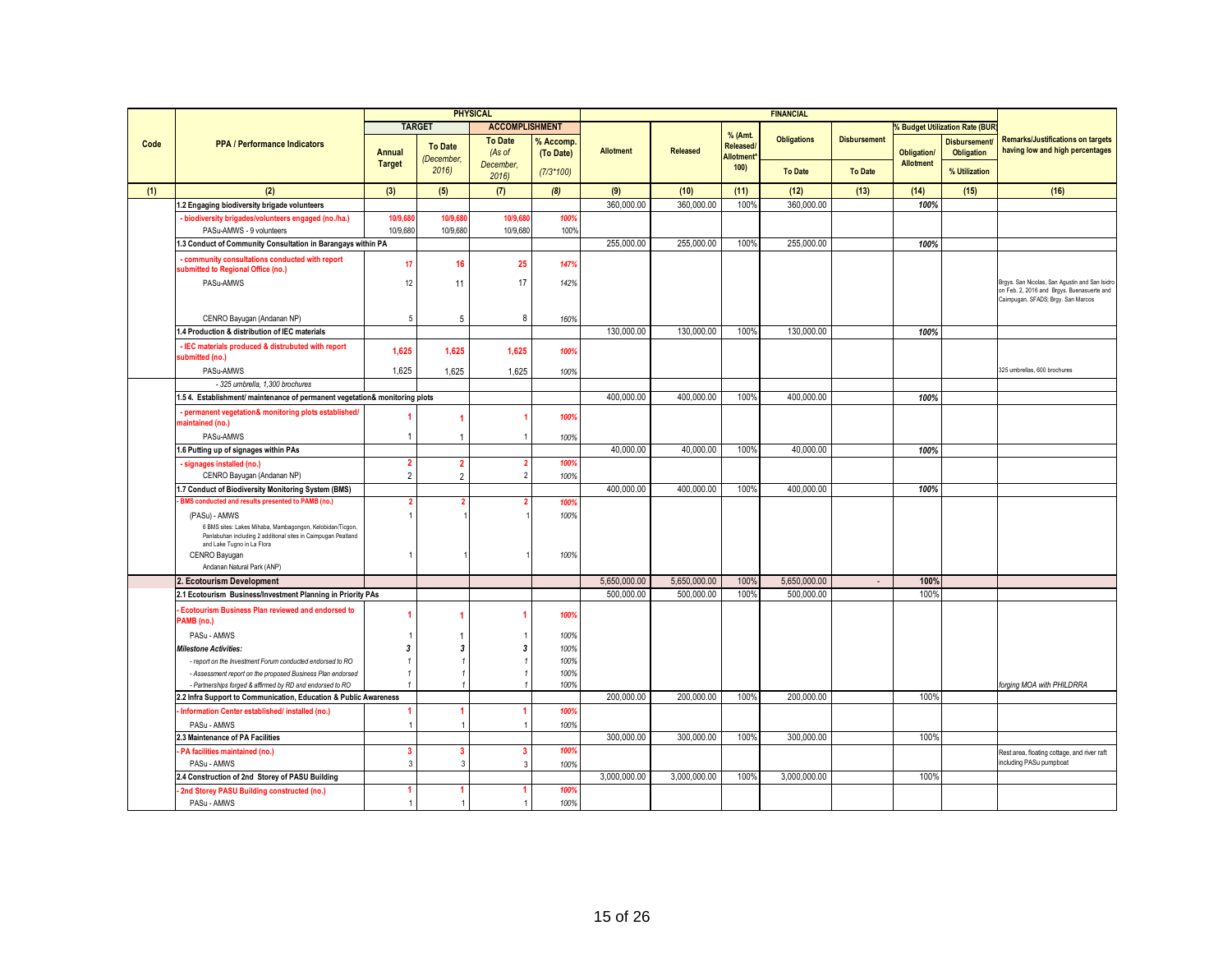|      |                                                                                                                                                          |                      |                         | <b>PHYSICAL</b>          |                        |                  |                 |                                                | <b>FINANCIAL</b>   |                          |                  |                                       |                                                                                                                                    |
|------|----------------------------------------------------------------------------------------------------------------------------------------------------------|----------------------|-------------------------|--------------------------|------------------------|------------------|-----------------|------------------------------------------------|--------------------|--------------------------|------------------|---------------------------------------|------------------------------------------------------------------------------------------------------------------------------------|
|      |                                                                                                                                                          |                      | <b>TARGET</b>           | <b>ACCOMPLISHMENT</b>    |                        |                  |                 |                                                |                    |                          |                  | <b>6 Budget Utilization Rate (BUR</b> |                                                                                                                                    |
| Code | <b>PPA / Performance Indicators</b>                                                                                                                      | <b>Annual</b>        | <b>To Date</b>          | <b>To Date</b><br>(As of | % Accomp.<br>(To Date) | <b>Allotment</b> | <b>Released</b> | % (Amt.<br><b>Released</b><br><b>Allotment</b> | <b>Obligations</b> | <b>Disbursement</b>      | Obligation/      | <b>Disbursement</b><br>Obligation     | <b>Remarks/Justifications on targets</b><br>having low and high percentages                                                        |
|      |                                                                                                                                                          | <b>Target</b>        | (December,<br>2016      | December,<br>2016        | $(7/3*100)$            |                  |                 | 100)                                           | <b>To Date</b>     | <b>To Date</b>           | <b>Allotment</b> | % Utilization                         |                                                                                                                                    |
| (1)  | (2)                                                                                                                                                      | (3)                  | (5)                     | (7)                      | (8)                    | (9)              | (10)            | (11)                                           | (12)               | (13)                     | (14)             | (15)                                  | (16)                                                                                                                               |
|      | 1.2 Engaging biodiversity brigade volunteers                                                                                                             |                      |                         |                          |                        | 360,000.00       | 360,000.00      | 100%                                           | 360,000,00         |                          | 100%             |                                       |                                                                                                                                    |
|      | - biodiversity brigades/volunteers engaged (no./ha.)                                                                                                     | 10/9,68              | 10/9,68                 | 10/9,68                  | 100%                   |                  |                 |                                                |                    |                          |                  |                                       |                                                                                                                                    |
|      | PASu-AMWS - 9 volunteers                                                                                                                                 | 10/9,680             | 10/9,680                | 10/9,680                 | 100%                   |                  |                 |                                                |                    |                          |                  |                                       |                                                                                                                                    |
|      | 1.3 Conduct of Community Consultation in Barangays within PA                                                                                             |                      |                         |                          |                        | 255,000.00       | 255,000.00      | 100%                                           | 255,000.00         |                          | 100%             |                                       |                                                                                                                                    |
|      | - community consultations conducted with report<br>submitted to Regional Office (no.)                                                                    | 17 <sup>17</sup>     | 16                      | 25                       | 147%                   |                  |                 |                                                |                    |                          |                  |                                       |                                                                                                                                    |
|      | PASu-AMWS                                                                                                                                                | 12                   | 11                      | 17                       | 142%                   |                  |                 |                                                |                    |                          |                  |                                       | Brgys. San Nicolas, San Agustin and San Isidro<br>on Feb. 2, 2016 and Brgys. Buenasuerte and<br>Caimpugan, SFADS; Brgy. San Marcos |
|      | CENRO Bayugan (Andanan NP)                                                                                                                               | 5                    | 5                       | 8                        | 160%                   |                  |                 |                                                |                    |                          |                  |                                       |                                                                                                                                    |
|      | 1.4 Production & distribution of IEC materials                                                                                                           |                      |                         |                          |                        | 130.000.00       | 130,000.00      | 100%                                           | 130,000.00         |                          | 100%             |                                       |                                                                                                                                    |
|      | - IEC materials produced & distrubuted with report<br>submitted (no.)                                                                                    | 1,625                | 1,625                   | 1,625                    | 100%                   |                  |                 |                                                |                    |                          |                  |                                       |                                                                                                                                    |
|      | PASu-AMWS                                                                                                                                                | 1,625                | 1,625                   | 1,625                    | 100%                   |                  |                 |                                                |                    |                          |                  |                                       | 325 umbrellas, 600 brochures                                                                                                       |
|      | - 325 umbrella, 1,300 brochures                                                                                                                          |                      |                         |                          |                        |                  |                 |                                                |                    |                          |                  |                                       |                                                                                                                                    |
|      | 1.5 4. Establishment/ maintenance of permanent vegetation& monitoring plots                                                                              |                      |                         |                          |                        | 400,000.00       | 400,000.00      | 100%                                           | 400,000.00         |                          | 100%             |                                       |                                                                                                                                    |
|      | - permanent vegetation& monitoring plots established/<br>maintained (no.)                                                                                |                      |                         |                          | 100%                   |                  |                 |                                                |                    |                          |                  |                                       |                                                                                                                                    |
|      | PASu-AMWS                                                                                                                                                |                      |                         |                          | 100%                   |                  |                 |                                                |                    |                          |                  |                                       |                                                                                                                                    |
|      | 1.6 Putting up of signages within PAs                                                                                                                    |                      |                         |                          |                        | 40,000,00        | 40,000,00       | 100%                                           | 40.000.00          |                          | 100%             |                                       |                                                                                                                                    |
|      | signages installed (no.)                                                                                                                                 | $\mathbf{2}$         | $\overline{2}$          | $\overline{2}$           | 100%                   |                  |                 |                                                |                    |                          |                  |                                       |                                                                                                                                    |
|      | CENRO Bayugan (Andanan NP)                                                                                                                               | $\overline{2}$       | $\overline{2}$          | $\overline{2}$           | 100%                   |                  |                 |                                                |                    |                          |                  |                                       |                                                                                                                                    |
|      | 1.7 Conduct of Biodiversity Monitoring System (BMS)                                                                                                      |                      |                         |                          |                        | 400.000.00       | 400.000.00      | 100%                                           | 400.000.00         |                          | 100%             |                                       |                                                                                                                                    |
|      | BMS conducted and results presented to PAMB (no.)                                                                                                        | 2                    |                         |                          | 100%                   |                  |                 |                                                |                    |                          |                  |                                       |                                                                                                                                    |
|      | (PASu) - AMWS                                                                                                                                            | 1                    |                         |                          | 100%                   |                  |                 |                                                |                    |                          |                  |                                       |                                                                                                                                    |
|      | 6 BMS sites: Lakes Mihaba, Mambagongon, Kelobidan/Ticgon,<br>Panlabuhan including 2 additional sites in Caimpugan Peatland<br>and Lake Tugno in La Flora |                      |                         |                          |                        |                  |                 |                                                |                    |                          |                  |                                       |                                                                                                                                    |
|      | CENRO Bayugan                                                                                                                                            |                      |                         |                          | 100%                   |                  |                 |                                                |                    |                          |                  |                                       |                                                                                                                                    |
|      | Andanan Natural Park (ANP)                                                                                                                               |                      |                         |                          |                        |                  |                 |                                                |                    |                          |                  |                                       |                                                                                                                                    |
|      | <b>Ecotourism Development</b>                                                                                                                            |                      |                         |                          |                        | 5,650,000.00     | 5,650,000.00    | 100%                                           | 5,650,000.00       | $\overline{\phantom{a}}$ | 100%             |                                       |                                                                                                                                    |
|      | 2.1 Ecotourism Business/Investment Planning in Priority PAs                                                                                              |                      |                         |                          |                        | 500.000.00       | 500,000.00      | 100%                                           | 500.000.00         |                          | 100%             |                                       |                                                                                                                                    |
|      | <b>Ecotourism Business Plan reviewed and endorsed to</b><br>PAMB (no.)                                                                                   |                      |                         |                          | 100%                   |                  |                 |                                                |                    |                          |                  |                                       |                                                                                                                                    |
|      | PASu - AMWS                                                                                                                                              |                      |                         |                          | 100%                   |                  |                 |                                                |                    |                          |                  |                                       |                                                                                                                                    |
|      | <b>Milestone Activities:</b>                                                                                                                             | 3                    | 3                       | -3                       | 100%                   |                  |                 |                                                |                    |                          |                  |                                       |                                                                                                                                    |
|      | - report on the Investment Forum conducted endorsed to RO                                                                                                |                      |                         |                          | 100%                   |                  |                 |                                                |                    |                          |                  |                                       |                                                                                                                                    |
|      | - Assessment report on the proposed Business Plan endorsed                                                                                               |                      |                         |                          | 100%                   |                  |                 |                                                |                    |                          |                  |                                       |                                                                                                                                    |
|      | - Partnerships forged & affirmed by RD and endorsed to RO                                                                                                |                      |                         |                          | 100%                   | 200,000.00       | 200,000.00      | 100%                                           | 200,000.00         |                          | 100%             |                                       | forging MOA with PHILDRRA                                                                                                          |
|      | 2.2 Infra Support to Communication, Education & Public Awareness                                                                                         |                      |                         |                          |                        |                  |                 |                                                |                    |                          |                  |                                       |                                                                                                                                    |
|      | Information Center established/ installed (no.)<br>PASu - AMWS                                                                                           | $\blacktriangleleft$ | 1                       |                          | 100%<br>100%           |                  |                 |                                                |                    |                          |                  |                                       |                                                                                                                                    |
|      | 2.3 Maintenance of PA Facilities                                                                                                                         |                      |                         |                          |                        | 300.000.00       | 300.000.00      | 100%                                           | 300.000.00         |                          | 100%             |                                       |                                                                                                                                    |
|      | PA facilities maintained (no.)                                                                                                                           | 3                    | $\overline{\mathbf{3}}$ | $\overline{3}$           | 100%                   |                  |                 |                                                |                    |                          |                  |                                       | Rest area, floating cottage, and river raft                                                                                        |
|      | PASu - AMWS                                                                                                                                              | 3                    | 3                       | 3                        | 100%                   |                  |                 |                                                |                    |                          |                  |                                       | including PASu pumpboat                                                                                                            |
|      | 2.4 Construction of 2nd Storey of PASU Building                                                                                                          |                      |                         |                          |                        | 3,000,000.00     | 3,000,000.00    | 100%                                           | 3.000.000.00       |                          | 100%             |                                       |                                                                                                                                    |
|      | 2nd Storey PASU Building constructed (no.)                                                                                                               |                      |                         |                          | 100%                   |                  |                 |                                                |                    |                          |                  |                                       |                                                                                                                                    |
|      | PASu - AMWS                                                                                                                                              | $\mathbf{1}$         |                         |                          | 100%                   |                  |                 |                                                |                    |                          |                  |                                       |                                                                                                                                    |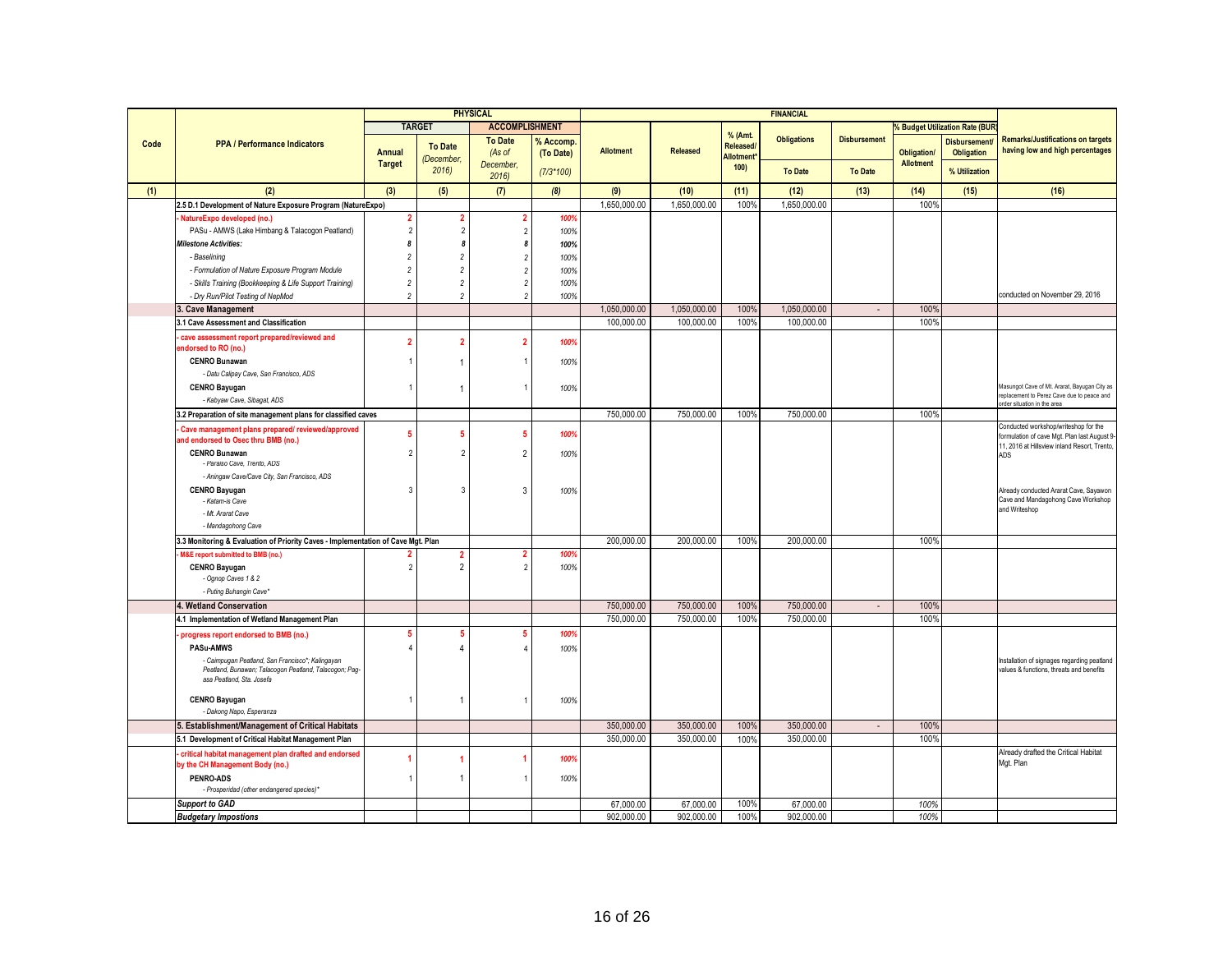|      |                                                                                                            |                         |                      | <b>PHYSICAL</b>       |             |                  |                 |                        | <b>FINANCIAL</b>   |                          |                                        |                                     |                                                                                                                                      |
|------|------------------------------------------------------------------------------------------------------------|-------------------------|----------------------|-----------------------|-------------|------------------|-----------------|------------------------|--------------------|--------------------------|----------------------------------------|-------------------------------------|--------------------------------------------------------------------------------------------------------------------------------------|
|      |                                                                                                            |                         | <b>TARGET</b>        | <b>ACCOMPLISHMENT</b> |             |                  |                 |                        |                    |                          |                                        | <b>Budget Utilization Rate (BUF</b> |                                                                                                                                      |
| Code | <b>PPA / Performance Indicators</b>                                                                        |                         | <b>To Date</b>       | <b>To Date</b>        | % Accomp    |                  |                 | % (Amt.<br>Released/   | <b>Obligations</b> | <b>Disbursement</b>      |                                        | <b>Disbursement</b>                 | <b>Remarks/Justifications on targets</b><br>having low and high percentages                                                          |
|      |                                                                                                            | Annual<br><b>Target</b> | (December,           | (As of<br>December.   | (To Date)   | <b>Allotment</b> | <b>Released</b> | Allotment <sup>®</sup> |                    |                          | <b>Obligation/</b><br><b>Allotment</b> | <b>Obligation</b>                   |                                                                                                                                      |
|      |                                                                                                            |                         | 2016                 | 2016                  | $(7/3*100)$ |                  |                 | 100)                   | <b>To Date</b>     | <b>To Date</b>           |                                        | % Utilization                       |                                                                                                                                      |
| (1)  | (2)                                                                                                        | (3)                     | (5)                  | (7)                   | (8)         | (9)              | (10)            | (11)                   | (12)               | (13)                     | (14)                                   | (15)                                | (16)                                                                                                                                 |
|      | 2.5 D.1 Development of Nature Exposure Program (NatureExpo)                                                |                         |                      |                       |             | 1,650,000.00     | 1,650,000.00    | 100%                   | 1,650,000.00       |                          | 100%                                   |                                     |                                                                                                                                      |
|      | NatureExpo developed (no.)                                                                                 | $\overline{\mathbf{2}}$ | 2                    | 2                     | 100%        |                  |                 |                        |                    |                          |                                        |                                     |                                                                                                                                      |
|      | PASu - AMWS (Lake Himbang & Talacogon Peatland)                                                            | $\overline{2}$          | $\overline{2}$       | $\overline{2}$        | 100%        |                  |                 |                        |                    |                          |                                        |                                     |                                                                                                                                      |
|      | Milestone Activities:                                                                                      | 8                       | $\boldsymbol{s}$     |                       | 100%        |                  |                 |                        |                    |                          |                                        |                                     |                                                                                                                                      |
|      | - Baselining                                                                                               | $\overline{c}$          | $\overline{2}$       |                       | 100%        |                  |                 |                        |                    |                          |                                        |                                     |                                                                                                                                      |
|      | - Formulation of Nature Exposure Program Module                                                            | $\sqrt{2}$              | $\overline{2}$       |                       | 100%        |                  |                 |                        |                    |                          |                                        |                                     |                                                                                                                                      |
|      | - Skills Training (Bookkeeping & Life Support Training)                                                    | $\sqrt{2}$              | $\overline{c}$       |                       | 100%        |                  |                 |                        |                    |                          |                                        |                                     |                                                                                                                                      |
|      | - Dry Run/Pilot Testing of NepMod                                                                          | $\overline{c}$          | $\overline{c}$       |                       | 100%        |                  |                 |                        |                    |                          |                                        |                                     | conducted on November 29, 2016                                                                                                       |
|      | <b>Cave Management</b>                                                                                     |                         |                      |                       |             | 1,050,000.00     | 1,050,000.00    | 100%                   | 1,050,000.00       |                          | 100%                                   |                                     |                                                                                                                                      |
|      | 3.1 Cave Assessment and Classification                                                                     |                         |                      |                       |             | 100,000.00       | 100,000.00      | 100%                   | 100,000.00         |                          | 100%                                   |                                     |                                                                                                                                      |
|      | cave assessment report prepared/reviewed and<br>endorsed to RO (no.)                                       | $\overline{2}$          | $\overline{2}$       | 2                     | 100%        |                  |                 |                        |                    |                          |                                        |                                     |                                                                                                                                      |
|      | <b>CENRO Bunawan</b>                                                                                       |                         |                      |                       | 100%        |                  |                 |                        |                    |                          |                                        |                                     |                                                                                                                                      |
|      | - Datu Calipay Cave, San Francisco, ADS                                                                    |                         |                      |                       |             |                  |                 |                        |                    |                          |                                        |                                     |                                                                                                                                      |
|      | <b>CENRO Bayugan</b>                                                                                       | $\overline{1}$          | 1                    |                       | 100%        |                  |                 |                        |                    |                          |                                        |                                     | Masungot Cave of Mt. Ararat, Bayugan City as<br>replacement to Perez Cave due to peace and                                           |
|      | - Kabyaw Cave, Sibagat, ADS                                                                                |                         |                      |                       |             |                  |                 |                        |                    |                          |                                        |                                     | order situation in the area                                                                                                          |
|      | 3.2 Preparation of site management plans for classified caves                                              |                         |                      |                       |             | 750,000.00       | 750,000.00      | 100 <sup>°</sup>       | 750,000.00         |                          | 100%                                   |                                     |                                                                                                                                      |
|      | Cave management plans prepared/reviewed/approved<br>and endorsed to Osec thru BMB (no.)                    | 5                       | 5                    | 5                     | 100%        |                  |                 |                        |                    |                          |                                        |                                     | Conducted workshop/writeshop for the<br>formulation of cave Mgt. Plan last August 9-<br>11, 2016 at Hillsview inland Resort, Trento, |
|      | <b>CENRO Bunawan</b><br>- Paraiso Cave, Trento, ADS                                                        | $\overline{2}$          | $\overline{2}$       | $\overline{2}$        | 100%        |                  |                 |                        |                    |                          |                                        |                                     | ADS                                                                                                                                  |
|      | - Aningaw Cave/Cave City, San Francisco, ADS                                                               |                         |                      |                       |             |                  |                 |                        |                    |                          |                                        |                                     |                                                                                                                                      |
|      | <b>CENRO Bayugan</b>                                                                                       | 3                       | 3                    | 3                     | 100%        |                  |                 |                        |                    |                          |                                        |                                     | Already conducted Ararat Cave, Sayawon                                                                                               |
|      | - Katam-is Cave                                                                                            |                         |                      |                       |             |                  |                 |                        |                    |                          |                                        |                                     | Cave and Mandagohong Cave Workshop                                                                                                   |
|      | - Mt. Ararat Cave                                                                                          |                         |                      |                       |             |                  |                 |                        |                    |                          |                                        |                                     | and Writeshop                                                                                                                        |
|      | - Mandagohong Cave                                                                                         |                         |                      |                       |             |                  |                 |                        |                    |                          |                                        |                                     |                                                                                                                                      |
|      | 3.3 Monitoring & Evaluation of Priority Caves - Implementation of Cave Mgt. Plan                           |                         |                      |                       |             | 200,000.00       | 200,000.00      | 100%                   | 200,000.00         |                          | 100%                                   |                                     |                                                                                                                                      |
|      | M&E report submitted to BMB (no.)                                                                          |                         | $\overline{2}$       | $\overline{ }$        | 100%        |                  |                 |                        |                    |                          |                                        |                                     |                                                                                                                                      |
|      | <b>CENRO Bayugan</b>                                                                                       | $\overline{2}$          | $\overline{2}$       | $\mathfrak{p}$        | 100%        |                  |                 |                        |                    |                          |                                        |                                     |                                                                                                                                      |
|      | - Ognop Caves 1 & 2                                                                                        |                         |                      |                       |             |                  |                 |                        |                    |                          |                                        |                                     |                                                                                                                                      |
|      | - Puting Buhangin Cave*                                                                                    |                         |                      |                       |             |                  |                 |                        |                    |                          |                                        |                                     |                                                                                                                                      |
|      | 4. Wetland Conservation                                                                                    |                         |                      |                       |             | 750,000.00       | 750,000.00      | 100%                   | 750,000.00         | $\sim$                   | 100%                                   |                                     |                                                                                                                                      |
|      | 4.1 Implementation of Wetland Management Plan                                                              |                         |                      |                       |             | 750,000.00       | 750,000.00      | 100%                   | 750,000.00         |                          | 100%                                   |                                     |                                                                                                                                      |
|      | progress report endorsed to BMB (no.)                                                                      | 5                       | 5                    | 5                     | 100%        |                  |                 |                        |                    |                          |                                        |                                     |                                                                                                                                      |
|      | PASu-AMWS                                                                                                  | $\Delta$                | $\overline{\Lambda}$ |                       | 100%        |                  |                 |                        |                    |                          |                                        |                                     |                                                                                                                                      |
|      | - Caimpugan Peatland, San Francisco*; Kalingayan<br>Peatland, Bunawan; Talacogon Peatland, Talacogon; Pag- |                         |                      |                       |             |                  |                 |                        |                    |                          |                                        |                                     | Installation of signages regarding peatland<br>values & functions, threats and benefits                                              |
|      | asa Peatland, Sta, Josefa                                                                                  |                         |                      |                       |             |                  |                 |                        |                    |                          |                                        |                                     |                                                                                                                                      |
|      |                                                                                                            |                         |                      |                       |             |                  |                 |                        |                    |                          |                                        |                                     |                                                                                                                                      |
|      | <b>CENRO Bayugan</b><br>- Dakong Napo, Esperanza                                                           | $\overline{1}$          | 1                    |                       | 100%        |                  |                 |                        |                    |                          |                                        |                                     |                                                                                                                                      |
|      | 5. Establishment/Management of Critical Habitats                                                           |                         |                      |                       |             | 350,000.00       | 350,000.00      | 100%                   | 350,000.00         | $\overline{\phantom{a}}$ | 100%                                   |                                     |                                                                                                                                      |
|      | 5.1 Development of Critical Habitat Management Plan                                                        |                         |                      |                       |             | 350,000.00       | 350,000.00      | 100%                   | 350,000.00         |                          | 100%                                   |                                     |                                                                                                                                      |
|      | critical habitat management plan drafted and endorsed                                                      |                         |                      |                       |             |                  |                 |                        |                    |                          |                                        |                                     | Already drafted the Critical Habitat                                                                                                 |
|      | by the CH Management Body (no.)                                                                            | 1                       |                      |                       | 100%        |                  |                 |                        |                    |                          |                                        |                                     | Mat. Plan                                                                                                                            |
|      | <b>PENRO-ADS</b>                                                                                           | $\overline{1}$          | 1                    |                       | 100%        |                  |                 |                        |                    |                          |                                        |                                     |                                                                                                                                      |
|      | - Prosperidad (other endangered species)*                                                                  |                         |                      |                       |             |                  |                 |                        |                    |                          |                                        |                                     |                                                                                                                                      |
|      | <b>Support to GAD</b>                                                                                      |                         |                      |                       |             | 67,000.00        | 67,000.00       | 100%                   | 67,000.00          |                          | 100%                                   |                                     |                                                                                                                                      |
|      | <b>Budgetary Impostions</b>                                                                                |                         |                      |                       |             | 902,000.00       | 902,000.00      | 100%                   | 902,000.00         |                          | 100%                                   |                                     |                                                                                                                                      |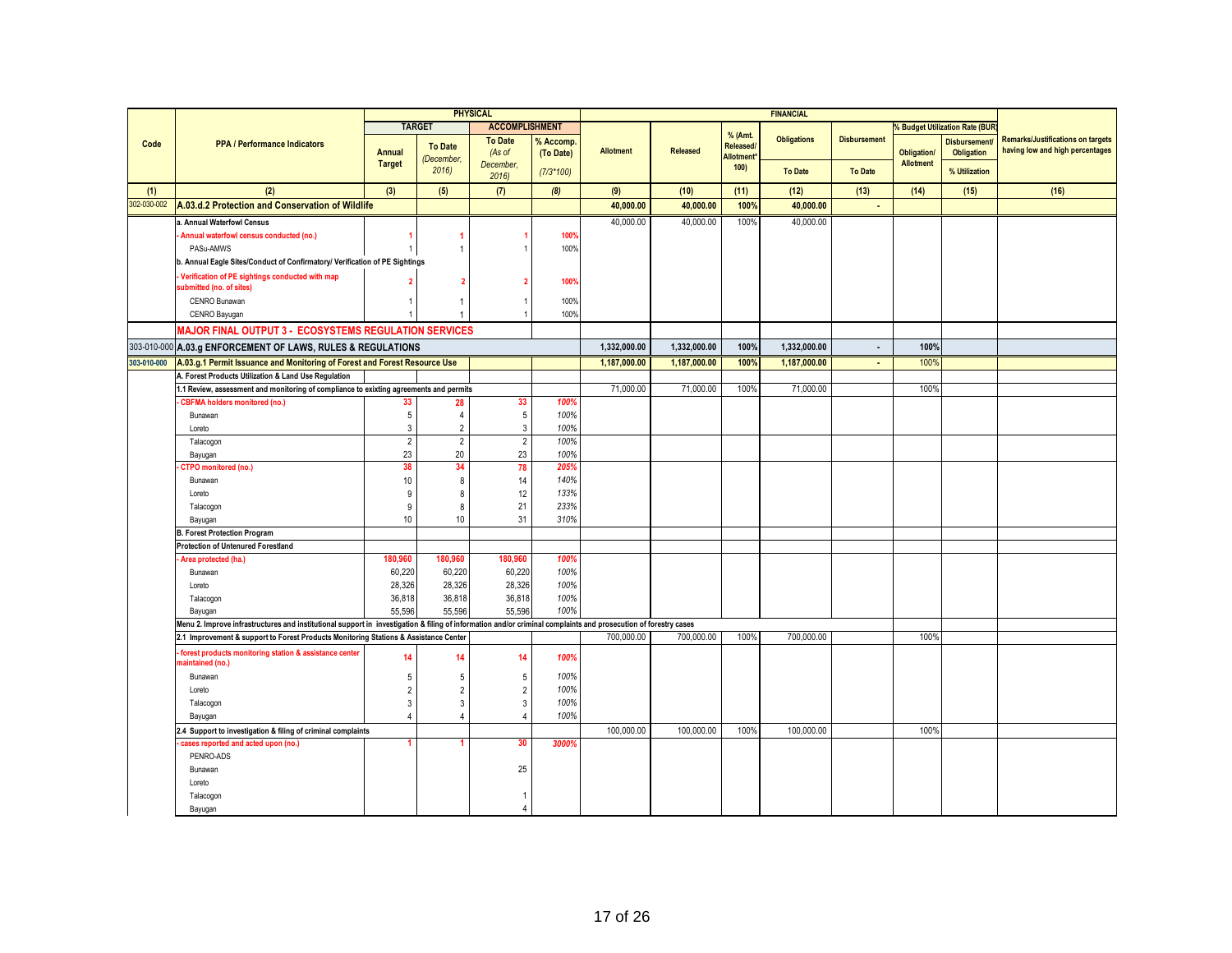|             |                                                                                                                                                                 |                 |                | <b>PHYSICAL</b>       |             |                  |                 |                            | <b>FINANCIAL</b>   |                     |                    |                                     |                                          |
|-------------|-----------------------------------------------------------------------------------------------------------------------------------------------------------------|-----------------|----------------|-----------------------|-------------|------------------|-----------------|----------------------------|--------------------|---------------------|--------------------|-------------------------------------|------------------------------------------|
|             |                                                                                                                                                                 |                 | <b>TARGET</b>  | <b>ACCOMPLISHMENT</b> |             |                  |                 |                            |                    |                     |                    | <b>Budget Utilization Rate (BUR</b> |                                          |
| Code        | <b>PPA / Performance Indicators</b>                                                                                                                             |                 | <b>To Date</b> | <b>To Date</b>        | % Accomp    |                  |                 | % (Amt.<br><b>Released</b> | <b>Obligations</b> | <b>Disbursement</b> |                    | <b>Disbursement</b>                 | <b>Remarks/Justifications on targets</b> |
|             |                                                                                                                                                                 | Annual          | (December,     | (As of                | (To Date)   | <b>Allotment</b> | <b>Released</b> | <b>Allotment</b>           |                    |                     | <b>Obligation/</b> | Obligation                          | having low and high percentages          |
|             |                                                                                                                                                                 | <b>Target</b>   | 2016           | December,<br>2016     | $(7/3*100)$ |                  |                 | 100)                       | <b>To Date</b>     | <b>To Date</b>      | <b>Allotment</b>   | % Utilization                       |                                          |
| (1)         | (2)                                                                                                                                                             | (3)             | (5)            | (7)                   | (8)         | (9)              | (10)            | (11)                       | (12)               | (13)                | (14)               | (15)                                | (16)                                     |
| 302-030-002 | A.03.d.2 Protection and Conservation of Wildlife                                                                                                                |                 |                |                       |             | 40,000.00        | 40,000.00       | 100%                       | 40,000.00          | $\blacksquare$      |                    |                                     |                                          |
|             | a. Annual Waterfowl Census                                                                                                                                      |                 |                |                       |             | 40.000.00        | 40,000.00       | 100%                       | 40.000.00          |                     |                    |                                     |                                          |
|             | Annual waterfowl census conducted (no.)                                                                                                                         |                 |                |                       | <b>100%</b> |                  |                 |                            |                    |                     |                    |                                     |                                          |
|             | PASu-AMWS                                                                                                                                                       |                 |                |                       | 100%        |                  |                 |                            |                    |                     |                    |                                     |                                          |
|             | b. Annual Eagle Sites/Conduct of Confirmatory/ Verification of PE Sightings                                                                                     |                 |                |                       |             |                  |                 |                            |                    |                     |                    |                                     |                                          |
|             | Verification of PE sightings conducted with map                                                                                                                 |                 |                |                       |             |                  |                 |                            |                    |                     |                    |                                     |                                          |
|             | submitted (no. of sites)                                                                                                                                        |                 |                |                       | <b>100%</b> |                  |                 |                            |                    |                     |                    |                                     |                                          |
|             | <b>CENRO Bunawan</b>                                                                                                                                            |                 | -1             |                       | 100%        |                  |                 |                            |                    |                     |                    |                                     |                                          |
|             | CENRO Bayugan                                                                                                                                                   |                 |                |                       | 100%        |                  |                 |                            |                    |                     |                    |                                     |                                          |
|             | <b>MAJOR FINAL OUTPUT 3 - ECOSYSTEMS REGULATION SERVICES</b>                                                                                                    |                 |                |                       |             |                  |                 |                            |                    |                     |                    |                                     |                                          |
|             |                                                                                                                                                                 |                 |                |                       |             |                  |                 |                            |                    |                     |                    |                                     |                                          |
|             | 303-010-000 A.03.g ENFORCEMENT OF LAWS, RULES & REGULATIONS                                                                                                     |                 |                |                       |             | 1,332,000.00     | 1,332,000.00    | 100%                       | 1,332,000.00       | $\sim$              | 100%               |                                     |                                          |
| 303-010-000 | A.03.g.1 Permit Issuance and Monitoring of Forest and Forest Resource Use                                                                                       |                 |                |                       |             | 1,187,000.00     | 1,187,000.00    | 100%                       | 1,187,000.00       | $\blacksquare$      | 100%               |                                     |                                          |
|             | A. Forest Products Utilization & Land Use Regulation                                                                                                            |                 |                |                       |             |                  |                 |                            |                    |                     |                    |                                     |                                          |
|             | 1.1 Review, assessment and monitoring of compliance to exixting agreements and permits                                                                          |                 |                |                       |             | 71,000.00        | 71,000.00       | 100%                       | 71,000.00          |                     | 100%               |                                     |                                          |
|             | <b>CBFMA holders monitored (no.)</b>                                                                                                                            | 33              | 28             | 33                    | 100%        |                  |                 |                            |                    |                     |                    |                                     |                                          |
|             | Bunawan                                                                                                                                                         | $5\phantom{.0}$ | $\overline{4}$ | $\sqrt{5}$            | 100%        |                  |                 |                            |                    |                     |                    |                                     |                                          |
|             | Loreto                                                                                                                                                          | 3               | $\overline{2}$ | $\mathbf{3}$          | 100%        |                  |                 |                            |                    |                     |                    |                                     |                                          |
|             | Talacogon                                                                                                                                                       | $\overline{2}$  | $\overline{2}$ | $\overline{2}$        | 100%        |                  |                 |                            |                    |                     |                    |                                     |                                          |
|             | Bayugan                                                                                                                                                         | 23              | 20             | 23                    | 100%        |                  |                 |                            |                    |                     |                    |                                     |                                          |
|             | <b>CTPO</b> monitored (no.)                                                                                                                                     | 38              | 34             | 78                    | 205%        |                  |                 |                            |                    |                     |                    |                                     |                                          |
|             | Bunawan                                                                                                                                                         | 10              | 8              | 14                    | 140%        |                  |                 |                            |                    |                     |                    |                                     |                                          |
|             | Loreto                                                                                                                                                          | 9               | 8              | 12                    | 133%        |                  |                 |                            |                    |                     |                    |                                     |                                          |
|             | Talacogon                                                                                                                                                       | 9               | 8              | 21                    | 233%        |                  |                 |                            |                    |                     |                    |                                     |                                          |
|             | Bayugan                                                                                                                                                         | 10              | 10             | 31                    | 310%        |                  |                 |                            |                    |                     |                    |                                     |                                          |
|             | <b>B. Forest Protection Program</b>                                                                                                                             |                 |                |                       |             |                  |                 |                            |                    |                     |                    |                                     |                                          |
|             | <b>Protection of Untenured Forestland</b>                                                                                                                       |                 |                |                       |             |                  |                 |                            |                    |                     |                    |                                     |                                          |
|             | Area protected (ha.)                                                                                                                                            | 180.960         | 180.960        | 180.960               | 100%        |                  |                 |                            |                    |                     |                    |                                     |                                          |
|             | Bunawan                                                                                                                                                         | 60,220          | 60,220         | 60,220                | 100%        |                  |                 |                            |                    |                     |                    |                                     |                                          |
|             | Loreto                                                                                                                                                          | 28,326          | 28,326         | 28,326                | 100%        |                  |                 |                            |                    |                     |                    |                                     |                                          |
|             | Talacogon                                                                                                                                                       | 36,818          | 36,818         | 36,818                | 100%        |                  |                 |                            |                    |                     |                    |                                     |                                          |
|             | Bayugan                                                                                                                                                         | 55,596          | 55,596         | 55,596                | 100%        |                  |                 |                            |                    |                     |                    |                                     |                                          |
|             | Menu 2. Improve infrastructures and institutional support in investigation & filing of information and/or criminal complaints and prosecution of forestry cases |                 |                |                       |             |                  |                 |                            |                    |                     |                    |                                     |                                          |
|             | 2.1 Improvement & support to Forest Products Monitoring Stations & Assistance Center                                                                            |                 |                |                       |             | 700,000.00       | 700,000.00      | 100%                       | 700,000.00         |                     | 100%               |                                     |                                          |
|             | forest products monitoring station & assistance center                                                                                                          | 14              | 14             | 14                    | 100%        |                  |                 |                            |                    |                     |                    |                                     |                                          |
|             | naintained (no.)                                                                                                                                                |                 |                |                       |             |                  |                 |                            |                    |                     |                    |                                     |                                          |
|             | Bunawan                                                                                                                                                         | .5              | 5              | 5                     | 100%        |                  |                 |                            |                    |                     |                    |                                     |                                          |
|             | Loreto                                                                                                                                                          |                 | $\mathcal{P}$  | $\sqrt{2}$            | 100%        |                  |                 |                            |                    |                     |                    |                                     |                                          |
|             | Talacogon                                                                                                                                                       | 3               | 3              | $\mathbf{3}$          | 100%        |                  |                 |                            |                    |                     |                    |                                     |                                          |
|             | Bayugan                                                                                                                                                         |                 |                | $\overline{4}$        | 100%        |                  |                 |                            |                    |                     |                    |                                     |                                          |
|             | 2.4 Support to investigation & filing of criminal complaints                                                                                                    |                 |                |                       |             | 100,000.00       | 100,000.00      | 100%                       | 100,000.00         |                     | 100%               |                                     |                                          |
|             | cases reported and acted upon (no.)                                                                                                                             |                 |                | 30                    | 3000%       |                  |                 |                            |                    |                     |                    |                                     |                                          |
|             | PENRO-ADS                                                                                                                                                       |                 |                |                       |             |                  |                 |                            |                    |                     |                    |                                     |                                          |
|             | Bunawan                                                                                                                                                         |                 |                | 25                    |             |                  |                 |                            |                    |                     |                    |                                     |                                          |
|             | Loreto                                                                                                                                                          |                 |                |                       |             |                  |                 |                            |                    |                     |                    |                                     |                                          |
|             | Talacogon                                                                                                                                                       |                 |                | 1                     |             |                  |                 |                            |                    |                     |                    |                                     |                                          |
|             | Bayugan                                                                                                                                                         |                 |                | $\overline{4}$        |             |                  |                 |                            |                    |                     |                    |                                     |                                          |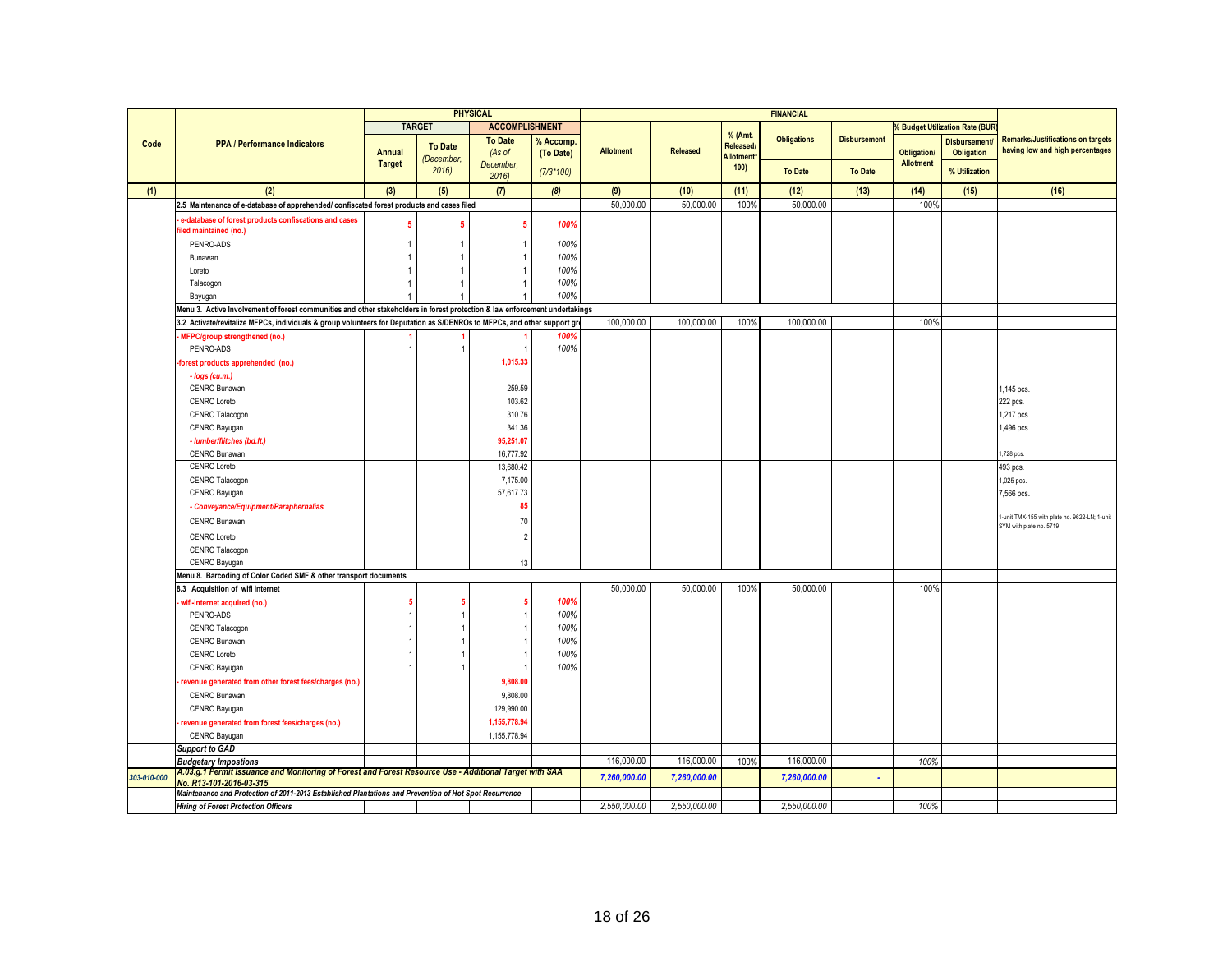|             |                                                                                                                                   |                         |                | <b>PHYSICAL</b>          |             |                  |                 |                      | <b>FINANCIAL</b>   |                     |                                        |                                     |                                                                          |
|-------------|-----------------------------------------------------------------------------------------------------------------------------------|-------------------------|----------------|--------------------------|-------------|------------------|-----------------|----------------------|--------------------|---------------------|----------------------------------------|-------------------------------------|--------------------------------------------------------------------------|
|             |                                                                                                                                   |                         | <b>TARGET</b>  | <b>ACCOMPLISHMENT</b>    |             |                  |                 |                      |                    |                     |                                        | <b>Budget Utilization Rate (BUR</b> |                                                                          |
| Code        | <b>PPA / Performance Indicators</b>                                                                                               |                         | <b>To Date</b> | <b>To Date</b>           | % Accomp.   |                  |                 | % (Amt.<br>Released/ | <b>Obligations</b> | <b>Disbursement</b> |                                        | <b>Disbursement</b>                 | <b>Remarks/Justifications on targets</b>                                 |
|             |                                                                                                                                   | Annual<br><b>Target</b> | (December,     | (As of<br>December.      | (To Date)   | <b>Allotment</b> | <b>Released</b> | Allotment*           |                    |                     | <b>Obligation/</b><br><b>Allotment</b> | Obligation                          | having low and high percentages                                          |
|             |                                                                                                                                   |                         | 2016           | 2016                     | $(7/3*100)$ |                  |                 | 100)                 | <b>To Date</b>     | <b>To Date</b>      |                                        | % Utilization                       |                                                                          |
| (1)         | (2)                                                                                                                               | (3)                     | (5)            | (7)                      | (8)         | (9)              | (10)            | (11)                 | (12)               | (13)                | (14)                                   | (15)                                | (16)                                                                     |
|             | 2.5 Maintenance of e-database of apprehended/ confiscated forest products and cases filed                                         |                         |                |                          |             | 50,000.00        | 50,000.00       | 100%                 | 50,000.00          |                     | 100%                                   |                                     |                                                                          |
|             | e-database of forest products confiscations and cases                                                                             | 5                       | 5              | -5                       | 100%        |                  |                 |                      |                    |                     |                                        |                                     |                                                                          |
|             | filed maintained (no.)<br>PENRO-ADS                                                                                               |                         |                | -1                       | 100%        |                  |                 |                      |                    |                     |                                        |                                     |                                                                          |
|             | Bunawan                                                                                                                           |                         |                | -1                       | 100%        |                  |                 |                      |                    |                     |                                        |                                     |                                                                          |
|             | Loreto                                                                                                                            |                         |                |                          | 100%        |                  |                 |                      |                    |                     |                                        |                                     |                                                                          |
|             | Talacogon                                                                                                                         |                         |                |                          | 100%        |                  |                 |                      |                    |                     |                                        |                                     |                                                                          |
|             | Bayugan                                                                                                                           |                         |                |                          | 100%        |                  |                 |                      |                    |                     |                                        |                                     |                                                                          |
|             | Menu 3. Active Involvement of forest communities and other stakeholders in forest protection & law enforcement undertakings       |                         |                |                          |             |                  |                 |                      |                    |                     |                                        |                                     |                                                                          |
|             | 3.2 Activate/revitalize MFPCs, individuals & group volunteers for Deputation as S/DENROs to MFPCs, and other support gre          |                         |                |                          |             | 100,000.00       | 100.000.00      | 100%                 | 100,000.00         |                     | 100%                                   |                                     |                                                                          |
|             | MFPC/group strengthened (no.)                                                                                                     |                         |                |                          | 100%        |                  |                 |                      |                    |                     |                                        |                                     |                                                                          |
|             | PENRO-ADS                                                                                                                         |                         |                |                          | 100%        |                  |                 |                      |                    |                     |                                        |                                     |                                                                          |
|             | forest products apprehended (no.)                                                                                                 |                         |                | 1.015.33                 |             |                  |                 |                      |                    |                     |                                        |                                     |                                                                          |
|             | - logs (cu.m.)                                                                                                                    |                         |                |                          |             |                  |                 |                      |                    |                     |                                        |                                     |                                                                          |
|             | <b>CENRO Bunawan</b>                                                                                                              |                         |                | 259.59                   |             |                  |                 |                      |                    |                     |                                        |                                     | 1,145 pcs.                                                               |
|             | CENRO Loreto                                                                                                                      |                         |                | 103.62                   |             |                  |                 |                      |                    |                     |                                        |                                     | 222 pcs.                                                                 |
|             | CENRO Talacogon                                                                                                                   |                         |                | 310.76                   |             |                  |                 |                      |                    |                     |                                        |                                     | 1,217 pcs.                                                               |
|             | CENRO Bayugan                                                                                                                     |                         |                | 341.36                   |             |                  |                 |                      |                    |                     |                                        |                                     | 1,496 pcs.                                                               |
|             | - lumber/flitches (bd.ft.)                                                                                                        |                         |                | 95,251.07                |             |                  |                 |                      |                    |                     |                                        |                                     |                                                                          |
|             | CENRO Bunawan                                                                                                                     |                         |                | 16,777.92                |             |                  |                 |                      |                    |                     |                                        |                                     | 1,728 pcs.                                                               |
|             | CENRO Loreto                                                                                                                      |                         |                | 13,680.42                |             |                  |                 |                      |                    |                     |                                        |                                     | 493 pcs.                                                                 |
|             | CENRO Talacogon                                                                                                                   |                         |                | 7,175.00                 |             |                  |                 |                      |                    |                     |                                        |                                     | 1,025 pcs.                                                               |
|             | CENRO Bayugan                                                                                                                     |                         |                | 57,617.73                |             |                  |                 |                      |                    |                     |                                        |                                     | 7,566 pcs.                                                               |
|             | - Conveyance/Equipment/Paraphernalias                                                                                             |                         |                | 85                       |             |                  |                 |                      |                    |                     |                                        |                                     |                                                                          |
|             | CENRO Bunawan                                                                                                                     |                         |                | 70                       |             |                  |                 |                      |                    |                     |                                        |                                     | 1-unit TMX-155 with plate no. 9622-LN; 1-unit<br>SYM with plate no. 5719 |
|             | CENRO Loreto                                                                                                                      |                         |                | $\overline{\phantom{a}}$ |             |                  |                 |                      |                    |                     |                                        |                                     |                                                                          |
|             | CENRO Talacogon                                                                                                                   |                         |                |                          |             |                  |                 |                      |                    |                     |                                        |                                     |                                                                          |
|             | CENRO Bayugan                                                                                                                     |                         |                | 13                       |             |                  |                 |                      |                    |                     |                                        |                                     |                                                                          |
|             | Menu 8. Barcoding of Color Coded SMF & other transport documents                                                                  |                         |                |                          |             |                  |                 |                      |                    |                     |                                        |                                     |                                                                          |
|             | 8.3 Acquisition of wifi internet                                                                                                  |                         |                |                          |             | 50,000.00        | 50,000.00       | 100%                 | 50,000.00          |                     | 100%                                   |                                     |                                                                          |
|             | wifi-internet acquired (no.)                                                                                                      |                         | -5             | s                        | 100%        |                  |                 |                      |                    |                     |                                        |                                     |                                                                          |
|             | PENRO-ADS                                                                                                                         |                         |                |                          | 100%        |                  |                 |                      |                    |                     |                                        |                                     |                                                                          |
|             | CENRO Talacogon                                                                                                                   |                         |                |                          | 100%        |                  |                 |                      |                    |                     |                                        |                                     |                                                                          |
|             | CENRO Bunawan                                                                                                                     |                         |                |                          | 100%        |                  |                 |                      |                    |                     |                                        |                                     |                                                                          |
|             | <b>CENRO Loreto</b>                                                                                                               |                         |                |                          | 100%        |                  |                 |                      |                    |                     |                                        |                                     |                                                                          |
|             | CENRO Bayugan                                                                                                                     |                         |                |                          | 100%        |                  |                 |                      |                    |                     |                                        |                                     |                                                                          |
|             | revenue generated from other forest fees/charges (no.)                                                                            |                         |                | 9,808.00                 |             |                  |                 |                      |                    |                     |                                        |                                     |                                                                          |
|             | CENRO Bunawan                                                                                                                     |                         |                | 9,808.00                 |             |                  |                 |                      |                    |                     |                                        |                                     |                                                                          |
|             | CENRO Bayugan                                                                                                                     |                         |                | 129.990.00               |             |                  |                 |                      |                    |                     |                                        |                                     |                                                                          |
|             | revenue generated from forest fees/charges (no.)                                                                                  |                         |                | 1,155,778.94             |             |                  |                 |                      |                    |                     |                                        |                                     |                                                                          |
|             | CENRO Bayugan                                                                                                                     |                         |                | 1,155,778.94             |             |                  |                 |                      |                    |                     |                                        |                                     |                                                                          |
|             | <b>Support to GAD</b>                                                                                                             |                         |                |                          |             |                  |                 |                      |                    |                     |                                        |                                     |                                                                          |
|             | <b>Budgetary Impostions</b>                                                                                                       |                         |                |                          |             | 116,000.00       | 116,000.00      | 100%                 | 116,000.00         |                     | 100%                                   |                                     |                                                                          |
| 303-010-000 | A.U3.g.1 Permit Issuance and Monitoring of Forest and Forest Resource Use - Additional Target with SAA<br>No. R13-101-2016-03-315 |                         |                |                          |             | 7,260,000.00     | 7,260,000.00    |                      | 7,260,000.00       |                     |                                        |                                     |                                                                          |
|             | Maintenance and Protection of 2011-2013 Established Plantations and Prevention of Hot Spot Recurrence                             |                         |                |                          |             |                  |                 |                      |                    |                     |                                        |                                     |                                                                          |
|             | <b>Hiring of Forest Protection Officers</b>                                                                                       |                         |                |                          |             | 2,550,000.00     | 2,550,000.00    |                      | 2,550,000.00       |                     | 100%                                   |                                     |                                                                          |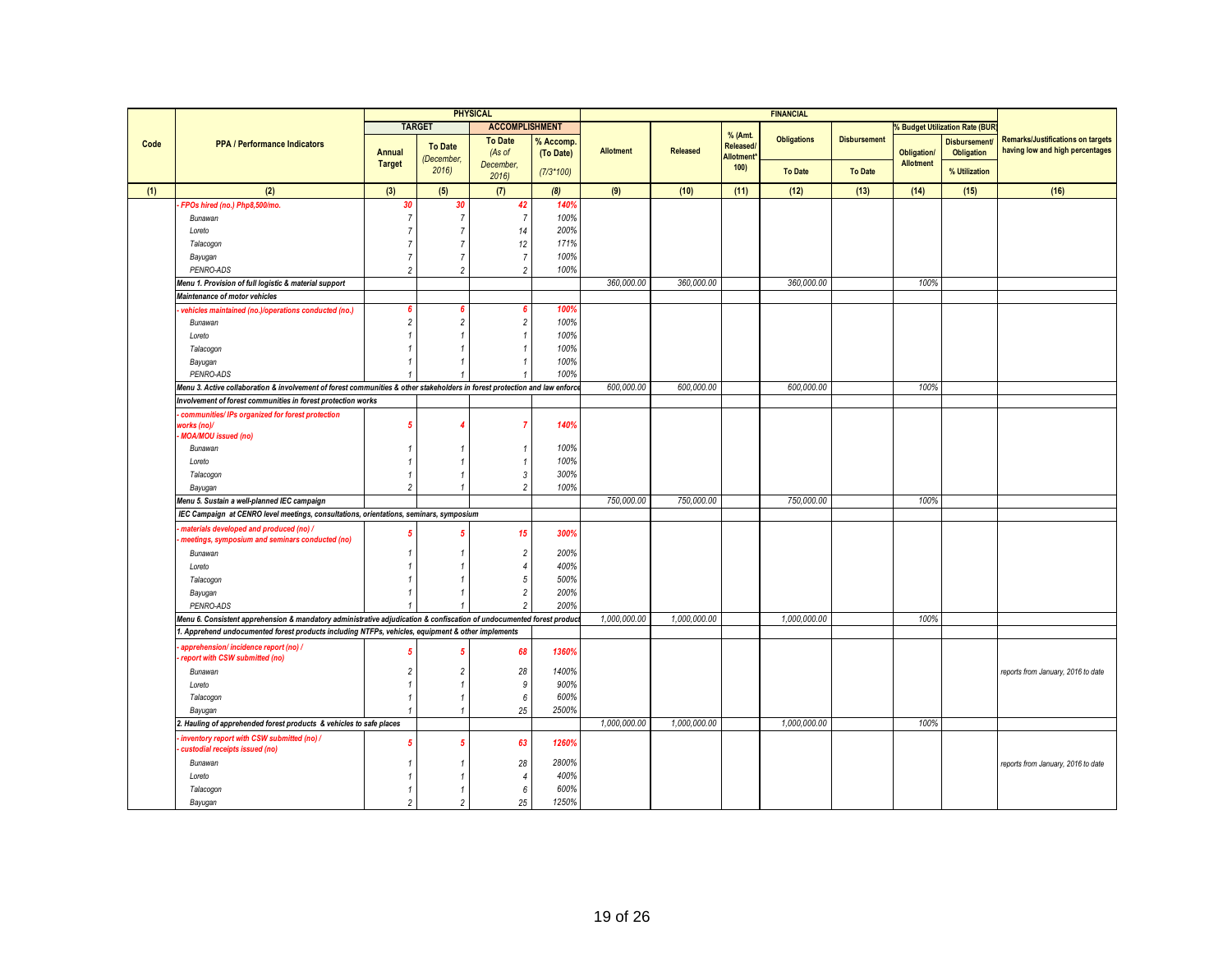|      |                                                                                                                            |                |                    | <b>PHYSICAL</b>       |             |                  |                 |                               | <b>FINANCIAL</b>   |                     |                    |                                |                                          |
|------|----------------------------------------------------------------------------------------------------------------------------|----------------|--------------------|-----------------------|-------------|------------------|-----------------|-------------------------------|--------------------|---------------------|--------------------|--------------------------------|------------------------------------------|
|      |                                                                                                                            |                | <b>TARGET</b>      | <b>ACCOMPLISHMENT</b> |             |                  |                 |                               |                    |                     |                    | % Budget Utilization Rate (BUR |                                          |
| Code | <b>PPA / Performance Indicators</b>                                                                                        |                |                    | <b>To Date</b>        | % Accomp    |                  |                 | % (Amt.                       | <b>Obligations</b> | <b>Disbursement</b> |                    | <b>Disbursement</b>            | <b>Remarks/Justifications on targets</b> |
|      |                                                                                                                            | Annual         | <b>To Date</b>     | (As of                | (To Date)   | <b>Allotment</b> | <b>Released</b> | Released/<br><b>Allotment</b> |                    |                     | <b>Obligation/</b> | <b>Obligation</b>              | having low and high percentages          |
|      |                                                                                                                            | <b>Target</b>  | (December,<br>2016 | December,             | $(7/3*100)$ |                  |                 | 100                           | <b>To Date</b>     | <b>To Date</b>      | <b>Allotment</b>   | % Utilization                  |                                          |
|      |                                                                                                                            |                |                    | 2016                  |             |                  |                 |                               |                    |                     |                    |                                |                                          |
| (1)  | (2)                                                                                                                        | (3)            | (5)                | (7)                   | (8)         | (9)              | (10)            | (11)                          | (12)               | (13)                | (14)               | (15)                           | (16)                                     |
|      | FPOs hired (no.) Php8,500/mo.                                                                                              | 30             | 30                 | 42                    | 140%        |                  |                 |                               |                    |                     |                    |                                |                                          |
|      | Bunawan                                                                                                                    |                | 7                  | $\overline{7}$        | 100%        |                  |                 |                               |                    |                     |                    |                                |                                          |
|      | Loreto                                                                                                                     |                |                    | 14                    | 200%        |                  |                 |                               |                    |                     |                    |                                |                                          |
|      | Talacogon                                                                                                                  |                |                    | 12                    | 171%        |                  |                 |                               |                    |                     |                    |                                |                                          |
|      | Bayugan                                                                                                                    |                |                    | $\sqrt{7}$            | 100%        |                  |                 |                               |                    |                     |                    |                                |                                          |
|      | PENRO-ADS                                                                                                                  | 2              | $\overline{2}$     | $\overline{2}$        | 100%        |                  |                 |                               |                    |                     |                    |                                |                                          |
|      | Menu 1. Provision of full logistic & material support                                                                      |                |                    |                       |             | 360,000.00       | 360,000.00      |                               | 360,000.00         |                     | 100%               |                                |                                          |
|      | Maintenance of motor vehicles                                                                                              |                |                    |                       |             |                  |                 |                               |                    |                     |                    |                                |                                          |
|      | vehicles maintained (no.)/operations conducted (no.)                                                                       |                |                    | 6                     | 100%        |                  |                 |                               |                    |                     |                    |                                |                                          |
|      | Bunawan                                                                                                                    | $\overline{2}$ | $\mathfrak{p}$     | $\overline{c}$        | 100%        |                  |                 |                               |                    |                     |                    |                                |                                          |
|      | Loreto                                                                                                                     |                |                    | $\mathbf{1}$          | 100%        |                  |                 |                               |                    |                     |                    |                                |                                          |
|      | Talacogon                                                                                                                  |                |                    | $\mathbf{1}$          | 100%        |                  |                 |                               |                    |                     |                    |                                |                                          |
|      | Bayugan                                                                                                                    |                |                    | $\mathbf{1}$          | 100%        |                  |                 |                               |                    |                     |                    |                                |                                          |
|      | PENRO-ADS                                                                                                                  |                |                    | $\mathbf{1}$          | 100%        |                  |                 |                               |                    |                     |                    |                                |                                          |
|      | Menu 3. Active collaboration & involvement of forest communities & other stakeholders in forest protection and law enforce |                |                    |                       |             | 600.000.00       | 600,000.00      |                               | 600,000.00         |                     | 100%               |                                |                                          |
|      | Involvement of forest communities in forest protection works                                                               |                |                    |                       |             |                  |                 |                               |                    |                     |                    |                                |                                          |
|      | communities/ IPs organized for forest protection                                                                           |                |                    |                       |             |                  |                 |                               |                    |                     |                    |                                |                                          |
|      | works (no)/                                                                                                                | -5             |                    | $\overline{7}$        | 140%        |                  |                 |                               |                    |                     |                    |                                |                                          |
|      | <b>MOA/MOU</b> issued (no)                                                                                                 |                |                    |                       |             |                  |                 |                               |                    |                     |                    |                                |                                          |
|      | Bunawan                                                                                                                    |                |                    | $\mathbf{1}$          | 100%        |                  |                 |                               |                    |                     |                    |                                |                                          |
|      | Loreto                                                                                                                     |                |                    | $\mathbf{1}$          | 100%        |                  |                 |                               |                    |                     |                    |                                |                                          |
|      | Talacogon                                                                                                                  |                |                    | $\mathfrak{3}$        | 300%        |                  |                 |                               |                    |                     |                    |                                |                                          |
|      | Bayugan                                                                                                                    | 2              |                    | $\overline{2}$        | 100%        |                  |                 |                               |                    |                     |                    |                                |                                          |
|      | Menu 5. Sustain a well-planned IEC campaign                                                                                |                |                    |                       |             | 750,000.00       | 750,000.00      |                               | 750,000.00         |                     | 100%               |                                |                                          |
|      | IEC Campaign at CENRO level meetings, consultations, orientations, seminars, symposium                                     |                |                    |                       |             |                  |                 |                               |                    |                     |                    |                                |                                          |
|      | materials developed and produced (no) /<br>meetings, symposium and seminars conducted (no)                                 |                |                    | 15                    | 300%        |                  |                 |                               |                    |                     |                    |                                |                                          |
|      | Bunawan                                                                                                                    |                |                    | $\overline{2}$        | 200%        |                  |                 |                               |                    |                     |                    |                                |                                          |
|      | Loreto                                                                                                                     |                |                    | $\overline{4}$        | 400%        |                  |                 |                               |                    |                     |                    |                                |                                          |
|      | Talacogon                                                                                                                  |                |                    | $\sqrt{5}$            | 500%        |                  |                 |                               |                    |                     |                    |                                |                                          |
|      | Bayugan                                                                                                                    |                |                    | $\overline{c}$        | 200%        |                  |                 |                               |                    |                     |                    |                                |                                          |
|      | PENRO-ADS                                                                                                                  |                |                    | $\overline{2}$        | 200%        |                  |                 |                               |                    |                     |                    |                                |                                          |
|      | Menu 6. Consistent apprehension & mandatory administrative adjudication & confiscation of undocumented forest produc       |                |                    |                       |             | 1,000,000.00     | 1,000,000.00    |                               | 1,000,000.00       |                     | 100%               |                                |                                          |
|      | 1. Apprehend undocumented forest products including NTFPs, vehicles, equipment & other implements                          |                |                    |                       |             |                  |                 |                               |                    |                     |                    |                                |                                          |
|      | apprehension/incidence report (no) /<br>report with CSW submitted (no)                                                     |                |                    | 68                    | 1360%       |                  |                 |                               |                    |                     |                    |                                |                                          |
|      | Bunawan                                                                                                                    |                |                    | 28                    | 1400%       |                  |                 |                               |                    |                     |                    |                                | reports from January, 2016 to date       |
|      | Loreto                                                                                                                     |                |                    | 9                     | 900%        |                  |                 |                               |                    |                     |                    |                                |                                          |
|      | Talacogon                                                                                                                  |                |                    | $\boldsymbol{6}$      | 600%        |                  |                 |                               |                    |                     |                    |                                |                                          |
|      | Bayugan                                                                                                                    |                |                    | 25                    | 2500%       |                  |                 |                               |                    |                     |                    |                                |                                          |
|      | 2. Hauling of apprehended forest products & vehicles to safe places                                                        |                |                    |                       |             | 1,000,000.00     | 1,000,000.00    |                               | 1,000,000.00       |                     | 100%               |                                |                                          |
|      | inventory report with CSW submitted (no) /                                                                                 |                |                    |                       |             |                  |                 |                               |                    |                     |                    |                                |                                          |
|      | custodial receipts issued (no)                                                                                             |                |                    | 63                    | 1260%       |                  |                 |                               |                    |                     |                    |                                |                                          |
|      | Bunawan                                                                                                                    |                |                    | 28                    | 2800%       |                  |                 |                               |                    |                     |                    |                                | reports from January, 2016 to date       |
|      | Loreto                                                                                                                     |                |                    | $\overline{4}$        | 400%        |                  |                 |                               |                    |                     |                    |                                |                                          |
|      | Talacogon                                                                                                                  |                |                    | 6                     | 600%        |                  |                 |                               |                    |                     |                    |                                |                                          |
|      | Bayugan                                                                                                                    |                | $\mathfrak{D}$     | 25                    | 1250%       |                  |                 |                               |                    |                     |                    |                                |                                          |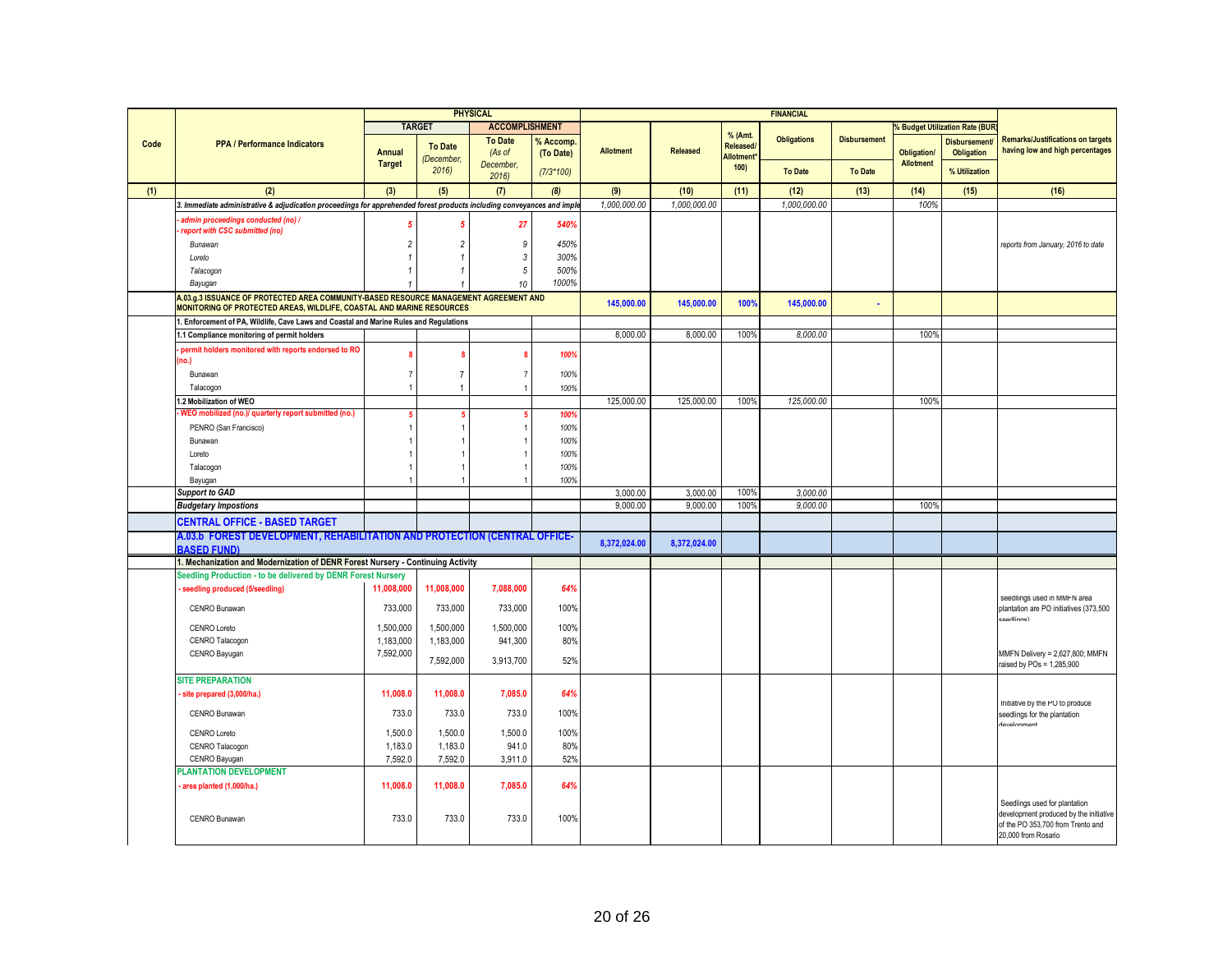|      |                                                                                                                       |                |                             | <b>PHYSICAL</b>       |             |                  |                 |                               | <b>FINANCIAL</b>   |                     |                    |                                           |                                                                         |
|------|-----------------------------------------------------------------------------------------------------------------------|----------------|-----------------------------|-----------------------|-------------|------------------|-----------------|-------------------------------|--------------------|---------------------|--------------------|-------------------------------------------|-------------------------------------------------------------------------|
|      |                                                                                                                       |                | <b>TARGET</b>               | <b>ACCOMPLISHMENT</b> |             |                  |                 |                               |                    |                     |                    | <b>&amp; Budget Utilization Rate (BUR</b> |                                                                         |
| Code | <b>PPA / Performance Indicators</b>                                                                                   |                |                             | <b>To Date</b>        | % Accomp.   |                  |                 | % (Amt.                       | <b>Obligations</b> | <b>Disbursement</b> |                    | <b>Disbursement</b>                       | <b>Remarks/Justifications on targets</b>                                |
|      |                                                                                                                       | Annual         | <b>To Date</b><br>December. | (As of                | (To Date)   | <b>Allotment</b> | <b>Released</b> | Released/<br><b>Allotment</b> |                    |                     | <b>Obligation/</b> | <b>Obligation</b>                         | having low and high percentages                                         |
|      |                                                                                                                       | <b>Target</b>  | 2016                        | December.             | $(7/3*100)$ |                  |                 | 100)                          | <b>To Date</b>     | <b>To Date</b>      | <b>Allotment</b>   | % Utilization                             |                                                                         |
|      |                                                                                                                       |                |                             | 2016                  |             |                  |                 |                               |                    |                     |                    |                                           |                                                                         |
| (1)  | (2)                                                                                                                   | (3)            | (5)                         | (7)                   | (8)         | (9)              | (10)            | (11)                          | (12)               | (13)                | (14)               | (15)                                      | (16)                                                                    |
|      | 3. Immediate administrative & adjudication proceedings for apprehended forest products including conveyances and impl |                |                             |                       |             | 1,000,000.00     | 1,000,000.00    |                               | 1,000,000.00       |                     | 100%               |                                           |                                                                         |
|      | admin proceedings conducted (no) /<br>report with CSC submitted (no)                                                  | 5              |                             | 27                    | 540%        |                  |                 |                               |                    |                     |                    |                                           |                                                                         |
|      | Bunawan                                                                                                               | $\overline{c}$ | 2                           | $\boldsymbol{9}$      | 450%        |                  |                 |                               |                    |                     |                    |                                           | reports from January, 2016 to date                                      |
|      | Loreto                                                                                                                |                |                             | $\sqrt{3}$            | 300%        |                  |                 |                               |                    |                     |                    |                                           |                                                                         |
|      | Talacogon                                                                                                             |                |                             | $\sqrt{5}$            | 500%        |                  |                 |                               |                    |                     |                    |                                           |                                                                         |
|      | Bayugan                                                                                                               |                |                             | 10                    | 1000%       |                  |                 |                               |                    |                     |                    |                                           |                                                                         |
|      | A.03.g.3 ISSUANCE OF PROTECTED AREA COMMUNITY-BASED RESOURCE MANAGEMENT AGREEMENT AND                                 |                |                             |                       |             |                  |                 |                               |                    |                     |                    |                                           |                                                                         |
|      | MONITORING OF PROTECTED AREAS, WILDLIFE, COASTAL AND MARINE RESOURCES                                                 |                |                             |                       |             | 145,000.00       | 145,000.00      | 100%                          | 145,000.00         |                     |                    |                                           |                                                                         |
|      | 1. Enforcement of PA, Wildlife, Cave Laws and Coastal and Marine Rules and Regulations                                |                |                             |                       |             |                  |                 |                               |                    |                     |                    |                                           |                                                                         |
|      | 1.1 Compliance monitoring of permit holders                                                                           |                |                             |                       |             | 8,000.00         | 8,000.00        | 100%                          | 8,000.00           |                     | 100%               |                                           |                                                                         |
|      | permit holders monitored with reports endorsed to RO                                                                  | 8              |                             |                       | 100%        |                  |                 |                               |                    |                     |                    |                                           |                                                                         |
|      | no.)                                                                                                                  |                |                             |                       |             |                  |                 |                               |                    |                     |                    |                                           |                                                                         |
|      | Bunawan                                                                                                               | $\overline{7}$ |                             | $\overline{7}$        | 100%        |                  |                 |                               |                    |                     |                    |                                           |                                                                         |
|      | Talacogon<br>1.2 Mobilization of WEO                                                                                  | 1              |                             | $\overline{1}$        | 100%        | 125.000.00       |                 |                               |                    |                     | 100%               |                                           |                                                                         |
|      | WEO mobilized (no.)/ quarterly report submitted (no.)                                                                 |                |                             |                       | 100%        |                  | 125,000.00      | 100%                          | 125,000.00         |                     |                    |                                           |                                                                         |
|      | PENRO (San Francisco)                                                                                                 |                |                             |                       | 100%        |                  |                 |                               |                    |                     |                    |                                           |                                                                         |
|      | Bunawan                                                                                                               |                |                             |                       | 100%        |                  |                 |                               |                    |                     |                    |                                           |                                                                         |
|      | Loreto                                                                                                                |                |                             |                       | 100%        |                  |                 |                               |                    |                     |                    |                                           |                                                                         |
|      | Talacogon                                                                                                             |                |                             |                       | 100%        |                  |                 |                               |                    |                     |                    |                                           |                                                                         |
|      | Bayugan                                                                                                               |                |                             |                       | 100%        |                  |                 |                               |                    |                     |                    |                                           |                                                                         |
|      | <b>Support to GAD</b>                                                                                                 |                |                             |                       |             | 3.000.00         | 3,000.00        | 100%                          | 3,000.00           |                     |                    |                                           |                                                                         |
|      | <b>Budgetary Impostions</b>                                                                                           |                |                             |                       |             | 9,000,00         | 9,000.00        | 100%                          | 9,000,00           |                     | 100%               |                                           |                                                                         |
|      | <b>CENTRAL OFFICE - BASED TARGET</b>                                                                                  |                |                             |                       |             |                  |                 |                               |                    |                     |                    |                                           |                                                                         |
|      | A.03.b FOREST DEVELOPMENT, REHABILITATION AND PROTECTION (CENTRAL OFFICE-                                             |                |                             |                       |             | 8,372,024.00     | 8,372,024.00    |                               |                    |                     |                    |                                           |                                                                         |
|      | <b>BASED FUNDI</b>                                                                                                    |                |                             |                       |             |                  |                 |                               |                    |                     |                    |                                           |                                                                         |
|      | 1. Mechanization and Modernization of DENR Forest Nursery - Continuing Activity                                       |                |                             |                       |             |                  |                 |                               |                    |                     |                    |                                           |                                                                         |
|      | Seedling Production - to be delivered by DENR Forest Nursery                                                          |                |                             |                       |             |                  |                 |                               |                    |                     |                    |                                           |                                                                         |
|      | seedling produced (5/seedling)                                                                                        | 11,008,000     | 11,008,000                  | 7,088,000             | 64%         |                  |                 |                               |                    |                     |                    |                                           | seedlings used in MMFN area                                             |
|      | CENRO Bunawan                                                                                                         | 733,000        | 733,000                     | 733,000               | 100%        |                  |                 |                               |                    |                     |                    |                                           | plantation are PO initiatives (373,500                                  |
|      | <b>CENRO Loreto</b>                                                                                                   | 1,500,000      | 1,500,000                   | 1,500,000             | 100%        |                  |                 |                               |                    |                     |                    |                                           | aadlinne)                                                               |
|      | CENRO Talacogon                                                                                                       | 1,183,000      | 1,183,000                   | 941,300               | 80%         |                  |                 |                               |                    |                     |                    |                                           |                                                                         |
|      | CENRO Bayugan                                                                                                         | 7,592,000      |                             |                       |             |                  |                 |                               |                    |                     |                    |                                           | MMFN Delivery = 2,627,800; MMFN                                         |
|      |                                                                                                                       |                | 7,592,000                   | 3,913,700             | 52%         |                  |                 |                               |                    |                     |                    |                                           | raised by POs = 1,285,900                                               |
|      | <b>SITE PREPARATION</b>                                                                                               |                |                             |                       |             |                  |                 |                               |                    |                     |                    |                                           |                                                                         |
|      | site prepared (3,000/ha.)                                                                                             | 11,008.0       | 11,008.0                    | 7,085.0               | 64%         |                  |                 |                               |                    |                     |                    |                                           |                                                                         |
|      | CENRO Bunawan                                                                                                         | 733.0          | 733.0                       | 733.0                 | 100%        |                  |                 |                               |                    |                     |                    |                                           | Initiative by the PO to produce                                         |
|      |                                                                                                                       |                |                             |                       |             |                  |                 |                               |                    |                     |                    |                                           | seedlings for the plantation<br>tavalonmant                             |
|      | CENRO Loreto                                                                                                          | 1,500.0        | 1,500.0                     | 1,500.0               | 100%        |                  |                 |                               |                    |                     |                    |                                           |                                                                         |
|      | CENRO Talacogon                                                                                                       | 1,183.0        | 1,183.0                     | 941.0                 | 80%         |                  |                 |                               |                    |                     |                    |                                           |                                                                         |
|      | CENRO Bayugan                                                                                                         | 7,592.0        | 7,592.0                     | 3,911.0               | 52%         |                  |                 |                               |                    |                     |                    |                                           |                                                                         |
|      | <b>PLANTATION DEVELOPMENT</b>                                                                                         | 11,008.0       | 11,008.0                    | 7,085.0               | 64%         |                  |                 |                               |                    |                     |                    |                                           |                                                                         |
|      | area planted (1,000/ha.)                                                                                              |                |                             |                       |             |                  |                 |                               |                    |                     |                    |                                           |                                                                         |
|      |                                                                                                                       |                |                             |                       |             |                  |                 |                               |                    |                     |                    |                                           | Seedlings used for plantation<br>development produced by the initiative |
|      | CENRO Bunawan                                                                                                         | 733.0          | 733.0                       | 733.0                 | 100%        |                  |                 |                               |                    |                     |                    |                                           | of the PO 353,700 from Trento and                                       |
|      |                                                                                                                       |                |                             |                       |             |                  |                 |                               |                    |                     |                    |                                           | 20,000 from Rosario                                                     |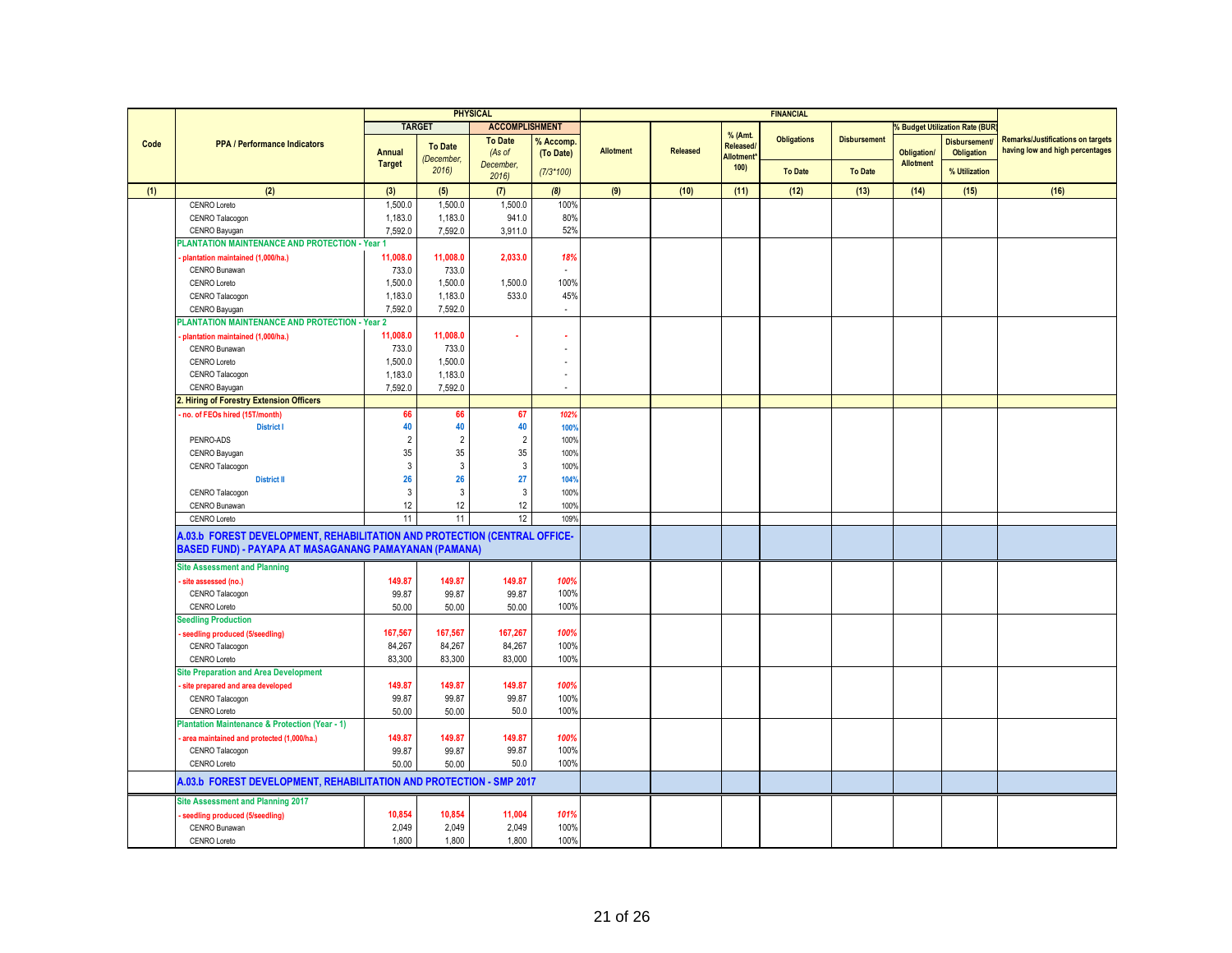|      |                                                                           |                |                    | <b>PHYSICAL</b>       |                             |                  |          |                        | <b>FINANCIAL</b>   |                     |                    |                                       |                                          |
|------|---------------------------------------------------------------------------|----------------|--------------------|-----------------------|-----------------------------|------------------|----------|------------------------|--------------------|---------------------|--------------------|---------------------------------------|------------------------------------------|
|      |                                                                           |                | <b>TARGET</b>      | <b>ACCOMPLISHMENT</b> |                             |                  |          |                        |                    |                     |                    | <b>6 Budget Utilization Rate (BUR</b> |                                          |
|      |                                                                           |                |                    | <b>To Date</b>        | % Accomp                    |                  |          | % (Amt.                | <b>Obligations</b> | <b>Disbursement</b> |                    | <b>Disbursement</b>                   | <b>Remarks/Justifications on targets</b> |
| Code | <b>PPA / Performance Indicators</b>                                       | <b>Annual</b>  | <b>To Date</b>     | (As of                | (To Date)                   | <b>Allotment</b> | Released | Released/<br>Allotment |                    |                     | <b>Obligation/</b> | <b>Obligation</b>                     | having low and high percentages          |
|      |                                                                           | <b>Target</b>  | (December,<br>2016 | December,             |                             |                  |          | 100                    | <b>To Date</b>     | <b>To Date</b>      | <b>Allotment</b>   | % Utilization                         |                                          |
|      |                                                                           |                |                    | 2016                  | $(7/3*100)$                 |                  |          |                        |                    |                     |                    |                                       |                                          |
| (1)  | (2)                                                                       | (3)            | (5)                | (7)                   | (8)                         | (9)              | (10)     | (11)                   | (12)               | (13)                | (14)               | (15)                                  | (16)                                     |
|      | CENRO Loreto                                                              | 1,500.0        | 1,500.0            | 1,500.0               | 100%                        |                  |          |                        |                    |                     |                    |                                       |                                          |
|      | CENRO Talacogon                                                           | 1,183.0        | 1,183.0            | 941.0                 | 80%                         |                  |          |                        |                    |                     |                    |                                       |                                          |
|      | CENRO Bayugan                                                             | 7,592.0        | 7,592.0            | 3,911.0               | 52%                         |                  |          |                        |                    |                     |                    |                                       |                                          |
|      | PLANTATION MAINTENANCE AND PROTECTION - Year 1                            |                |                    |                       |                             |                  |          |                        |                    |                     |                    |                                       |                                          |
|      | plantation maintained (1,000/ha.)                                         | 11,008.0       | 11,008.0           | 2,033.0               | 18%                         |                  |          |                        |                    |                     |                    |                                       |                                          |
|      | CENRO Bunawan                                                             | 733.0          | 733.0              |                       | ×.                          |                  |          |                        |                    |                     |                    |                                       |                                          |
|      | CENRO Loreto                                                              | 1,500.0        | 1,500.0            | 1,500.0               | 100%                        |                  |          |                        |                    |                     |                    |                                       |                                          |
|      | CENRO Talacogon                                                           | 1,183.0        | 1,183.0            | 533.0                 | 45%                         |                  |          |                        |                    |                     |                    |                                       |                                          |
|      | CENRO Bayugan                                                             | 7,592.0        | 7,592.0            |                       | $\mathcal{L}_{\mathcal{A}}$ |                  |          |                        |                    |                     |                    |                                       |                                          |
|      | PLANTATION MAINTENANCE AND PROTECTION - Year 2                            |                |                    |                       |                             |                  |          |                        |                    |                     |                    |                                       |                                          |
|      | plantation maintained (1,000/ha.)                                         | 11,008.0       | 11,008.0           |                       |                             |                  |          |                        |                    |                     |                    |                                       |                                          |
|      | CENRO Bunawan                                                             | 733.0          | 733.0              |                       |                             |                  |          |                        |                    |                     |                    |                                       |                                          |
|      | <b>CENRO Loreto</b>                                                       | 1,500.0        | 1,500.0            |                       |                             |                  |          |                        |                    |                     |                    |                                       |                                          |
|      | CENRO Talacogon                                                           | 1,183.0        | 1,183.0            |                       |                             |                  |          |                        |                    |                     |                    |                                       |                                          |
|      | CENRO Bayugan                                                             | 7,592.0        | 7,592.0            |                       | $\sim$                      |                  |          |                        |                    |                     |                    |                                       |                                          |
|      | . Hiring of Forestry Extension Officers                                   |                |                    |                       |                             |                  |          |                        |                    |                     |                    |                                       |                                          |
|      | no. of FEOs hired (15T/month)                                             | 66             | 66                 | 67                    | 102%                        |                  |          |                        |                    |                     |                    |                                       |                                          |
|      | <b>District I</b>                                                         | 40             | 40                 | 40                    | 100%                        |                  |          |                        |                    |                     |                    |                                       |                                          |
|      | PENRO-ADS                                                                 | $\overline{2}$ | $\overline{2}$     | $\overline{2}$        | 100%                        |                  |          |                        |                    |                     |                    |                                       |                                          |
|      | CENRO Bayugan                                                             | 35             | 35                 | 35                    | 100%                        |                  |          |                        |                    |                     |                    |                                       |                                          |
|      | CENRO Talacogon                                                           | $\mathbf{3}$   | $\mathbf{3}$       | $\mathbf{3}$          | 100%                        |                  |          |                        |                    |                     |                    |                                       |                                          |
|      | <b>District II</b>                                                        | 26             | 26                 | 27                    | 104%                        |                  |          |                        |                    |                     |                    |                                       |                                          |
|      | CENRO Talacogon                                                           | 3              | $\mathbf{3}$       | $\mathbf{3}$          | 100%                        |                  |          |                        |                    |                     |                    |                                       |                                          |
|      | CENRO Bunawan                                                             | 12             | 12                 | 12                    | 100%                        |                  |          |                        |                    |                     |                    |                                       |                                          |
|      | CENRO Loreto                                                              | 11             | 11                 | 12                    | 109%                        |                  |          |                        |                    |                     |                    |                                       |                                          |
|      | A.03.b FOREST DEVELOPMENT, REHABILITATION AND PROTECTION (CENTRAL OFFICE- |                |                    |                       |                             |                  |          |                        |                    |                     |                    |                                       |                                          |
|      | BASED FUND) - PAYAPA AT MASAGANANG PAMAYANAN (PAMANA)                     |                |                    |                       |                             |                  |          |                        |                    |                     |                    |                                       |                                          |
|      | <b>Site Assessment and Planning</b>                                       |                |                    |                       |                             |                  |          |                        |                    |                     |                    |                                       |                                          |
|      | site assessed (no.)                                                       | 149.87         | 149.87             | 149.87                | 100%                        |                  |          |                        |                    |                     |                    |                                       |                                          |
|      | CENRO Talacogon                                                           | 99.87          | 99.87              | 99.87                 | 100%                        |                  |          |                        |                    |                     |                    |                                       |                                          |
|      | CENRO Loreto                                                              | 50.00          | 50.00              | 50.00                 | 100%                        |                  |          |                        |                    |                     |                    |                                       |                                          |
|      | <b>Seedling Production</b>                                                |                |                    |                       |                             |                  |          |                        |                    |                     |                    |                                       |                                          |
|      | seedling produced (5/seedling)                                            | 167,567        | 167,567            | 167,267               | 100%                        |                  |          |                        |                    |                     |                    |                                       |                                          |
|      | CENRO Talacogon                                                           | 84,267         | 84,267             | 84,267                | 100%                        |                  |          |                        |                    |                     |                    |                                       |                                          |
|      | <b>CENRO Loreto</b>                                                       | 83,300         | 83,300             | 83,000                | 100%                        |                  |          |                        |                    |                     |                    |                                       |                                          |
|      | <b>Site Preparation and Area Development</b>                              |                |                    |                       |                             |                  |          |                        |                    |                     |                    |                                       |                                          |
|      | site prepared and area developed                                          | 149.87         | 149.87             | 149.87                | 100%                        |                  |          |                        |                    |                     |                    |                                       |                                          |
|      | CENRO Talacogon                                                           | 99.87          | 99.87              | 99.87                 | 100%                        |                  |          |                        |                    |                     |                    |                                       |                                          |
|      | CENRO Loreto                                                              | 50.00          | 50.00              | 50.0                  | 100%                        |                  |          |                        |                    |                     |                    |                                       |                                          |
|      | <b>Plantation Maintenance &amp; Protection (Year - 1)</b>                 |                |                    |                       |                             |                  |          |                        |                    |                     |                    |                                       |                                          |
|      | area maintained and protected (1,000/ha.)                                 | 149.87         | 149.87             | 149.87                | 100%                        |                  |          |                        |                    |                     |                    |                                       |                                          |
|      | CENRO Talacogon                                                           | 99.87          | 99.87              | 99.87                 | 100%                        |                  |          |                        |                    |                     |                    |                                       |                                          |
|      | CENRO Loreto                                                              | 50.00          | 50.00              | 50.0                  | 100%                        |                  |          |                        |                    |                     |                    |                                       |                                          |
|      |                                                                           |                |                    |                       |                             |                  |          |                        |                    |                     |                    |                                       |                                          |
|      | A.03.b FOREST DEVELOPMENT, REHABILITATION AND PROTECTION - SMP 2017       |                |                    |                       |                             |                  |          |                        |                    |                     |                    |                                       |                                          |
|      | <b>Site Assessment and Planning 2017</b>                                  |                |                    |                       |                             |                  |          |                        |                    |                     |                    |                                       |                                          |
|      | seedling produced (5/seedling)                                            | 10,854         | 10,854             | 11,004                | 101%                        |                  |          |                        |                    |                     |                    |                                       |                                          |
|      | CENRO Bunawan                                                             | 2,049          | 2,049              | 2,049                 | 100%                        |                  |          |                        |                    |                     |                    |                                       |                                          |
|      | <b>CENRO Loreto</b>                                                       | 1,800          | 1,800              | 1,800                 | 100%                        |                  |          |                        |                    |                     |                    |                                       |                                          |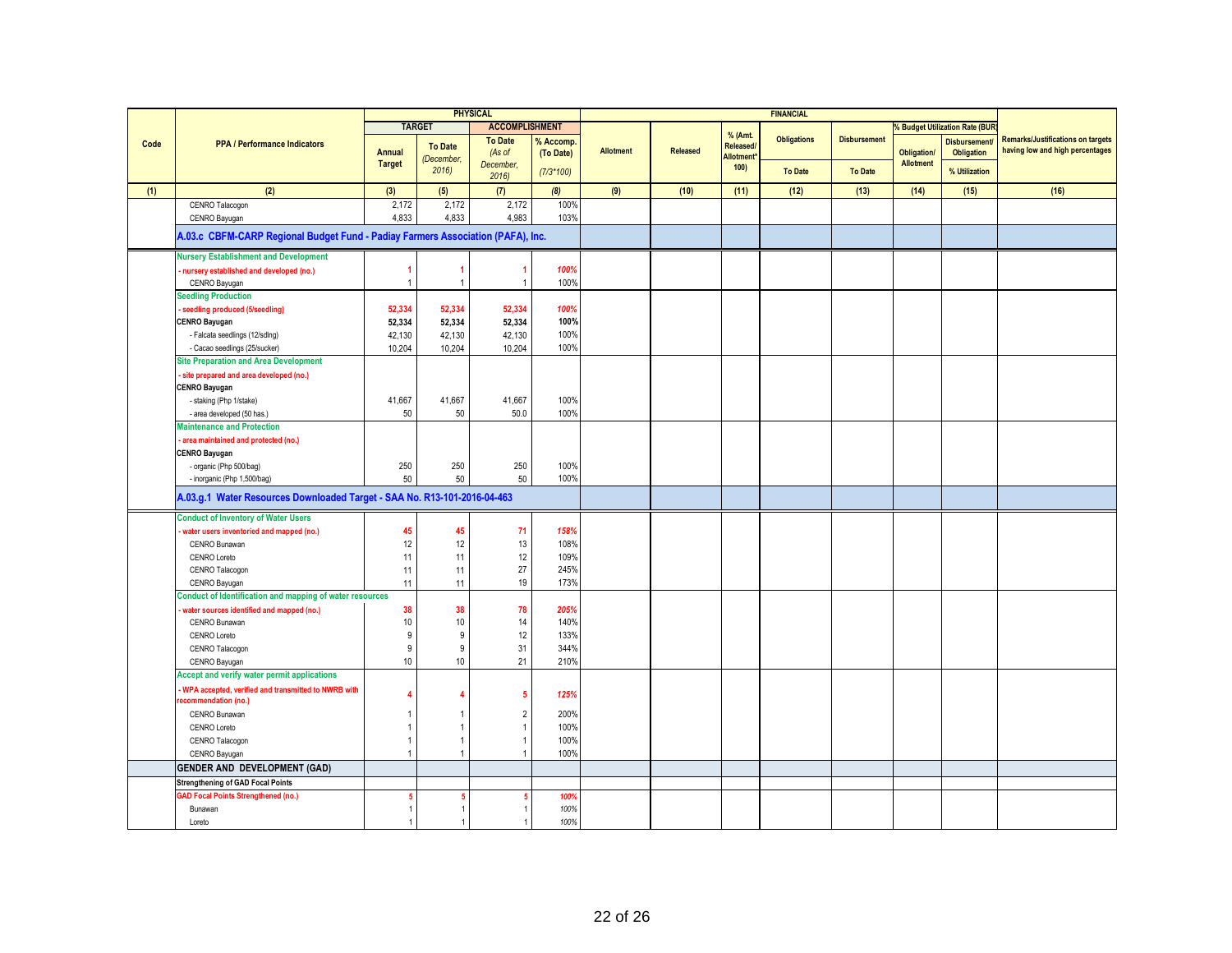|      |                                                                                                         |                       |                    | <b>PHYSICAL</b>          |                        |                  |          |                      | <b>FINANCIAL</b>   |                     |                    |                                     |                                                                             |
|------|---------------------------------------------------------------------------------------------------------|-----------------------|--------------------|--------------------------|------------------------|------------------|----------|----------------------|--------------------|---------------------|--------------------|-------------------------------------|-----------------------------------------------------------------------------|
|      |                                                                                                         |                       | <b>TARGET</b>      | <b>ACCOMPLISHMENT</b>    |                        |                  |          |                      |                    |                     |                    | <b>Budget Utilization Rate (BUR</b> |                                                                             |
| Code | <b>PPA / Performance Indicators</b>                                                                     | Annual                | <b>To Date</b>     | <b>To Date</b><br>(As of | % Accomp.<br>(To Date) | <b>Allotment</b> | Released | % (Amt.<br>Released/ | <b>Obligations</b> | <b>Disbursement</b> | <b>Obligation/</b> | <b>Disbursement</b><br>Obligation   | <b>Remarks/Justifications on targets</b><br>having low and high percentages |
|      |                                                                                                         | <b>Target</b>         | (December,<br>2016 | December,<br>2016        | $(7/3*100)$            |                  |          | Allotment*<br>100)   | <b>To Date</b>     | <b>To Date</b>      | <b>Allotment</b>   | % Utilization                       |                                                                             |
| (1)  | (2)                                                                                                     | (3)                   | (5)                | (7)                      | (8)                    | (9)              | (10)     | (11)                 | (12)               | (13)                | (14)               | (15)                                | (16)                                                                        |
|      | CENRO Talacogon                                                                                         | 2,172                 | 2,172              | 2,172                    | 100%                   |                  |          |                      |                    |                     |                    |                                     |                                                                             |
|      | CENRO Bayugan                                                                                           | 4,833                 | 4,833              | 4,983                    | 103%                   |                  |          |                      |                    |                     |                    |                                     |                                                                             |
|      | A.03.c CBFM-CARP Regional Budget Fund - Padiay Farmers Association (PAFA), Inc.                         |                       |                    |                          |                        |                  |          |                      |                    |                     |                    |                                     |                                                                             |
|      | <b>Nursery Establishment and Development</b>                                                            |                       |                    |                          |                        |                  |          |                      |                    |                     |                    |                                     |                                                                             |
|      | nursery established and developed (no.)                                                                 |                       | -1                 | 1                        | 100%                   |                  |          |                      |                    |                     |                    |                                     |                                                                             |
|      | CENRO Bayugan                                                                                           | $\overline{1}$        | $\overline{1}$     |                          | 100%                   |                  |          |                      |                    |                     |                    |                                     |                                                                             |
|      | <b>Seedling Production</b>                                                                              |                       |                    |                          |                        |                  |          |                      |                    |                     |                    |                                     |                                                                             |
|      | seedling produced (5/seedling)                                                                          | 52.334                | 52.334             | 52,334                   | 100%                   |                  |          |                      |                    |                     |                    |                                     |                                                                             |
|      | <b>CENRO Bayugan</b>                                                                                    | 52,334                | 52,334             | 52,334                   | 100%                   |                  |          |                      |                    |                     |                    |                                     |                                                                             |
|      | - Falcata seedlings (12/sdlng)                                                                          | 42,130                | 42.130             | 42,130                   | 100%                   |                  |          |                      |                    |                     |                    |                                     |                                                                             |
|      | - Cacao seedlings (25/sucker)                                                                           | 10,204                | 10,204             | 10,204                   | 100%                   |                  |          |                      |                    |                     |                    |                                     |                                                                             |
|      | <b>Site Preparation and Area Development</b>                                                            |                       |                    |                          |                        |                  |          |                      |                    |                     |                    |                                     |                                                                             |
|      | site prepared and area developed (no.)                                                                  |                       |                    |                          |                        |                  |          |                      |                    |                     |                    |                                     |                                                                             |
|      | <b>CENRO Bayugan</b>                                                                                    |                       |                    |                          |                        |                  |          |                      |                    |                     |                    |                                     |                                                                             |
|      | - staking (Php 1/stake)                                                                                 | 41,667                | 41,667             | 41,667                   | 100%                   |                  |          |                      |                    |                     |                    |                                     |                                                                             |
|      | - area developed (50 has.)                                                                              | 50                    | 50                 | 50.0                     | 100%                   |                  |          |                      |                    |                     |                    |                                     |                                                                             |
|      | <b>Maintenance and Protection</b>                                                                       |                       |                    |                          |                        |                  |          |                      |                    |                     |                    |                                     |                                                                             |
|      | area maintained and protected (no.)                                                                     |                       |                    |                          |                        |                  |          |                      |                    |                     |                    |                                     |                                                                             |
|      | <b>CENRO Bayugan</b>                                                                                    |                       |                    |                          |                        |                  |          |                      |                    |                     |                    |                                     |                                                                             |
|      | - organic (Php 500/bag)                                                                                 | 250                   | 250                | 250                      | 100%<br>100%           |                  |          |                      |                    |                     |                    |                                     |                                                                             |
|      | - inorganic (Php 1,500/bag)<br>A.03.g.1 Water Resources Downloaded Target - SAA No. R13-101-2016-04-463 | 50                    | 50                 | 50                       |                        |                  |          |                      |                    |                     |                    |                                     |                                                                             |
|      | <b>Conduct of Inventory of Water Users</b>                                                              |                       |                    |                          |                        |                  |          |                      |                    |                     |                    |                                     |                                                                             |
|      | water users inventoried and mapped (no.)                                                                | 45                    | 45                 | 71                       | 158%                   |                  |          |                      |                    |                     |                    |                                     |                                                                             |
|      | CENRO Bunawan                                                                                           | 12                    | 12                 | 13                       | 108%                   |                  |          |                      |                    |                     |                    |                                     |                                                                             |
|      | CENRO Loreto                                                                                            | 11                    | 11                 | 12                       | 109%                   |                  |          |                      |                    |                     |                    |                                     |                                                                             |
|      | CENRO Talacogon                                                                                         | 11                    | 11                 | 27                       | 245%                   |                  |          |                      |                    |                     |                    |                                     |                                                                             |
|      | CENRO Bayugan                                                                                           | 11                    | 11                 | 19                       | 173%                   |                  |          |                      |                    |                     |                    |                                     |                                                                             |
|      | Conduct of Identification and mapping of water resources                                                |                       |                    |                          |                        |                  |          |                      |                    |                     |                    |                                     |                                                                             |
|      | water sources identified and mapped (no.)                                                               | 38                    | 38                 | 78                       | 205%                   |                  |          |                      |                    |                     |                    |                                     |                                                                             |
|      | CENRO Bunawan                                                                                           | $10$                  | 10                 | 14                       | 140%                   |                  |          |                      |                    |                     |                    |                                     |                                                                             |
|      | CENRO Loreto                                                                                            | 9                     | 9                  | 12                       | 133%                   |                  |          |                      |                    |                     |                    |                                     |                                                                             |
|      | CENRO Talacogon                                                                                         | 9                     | 9                  | 31                       | 344%                   |                  |          |                      |                    |                     |                    |                                     |                                                                             |
|      | CENRO Bayugan                                                                                           | 10                    | 10                 | 21                       | 210%                   |                  |          |                      |                    |                     |                    |                                     |                                                                             |
|      | Accept and verify water permit applications                                                             |                       |                    |                          |                        |                  |          |                      |                    |                     |                    |                                     |                                                                             |
|      | WPA accepted, verified and transmitted to NWRB with                                                     |                       |                    |                          |                        |                  |          |                      |                    |                     |                    |                                     |                                                                             |
|      | recommendation (no.)                                                                                    | $\boldsymbol{\Delta}$ | 4                  | 5                        | 125%                   |                  |          |                      |                    |                     |                    |                                     |                                                                             |
|      | CENRO Bunawan                                                                                           |                       | $\overline{1}$     | $\overline{2}$           | 200%                   |                  |          |                      |                    |                     |                    |                                     |                                                                             |
|      | CENRO Loreto                                                                                            |                       | $\mathbf{1}$       | $\overline{1}$           | 100%                   |                  |          |                      |                    |                     |                    |                                     |                                                                             |
|      | CENRO Talacogon                                                                                         |                       | $\mathbf{1}$       |                          | 100%                   |                  |          |                      |                    |                     |                    |                                     |                                                                             |
|      | CENRO Bayugan                                                                                           |                       | $\mathbf{1}$       |                          | 100%                   |                  |          |                      |                    |                     |                    |                                     |                                                                             |
|      | GENDER AND DEVELOPMENT (GAD)                                                                            |                       |                    |                          |                        |                  |          |                      |                    |                     |                    |                                     |                                                                             |
|      | <b>Strengthening of GAD Focal Points</b>                                                                |                       |                    |                          |                        |                  |          |                      |                    |                     |                    |                                     |                                                                             |
|      | <b>GAD Focal Points Strengthened (no.)</b>                                                              |                       |                    |                          | 100%                   |                  |          |                      |                    |                     |                    |                                     |                                                                             |
|      | Bunawan                                                                                                 |                       | $\overline{1}$     |                          | 100%                   |                  |          |                      |                    |                     |                    |                                     |                                                                             |
|      | Loreto                                                                                                  |                       | $\overline{1}$     |                          | 100%                   |                  |          |                      |                    |                     |                    |                                     |                                                                             |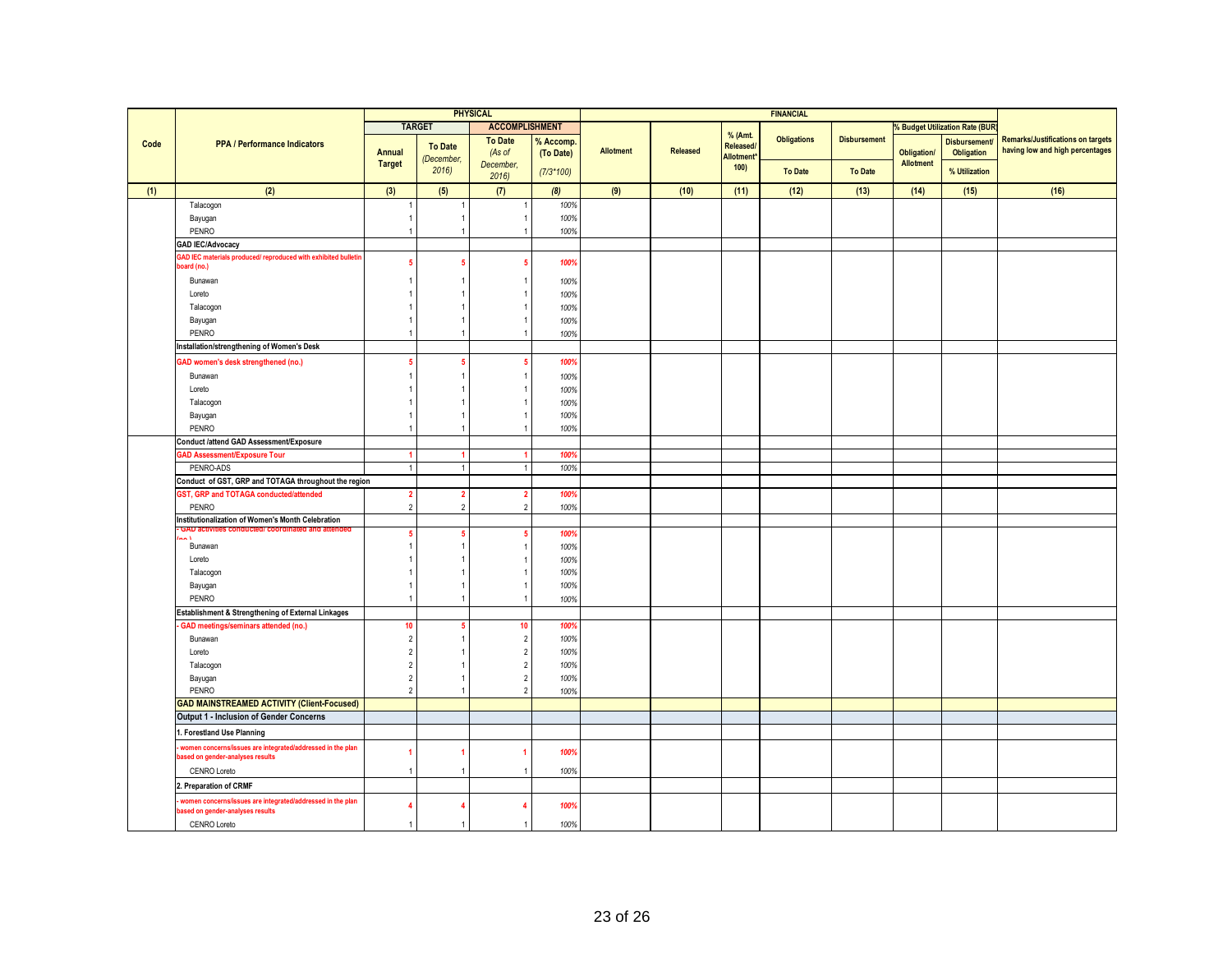|      |                                                                                                |                |                                | <b>PHYSICAL</b>          |             |                  |          |                                | <b>FINANCIAL</b>   |                     |                  |                                       |                                          |
|------|------------------------------------------------------------------------------------------------|----------------|--------------------------------|--------------------------|-------------|------------------|----------|--------------------------------|--------------------|---------------------|------------------|---------------------------------------|------------------------------------------|
|      |                                                                                                |                | <b>TARGET</b>                  | <b>ACCOMPLISHMENT</b>    |             |                  |          |                                |                    |                     |                  | <b>6 Budget Utilization Rate (BUR</b> |                                          |
|      | <b>PPA / Performance Indicators</b>                                                            |                |                                | <b>To Date</b>           | % Accomp.   |                  |          | % (Amt.                        | <b>Obligations</b> | <b>Disbursement</b> |                  | <b>Disbursement</b>                   | <b>Remarks/Justifications on targets</b> |
| Code |                                                                                                | Annual         | <b>To Date</b>                 | (As of                   | (To Date)   | <b>Allotment</b> | Released | Released/<br><b>Allotment*</b> |                    |                     | Obligation/      | <b>Obligation</b>                     | having low and high percentages          |
|      |                                                                                                | <b>Target</b>  | (December,<br>2016             | December.                | $(7/3*100)$ |                  |          | 100)                           | <b>To Date</b>     | <b>To Date</b>      | <b>Allotment</b> | % Utilization                         |                                          |
|      |                                                                                                |                |                                | 2016                     |             |                  |          |                                |                    |                     |                  |                                       |                                          |
| (1)  | (2)                                                                                            | (3)            | (5)                            | (7)                      | (8)         | (9)              | (10)     | (11)                           | (12)               | (13)                | (14)             | (15)                                  | (16)                                     |
|      | Talacogon                                                                                      |                |                                |                          | 100%        |                  |          |                                |                    |                     |                  |                                       |                                          |
|      | Bayugan                                                                                        | $\overline{1}$ | $\mathbf{1}$<br>$\overline{1}$ |                          | 100%        |                  |          |                                |                    |                     |                  |                                       |                                          |
|      | PENRO                                                                                          | -1             |                                |                          | 100%        |                  |          |                                |                    |                     |                  |                                       |                                          |
|      | <b>GAD IEC/Advocacy</b><br>AD IEC materials produced/ reproduced with exhibited bulletin       |                |                                |                          |             |                  |          |                                |                    |                     |                  |                                       |                                          |
|      | oard (no.)                                                                                     | 5              | 5                              |                          | 100%        |                  |          |                                |                    |                     |                  |                                       |                                          |
|      | Bunawan                                                                                        |                |                                |                          | 100%        |                  |          |                                |                    |                     |                  |                                       |                                          |
|      | Loreto                                                                                         |                |                                |                          | 100%        |                  |          |                                |                    |                     |                  |                                       |                                          |
|      | Talacogon                                                                                      |                | -1                             |                          | 100%        |                  |          |                                |                    |                     |                  |                                       |                                          |
|      | Bayugan                                                                                        |                | $\mathbf{1}$                   |                          | 100%        |                  |          |                                |                    |                     |                  |                                       |                                          |
|      | PENRO                                                                                          |                | $\overline{1}$                 |                          | 100%        |                  |          |                                |                    |                     |                  |                                       |                                          |
|      | nstallation/strengthening of Women's Desk                                                      |                |                                |                          |             |                  |          |                                |                    |                     |                  |                                       |                                          |
|      | GAD women's desk strengthened (no.)                                                            | -5             | 5                              |                          | 100%        |                  |          |                                |                    |                     |                  |                                       |                                          |
|      | Bunawan                                                                                        |                | $\overline{1}$                 |                          | 100%        |                  |          |                                |                    |                     |                  |                                       |                                          |
|      | Loreto                                                                                         |                |                                |                          | 100%        |                  |          |                                |                    |                     |                  |                                       |                                          |
|      | Talacogon                                                                                      |                | -1                             |                          | 100%        |                  |          |                                |                    |                     |                  |                                       |                                          |
|      | Bayugan                                                                                        | -1             | $\overline{1}$                 |                          | 100%        |                  |          |                                |                    |                     |                  |                                       |                                          |
|      | PENRO                                                                                          | -1             | $\overline{1}$                 |                          | 100%        |                  |          |                                |                    |                     |                  |                                       |                                          |
|      | Conduct /attend GAD Assessment/Exposure                                                        |                |                                |                          |             |                  |          |                                |                    |                     |                  |                                       |                                          |
|      | AD Assessment/Exposure Tour                                                                    |                | 1                              |                          | 100%        |                  |          |                                |                    |                     |                  |                                       |                                          |
|      | PENRO-ADS                                                                                      | $\overline{1}$ | $\overline{1}$                 |                          | 100%        |                  |          |                                |                    |                     |                  |                                       |                                          |
|      | Conduct of GST, GRP and TOTAGA throughout the region                                           |                |                                |                          |             |                  |          |                                |                    |                     |                  |                                       |                                          |
|      | <b>SST, GRP and TOTAGA conducted/attended</b>                                                  | $\overline{2}$ | $\overline{2}$                 | 2                        | 100%        |                  |          |                                |                    |                     |                  |                                       |                                          |
|      | PENRO                                                                                          | $\overline{2}$ | $\overline{2}$                 | $\overline{2}$           | 100%        |                  |          |                                |                    |                     |                  |                                       |                                          |
|      | nstitutionalization of Women's Month Celebration                                               |                |                                |                          |             |                  |          |                                |                    |                     |                  |                                       |                                          |
|      | $\sim$                                                                                         | -5             | 5                              |                          | 100%        |                  |          |                                |                    |                     |                  |                                       |                                          |
|      | Bunawan                                                                                        | -1             | -1                             |                          | 100%        |                  |          |                                |                    |                     |                  |                                       |                                          |
|      | Loreto                                                                                         |                |                                |                          | 100%        |                  |          |                                |                    |                     |                  |                                       |                                          |
|      | Talacogon                                                                                      | -1             | 1                              |                          | 100%        |                  |          |                                |                    |                     |                  |                                       |                                          |
|      | Bayugan                                                                                        | -1             | $\mathbf{1}$                   |                          | 100%        |                  |          |                                |                    |                     |                  |                                       |                                          |
|      | PENRO                                                                                          | $\overline{1}$ | $\overline{1}$                 |                          | 100%        |                  |          |                                |                    |                     |                  |                                       |                                          |
|      | Establishment & Strengthening of External Linkages                                             |                |                                |                          |             |                  |          |                                |                    |                     |                  |                                       |                                          |
|      | GAD meetings/seminars attended (no.)                                                           | 10             | 5                              | 10                       | 100%        |                  |          |                                |                    |                     |                  |                                       |                                          |
|      | Bunawan                                                                                        | $\overline{2}$ | $\overline{1}$                 | $\overline{2}$           | 100%        |                  |          |                                |                    |                     |                  |                                       |                                          |
|      | Loreto                                                                                         | $\overline{2}$ |                                | $\mathfrak{p}$           | 100%        |                  |          |                                |                    |                     |                  |                                       |                                          |
|      | Talacogon                                                                                      | $\overline{2}$ | 1                              |                          | 100%        |                  |          |                                |                    |                     |                  |                                       |                                          |
|      | Bayugan                                                                                        | $\overline{2}$ | $\overline{1}$                 | $\overline{\phantom{a}}$ | 100%        |                  |          |                                |                    |                     |                  |                                       |                                          |
|      | PENRO                                                                                          | $\overline{2}$ | $\overline{1}$                 |                          | 100%        |                  |          |                                |                    |                     |                  |                                       |                                          |
|      | <b>GAD MAINSTREAMED ACTIVITY (Client-Focused)</b>                                              |                |                                |                          |             |                  |          |                                |                    |                     |                  |                                       |                                          |
|      | Output 1 - Inclusion of Gender Concerns                                                        |                |                                |                          |             |                  |          |                                |                    |                     |                  |                                       |                                          |
|      | . Forestland Use Planning                                                                      |                |                                |                          |             |                  |          |                                |                    |                     |                  |                                       |                                          |
|      | women concerns/issues are integrated/addressed in the plan<br>based on gender-analyses results | 1              |                                |                          | 100%        |                  |          |                                |                    |                     |                  |                                       |                                          |
|      | CENRO Loreto                                                                                   | -1             | $\overline{1}$                 |                          | 100%        |                  |          |                                |                    |                     |                  |                                       |                                          |
|      | . Preparation of CRMF                                                                          |                |                                |                          |             |                  |          |                                |                    |                     |                  |                                       |                                          |
|      | women concerns/issues are integrated/addressed in the plan<br>based on gender-analyses results | 4              |                                |                          | 100%        |                  |          |                                |                    |                     |                  |                                       |                                          |
|      | <b>CENRO Loreto</b>                                                                            |                | $\overline{1}$                 |                          | 100%        |                  |          |                                |                    |                     |                  |                                       |                                          |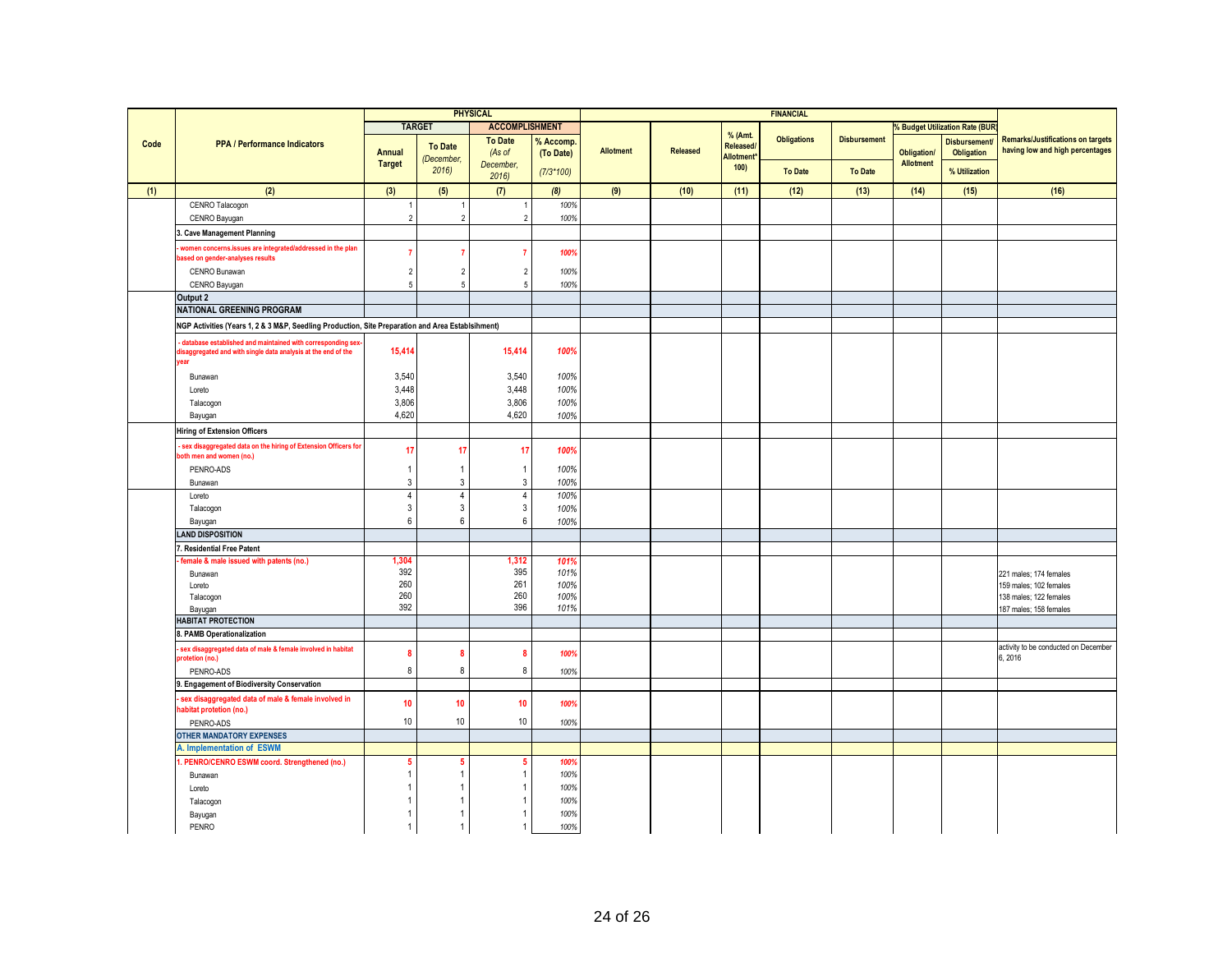|      |                                                                                                                                     |                     |                     | <b>PHYSICAL</b>                  |              |           |          |                                 | <b>FINANCIAL</b>   |                     |                    |                                     |                                          |
|------|-------------------------------------------------------------------------------------------------------------------------------------|---------------------|---------------------|----------------------------------|--------------|-----------|----------|---------------------------------|--------------------|---------------------|--------------------|-------------------------------------|------------------------------------------|
|      |                                                                                                                                     |                     | <b>TARGET</b>       | <b>ACCOMPLISHMENT</b>            |              |           |          |                                 |                    |                     |                    | <b>Budget Utilization Rate (BUR</b> |                                          |
| Code | <b>PPA / Performance Indicators</b>                                                                                                 |                     |                     | <b>To Date</b>                   | % Accomp     |           |          | % (Amt.                         | <b>Obligations</b> | <b>Disbursement</b> |                    | <b>Disbursement</b>                 | <b>Remarks/Justifications on targets</b> |
|      |                                                                                                                                     | <b>Annual</b>       | <b>To Date</b>      | (As of                           | (To Date)    | Allotment | Released | Released/<br><b>Allotment</b> * |                    |                     | <b>Obligation/</b> | Obligation                          | having low and high percentages          |
|      |                                                                                                                                     | <b>Target</b>       | (December,<br>2016  | December.                        | $(7/3*100)$  |           |          | 100)                            | <b>To Date</b>     | <b>To Date</b>      | Allotment          | % Utilization                       |                                          |
|      |                                                                                                                                     |                     |                     | 2016                             |              |           |          |                                 |                    |                     |                    |                                     |                                          |
| (1)  | (2)                                                                                                                                 | (3)                 | (5)                 | (7)                              | (8)          | (9)       | (10)     | (11)                            | (12)               | (13)                | (14)               | (15)                                | (16)                                     |
|      | CENRO Talacogon                                                                                                                     |                     |                     |                                  | 100%         |           |          |                                 |                    |                     |                    |                                     |                                          |
|      | CENRO Bayugan                                                                                                                       | $\overline{2}$      | $\overline{2}$      | $\overline{2}$                   | 100%         |           |          |                                 |                    |                     |                    |                                     |                                          |
|      | <b>Cave Management Planning</b>                                                                                                     |                     |                     |                                  |              |           |          |                                 |                    |                     |                    |                                     |                                          |
|      | women concerns.issues are integrated/addressed in the plan                                                                          |                     |                     | $\overline{7}$                   | 100%         |           |          |                                 |                    |                     |                    |                                     |                                          |
|      | ased on gender-analyses results                                                                                                     |                     |                     |                                  |              |           |          |                                 |                    |                     |                    |                                     |                                          |
|      | CENRO Bunawan<br>CENRO Bayugan                                                                                                      | $\overline{2}$<br>5 | $\overline{2}$<br>5 | $\overline{2}$<br>5              | 100%<br>100% |           |          |                                 |                    |                     |                    |                                     |                                          |
|      | Output 2                                                                                                                            |                     |                     |                                  |              |           |          |                                 |                    |                     |                    |                                     |                                          |
|      | <b>NATIONAL GREENING PROGRAM</b>                                                                                                    |                     |                     |                                  |              |           |          |                                 |                    |                     |                    |                                     |                                          |
|      | NGP Activities (Years 1, 2 & 3 M&P, Seedling Production, Site Preparation and Area Establsihment)                                   |                     |                     |                                  |              |           |          |                                 |                    |                     |                    |                                     |                                          |
|      |                                                                                                                                     |                     |                     |                                  |              |           |          |                                 |                    |                     |                    |                                     |                                          |
|      | database established and maintained with corresponding sex<br>lisaggregated and with single data analysis at the end of the<br>rear | 15,414              |                     | 15,414                           | 100%         |           |          |                                 |                    |                     |                    |                                     |                                          |
|      |                                                                                                                                     |                     |                     | 3,540                            | 100%         |           |          |                                 |                    |                     |                    |                                     |                                          |
|      | Bunawan<br>Loreto                                                                                                                   | 3,540<br>3,448      |                     | 3.448                            | 100%         |           |          |                                 |                    |                     |                    |                                     |                                          |
|      | Talacogon                                                                                                                           | 3,806               |                     | 3,806                            | 100%         |           |          |                                 |                    |                     |                    |                                     |                                          |
|      | Bayugan                                                                                                                             | 4,620               |                     | 4.620                            | 100%         |           |          |                                 |                    |                     |                    |                                     |                                          |
|      | <b>Hiring of Extension Officers</b>                                                                                                 |                     |                     |                                  |              |           |          |                                 |                    |                     |                    |                                     |                                          |
|      | sex disaggregated data on the hiring of Extension Officers for                                                                      |                     |                     |                                  |              |           |          |                                 |                    |                     |                    |                                     |                                          |
|      | both men and women (no.)                                                                                                            | 17                  | 17                  | 17                               | 100%         |           |          |                                 |                    |                     |                    |                                     |                                          |
|      | PENRO-ADS                                                                                                                           |                     | -1                  | $\mathbf{1}$                     | 100%         |           |          |                                 |                    |                     |                    |                                     |                                          |
|      | Bunawan                                                                                                                             | 3                   | 3                   | $\mathbf{3}$                     | 100%         |           |          |                                 |                    |                     |                    |                                     |                                          |
|      | Loreto                                                                                                                              | 4<br>3              | $\overline{4}$<br>3 | $\overline{4}$<br>$\mathfrak{Z}$ | 100%         |           |          |                                 |                    |                     |                    |                                     |                                          |
|      | Talacogon<br>Bayugan                                                                                                                | 6                   | 6                   | 6                                | 100%<br>100% |           |          |                                 |                    |                     |                    |                                     |                                          |
|      | AND DISPOSITION                                                                                                                     |                     |                     |                                  |              |           |          |                                 |                    |                     |                    |                                     |                                          |
|      | Residential Free Patent                                                                                                             |                     |                     |                                  |              |           |          |                                 |                    |                     |                    |                                     |                                          |
|      | female & male issued with patents (no.)                                                                                             | 1,304               |                     | 1,312                            | 101%         |           |          |                                 |                    |                     |                    |                                     |                                          |
|      | Bunawan                                                                                                                             | 392                 |                     | 395                              | 101%         |           |          |                                 |                    |                     |                    |                                     | 221 males; 174 females                   |
|      | Loreto                                                                                                                              | 260                 |                     | 261                              | 100%         |           |          |                                 |                    |                     |                    |                                     | 159 males: 102 females                   |
|      | Talacogon                                                                                                                           | 260<br>392          |                     | 260<br>396                       | 100%         |           |          |                                 |                    |                     |                    |                                     | 138 males; 122 females                   |
|      | Bayugan<br><b>HABITAT PROTECTION</b>                                                                                                |                     |                     |                                  | 101%         |           |          |                                 |                    |                     |                    |                                     | 187 males; 158 females                   |
|      | 3. PAMB Operationalization                                                                                                          |                     |                     |                                  |              |           |          |                                 |                    |                     |                    |                                     |                                          |
|      | sex disaggregated data of male & female involved in habitat                                                                         |                     |                     |                                  |              |           |          |                                 |                    |                     |                    |                                     | activity to be conducted on December     |
|      | rotetion (no.)                                                                                                                      | 8                   | 8                   | 8                                | 100%         |           |          |                                 |                    |                     |                    |                                     | 6.2016                                   |
|      | PENRO-ADS                                                                                                                           | 8                   | 8                   | 8                                | 100%         |           |          |                                 |                    |                     |                    |                                     |                                          |
|      | 9. Engagement of Biodiversity Conservation                                                                                          |                     |                     |                                  |              |           |          |                                 |                    |                     |                    |                                     |                                          |
|      | sex disaggregated data of male & female involved in<br>abitat protetion (no.)                                                       | 10                  | 10                  | 10                               | 100%         |           |          |                                 |                    |                     |                    |                                     |                                          |
|      | PENRO-ADS                                                                                                                           | 10                  | 10                  | 10                               | 100%         |           |          |                                 |                    |                     |                    |                                     |                                          |
|      | <b>OTHER MANDATORY EXPENSES</b>                                                                                                     |                     |                     |                                  |              |           |          |                                 |                    |                     |                    |                                     |                                          |
|      | A. Implementation of ESWM                                                                                                           |                     |                     |                                  |              |           |          |                                 |                    |                     |                    |                                     |                                          |
|      | PENRO/CENRO ESWM coord. Strengthened (no.)                                                                                          |                     |                     | 5                                | 100%         |           |          |                                 |                    |                     |                    |                                     |                                          |
|      | Bunawan                                                                                                                             |                     |                     | $\mathbf{1}$                     | 100%         |           |          |                                 |                    |                     |                    |                                     |                                          |
|      | Loreto                                                                                                                              |                     |                     | 1                                | 100%         |           |          |                                 |                    |                     |                    |                                     |                                          |
|      | Talacogon                                                                                                                           |                     |                     | $\mathbf{1}$                     | 100%         |           |          |                                 |                    |                     |                    |                                     |                                          |
|      | Bayugan                                                                                                                             |                     |                     | $\mathbf{1}$<br>$\mathbf{1}$     | 100%         |           |          |                                 |                    |                     |                    |                                     |                                          |
|      | PENRO                                                                                                                               |                     |                     |                                  | 100%         |           |          |                                 |                    |                     |                    |                                     |                                          |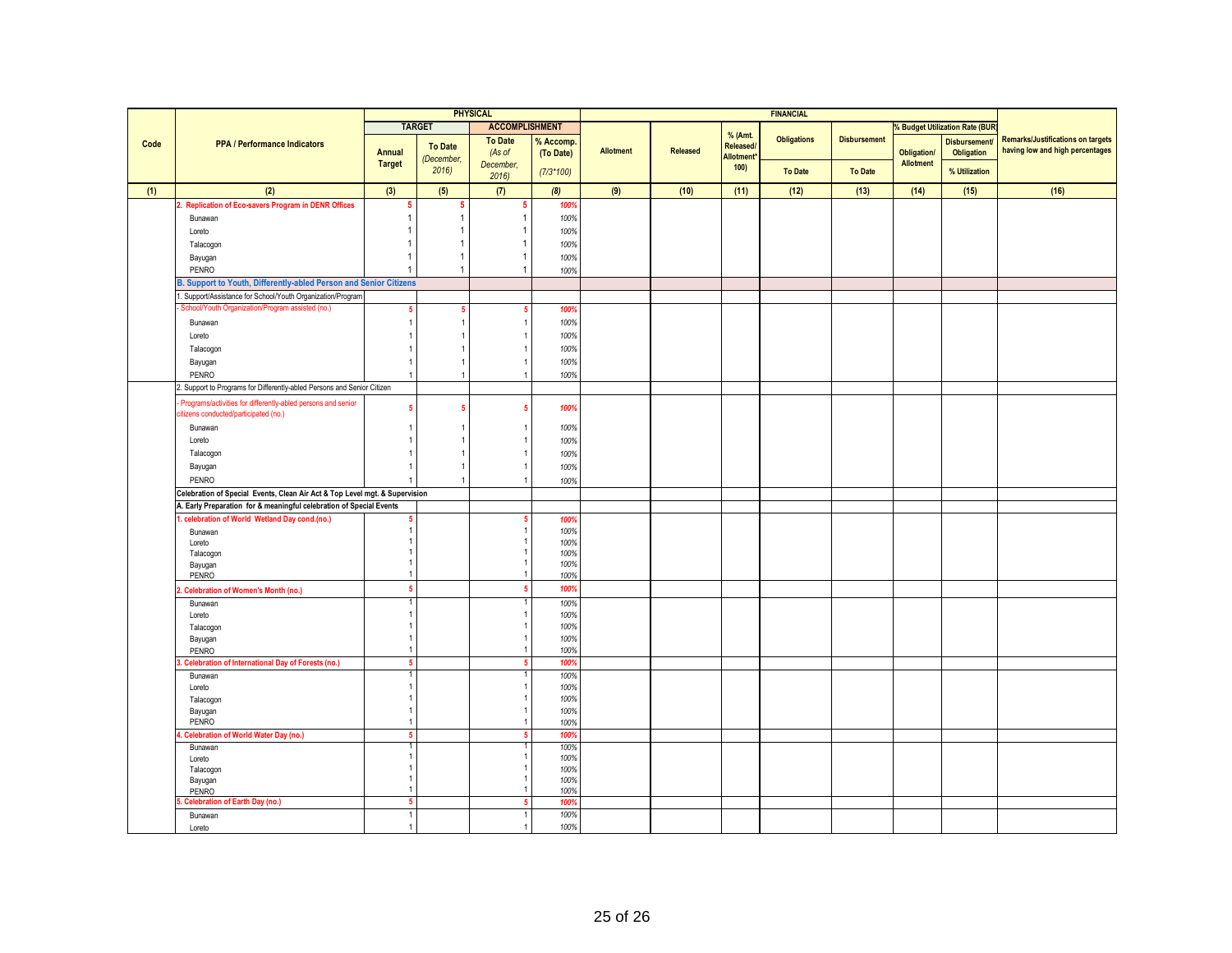|      |                                                                             |                      |                | <b>PHYSICAL</b> |                        | <b>FINANCIAL</b> |                 |            |                    |                     |                    |                                          |                                          |
|------|-----------------------------------------------------------------------------|----------------------|----------------|-----------------|------------------------|------------------|-----------------|------------|--------------------|---------------------|--------------------|------------------------------------------|------------------------------------------|
|      |                                                                             | <b>TARGET</b>        |                |                 | <b>ACCOMPLISHMENT</b>  |                  |                 |            |                    |                     |                    | <b>6 Budget Utilization Rate (BUR</b>    |                                          |
|      |                                                                             |                      |                | <b>To Date</b>  |                        |                  |                 | % (Amt.    | <b>Obligations</b> | <b>Disbursement</b> |                    |                                          | <b>Remarks/Justifications on targets</b> |
| Code | <b>PPA / Performance Indicators</b>                                         | Annual               | <b>To Date</b> | (As of          | % Accomp.<br>(To Date) | <b>Allotment</b> | <b>Released</b> | Released/  |                    |                     | <b>Obligation/</b> | <b>Disbursement</b><br><b>Obligation</b> | having low and high percentages          |
|      |                                                                             | <b>Target</b>        | (December,     | December,       |                        |                  |                 | Allotment* |                    |                     | <b>Allotment</b>   |                                          |                                          |
|      |                                                                             |                      | 2016           | 2016            | $(7/3*100)$            |                  |                 | 100)       | <b>To Date</b>     | <b>To Date</b>      |                    | % Utilization                            |                                          |
| (1)  | (2)                                                                         | (3)                  | (5)            | (7)             | (8)                    | (9)              | (10)            | (11)       | (12)               | (13)                | (14)               | (15)                                     | (16)                                     |
|      |                                                                             |                      |                |                 |                        |                  |                 |            |                    |                     |                    |                                          |                                          |
|      | 2. Replication of Eco-savers Program in DENR Offices                        | 5                    | 5              | -5              | 100%                   |                  |                 |            |                    |                     |                    |                                          |                                          |
|      | Bunawan                                                                     | 1                    | 1              | $\overline{1}$  | 100%                   |                  |                 |            |                    |                     |                    |                                          |                                          |
|      | Loreto                                                                      |                      |                |                 | 100%                   |                  |                 |            |                    |                     |                    |                                          |                                          |
|      | Talacogon                                                                   |                      |                |                 | 100%                   |                  |                 |            |                    |                     |                    |                                          |                                          |
|      | Bayugan                                                                     | 1                    | 1              |                 | 100%                   |                  |                 |            |                    |                     |                    |                                          |                                          |
|      | PENRO                                                                       |                      | 1              |                 | 100%                   |                  |                 |            |                    |                     |                    |                                          |                                          |
|      | . Support to Youth, Differently-abled Person and Senior Citizens            |                      |                |                 |                        |                  |                 |            |                    |                     |                    |                                          |                                          |
|      | Support/Assistance for School/Youth Organization/Program                    |                      |                |                 |                        |                  |                 |            |                    |                     |                    |                                          |                                          |
|      | School/Youth Organization/Program assisted (no.)                            | 5                    | 5              | 5               | 100%                   |                  |                 |            |                    |                     |                    |                                          |                                          |
|      | Bunawan                                                                     |                      | -1             |                 | 100%                   |                  |                 |            |                    |                     |                    |                                          |                                          |
|      | Loreto                                                                      |                      |                |                 | 100%                   |                  |                 |            |                    |                     |                    |                                          |                                          |
|      | Talacogon                                                                   |                      |                |                 | 100%                   |                  |                 |            |                    |                     |                    |                                          |                                          |
|      | Bayugan                                                                     | -1                   | -1             |                 | 100%                   |                  |                 |            |                    |                     |                    |                                          |                                          |
|      |                                                                             | $\overline{1}$       | $\overline{1}$ |                 |                        |                  |                 |            |                    |                     |                    |                                          |                                          |
|      | PENRO                                                                       |                      |                |                 | 100%                   |                  |                 |            |                    |                     |                    |                                          |                                          |
|      | Support to Programs for Differently-abled Persons and Senior Citizen        |                      |                |                 |                        |                  |                 |            |                    |                     |                    |                                          |                                          |
|      | Programs/activities for differently-abled persons and senior                | 5                    | 5              |                 | 100%                   |                  |                 |            |                    |                     |                    |                                          |                                          |
|      | citizens conducted/participated (no.)                                       |                      |                |                 |                        |                  |                 |            |                    |                     |                    |                                          |                                          |
|      | Bunawan                                                                     |                      |                |                 | 100%                   |                  |                 |            |                    |                     |                    |                                          |                                          |
|      | Loreto                                                                      |                      |                |                 | 100%                   |                  |                 |            |                    |                     |                    |                                          |                                          |
|      | Talacogon                                                                   |                      | -1             |                 | 100%                   |                  |                 |            |                    |                     |                    |                                          |                                          |
|      | Bayugan                                                                     | $\overline{1}$       | $\overline{1}$ |                 | 100%                   |                  |                 |            |                    |                     |                    |                                          |                                          |
|      | PENRO                                                                       |                      | $\overline{1}$ |                 | 100%                   |                  |                 |            |                    |                     |                    |                                          |                                          |
|      | Celebration of Special Events, Clean Air Act & Top Level mgt. & Supervision |                      |                |                 |                        |                  |                 |            |                    |                     |                    |                                          |                                          |
|      | A. Early Preparation for & meaningful celebration of Special Events         |                      |                |                 |                        |                  |                 |            |                    |                     |                    |                                          |                                          |
|      | celebration of World Wetland Day cond.(no.)                                 |                      |                |                 | 100%                   |                  |                 |            |                    |                     |                    |                                          |                                          |
|      | Bunawan                                                                     | $\overline{1}$       |                |                 | 100%                   |                  |                 |            |                    |                     |                    |                                          |                                          |
|      | Loreto                                                                      |                      |                |                 | 100%                   |                  |                 |            |                    |                     |                    |                                          |                                          |
|      | Talacogon                                                                   |                      |                |                 | 100%                   |                  |                 |            |                    |                     |                    |                                          |                                          |
|      | Bayugan                                                                     |                      |                |                 | 100%                   |                  |                 |            |                    |                     |                    |                                          |                                          |
|      | PENRO                                                                       | -1                   |                |                 | 100%                   |                  |                 |            |                    |                     |                    |                                          |                                          |
|      | <b>Celebration of Women's Month (no.)</b>                                   | 5                    |                |                 | 100%                   |                  |                 |            |                    |                     |                    |                                          |                                          |
|      | Bunawan                                                                     |                      |                |                 | 100%                   |                  |                 |            |                    |                     |                    |                                          |                                          |
|      | Loreto                                                                      |                      |                |                 | 100%                   |                  |                 |            |                    |                     |                    |                                          |                                          |
|      | Talacogon                                                                   |                      |                |                 | 100%                   |                  |                 |            |                    |                     |                    |                                          |                                          |
|      | Bayugan                                                                     | -1                   |                |                 | 100%                   |                  |                 |            |                    |                     |                    |                                          |                                          |
|      | PENRO                                                                       | $\overline{1}$       |                |                 | 100%                   |                  |                 |            |                    |                     |                    |                                          |                                          |
|      | <b>Celebration of International Day of Forests (no.)</b>                    | 5                    |                |                 | 100%                   |                  |                 |            |                    |                     |                    |                                          |                                          |
|      | Bunawan                                                                     |                      |                |                 | 100%                   |                  |                 |            |                    |                     |                    |                                          |                                          |
|      | Loreto                                                                      | $\overline{1}$       |                |                 | 100%                   |                  |                 |            |                    |                     |                    |                                          |                                          |
|      | Talacogon                                                                   | -1                   |                |                 | 100%                   |                  |                 |            |                    |                     |                    |                                          |                                          |
|      | Bayugan<br>PENRO                                                            | -1<br>$\overline{1}$ |                |                 | 100%                   |                  |                 |            |                    |                     |                    |                                          |                                          |
|      |                                                                             |                      |                | 5               | 100%<br>100%           |                  |                 |            |                    |                     |                    |                                          |                                          |
|      | <b>Celebration of World Water Day (no.)</b>                                 | ${\bf 5}$            |                |                 | 100%                   |                  |                 |            |                    |                     |                    |                                          |                                          |
|      | Bunawan<br>Loreto                                                           | $\overline{1}$       |                |                 | 100%                   |                  |                 |            |                    |                     |                    |                                          |                                          |
|      | Talacogon                                                                   |                      |                |                 | 100%                   |                  |                 |            |                    |                     |                    |                                          |                                          |
|      | Bayugan                                                                     | -1                   |                |                 | 100%                   |                  |                 |            |                    |                     |                    |                                          |                                          |
|      | PENRO                                                                       | -1                   |                |                 | 100%                   |                  |                 |            |                    |                     |                    |                                          |                                          |
|      | <b>Celebration of Earth Day (no.)</b>                                       | 5                    |                |                 | 100%                   |                  |                 |            |                    |                     |                    |                                          |                                          |
|      | Bunawan                                                                     | $\overline{1}$       |                |                 | 100%                   |                  |                 |            |                    |                     |                    |                                          |                                          |
|      | Loreto                                                                      | $\overline{1}$       |                |                 | 100%                   |                  |                 |            |                    |                     |                    |                                          |                                          |